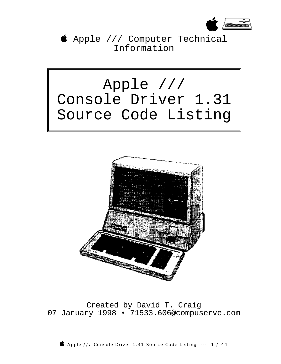



 Apple /// Computer Technical Information





Created by David T. Craig 07 January 1998 • 71533.606@compuserve.com

Apple /// Console Driver 1.31 Source Code Listing --- 1 / 44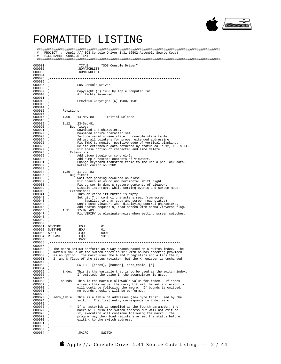

## FORMATTED LISTING

; #################################################################################################### ; # PROJECT : Apple /// SOS Console Driver 1.31 (6502 Assembly Source Code) ; # FILE NAME: CONSOLE.TEXT

- 
- 
- ; ####################################################################################################

| 000001<br>000002<br>000003<br>000004                                                             |            | .TITLE<br>"SOS Console Driver"<br>.NOPATCHLIST<br>.NOMACROLIST                                                                                                                                                                                                                                                                      |
|--------------------------------------------------------------------------------------------------|------------|-------------------------------------------------------------------------------------------------------------------------------------------------------------------------------------------------------------------------------------------------------------------------------------------------------------------------------------|
| 000005<br>000006<br>$\cdot$ :                                                                    |            |                                                                                                                                                                                                                                                                                                                                     |
| 000007<br>$\cdot$                                                                                |            | SOS Console Driver                                                                                                                                                                                                                                                                                                                  |
| 000008<br>$\cdot$<br>$000009$ ;<br>000010<br>$\cdot$                                             |            | Copyright (C) 1983 by Apple Computer Inc.<br>All Rights Reserved                                                                                                                                                                                                                                                                    |
| 000011<br>$\overline{\phantom{a}}$<br>000012<br>$\cdot$<br>000013<br>$\cdot$                     |            | Previous Copyright (C) 1980, 1981                                                                                                                                                                                                                                                                                                   |
| 000014<br>$\cdot$<br>$000015$ ;                                                                  | Revisions: |                                                                                                                                                                                                                                                                                                                                     |
| 000016<br>$\cdot$ ;<br>000017 ;                                                                  | 1.00       | 14-Nov-80     Initial Release                                                                                                                                                                                                                                                                                                       |
| $000018$ ;<br>000019                                                                             |            |                                                                                                                                                                                                                                                                                                                                     |
| $\cdot$<br>$000020$ ;<br>$000021$ ;<br>$\cdot$<br>$000023$ ;<br>$000024$ ;<br>$\cdot$<br>$\cdot$ | 1.12       | 23-Sep-81<br>Bug fixes:<br>Download 1-8 characters.<br>Download entire character set.<br>Include saved screen state in console state table.<br>Adjust all pointers for proper extended addressing.<br>Fix SYNC to monitor positive edge of vertical blanking.<br>Delete extraneous data returned by status calls 12, 13, $\&$ 14.   |
| $000027$ ;<br>$\cdot$ ;<br>$000029$ ;<br>$000030$ ;<br>$\cdot$<br>000032 i                       |            | Fix erase option of character and line delete.<br>Extensions:<br>Add video toggle on control-5.<br>Add dump & restore contents of viewport.<br>Change keyboard transform table to include alpha-lock data.<br>Retain cursor on SYNC.                                                                                                |
| 000033 i<br>000034 ;                                                                             | 1.30       | $11 - Jan-83$                                                                                                                                                                                                                                                                                                                       |
| 000035 i<br>$000036$ ;                                                                           |            | Bug fixes:<br>Wait for pending download on close.                                                                                                                                                                                                                                                                                   |
| $\cdot$<br>000038 i                                                                              |            | Fix branch in 40 column horizontal shift right.<br>Fix cursor in dump & restore contents of viewport.                                                                                                                                                                                                                               |
| $000039$ ;                                                                                       |            | Disable interrupts while setting events and screen mode.                                                                                                                                                                                                                                                                            |
| $000040$ ;<br>000041 i                                                                           |            | Extensions:<br>Turn on video iff buffer is empty.                                                                                                                                                                                                                                                                                   |
| 000042 i<br>$\cdot$ ;                                                                            |            | Set bit 7 on control characters read from screen<br>(applies to char copy and screen read status).                                                                                                                                                                                                                                  |
| 000044 ;<br>$000045$ ;                                                                           |            | Don't dump viewport when displaying control characters.<br>Add status request 9, read screen with normal/inverse flag.                                                                                                                                                                                                              |
| $\mathbf{r}$<br>000047 i<br>$000048$ ;                                                           |            | 1.31 17-Mar-83<br>Fix VERIFY to eleminate noise when setting screen switches.                                                                                                                                                                                                                                                       |
| 000050<br>000051 DEVTYPE                                                                         |            | - 61                                                                                                                                                                                                                                                                                                                                |
| 000052 SUBTYPE                                                                                   |            | .EQU<br>.EQU<br>- 01                                                                                                                                                                                                                                                                                                                |
| 000053 APPLE<br>000054 RELEASE                                                                   |            | 0001<br>.EQU<br>. EQU<br>1310                                                                                                                                                                                                                                                                                                       |
|                                                                                                  |            | . PAGE                                                                                                                                                                                                                                                                                                                              |
| $000057$ ;<br>$\mathcal{F}$<br>$\cdot$                                                           |            | $000058$ ; The macro SWITCH performs an N way branch based on a switch index. The<br>000059 ; maximum value of the switch index is 127 with bounds checking provided<br>000060 $\,$ as an option. The macro uses the A and Y registers and alters the C,<br>Z, and N flags of the status register, but the X register is unchanged. |
| $\ddot{i}$<br>÷<br>$\cdot$                                                                       | index      | SWITCH [index], [bounds], adrs_table, [*]<br>This is the variable that is to be used as the switch index.                                                                                                                                                                                                                           |
|                                                                                                  |            | If omitted, the value in the accumulator is used.                                                                                                                                                                                                                                                                                   |
| $\cdot$<br>$\ddot{i}$<br>$\cdot$                                                                 | bounds     | This is the maximum allowable value for index. If index<br>exceeds this value, the carry bit will be set and execution<br>will continue following the macro. If bounds is omitted, no bounds checking will be performed.                                                                                                            |
| $\cdot$<br>$\cdot$<br>$\cdot$                                                                    | adrs table | This is a table of addresses (low byte first) used by the<br>The first entry corresponds to index zero.<br>switch.                                                                                                                                                                                                                  |
| $\ddot{i}$<br>$\cdot$<br>$\ddot{i}$<br>$\cdot$<br>$\cdot$                                        |            | If an asterisk is supplied as the fourth parameter, the<br>macro will push the switch address but will not exit to<br>it; execution will continue following the macro. The<br>program may then load registers or set the status before<br>exiting to the switch address.                                                            |
| $\ddot{i}$                                                                                       |            |                                                                                                                                                                                                                                                                                                                                     |
|                                                                                                  |            | .MACRO<br>SWITCH                                                                                                                                                                                                                                                                                                                    |

Apple /// Console Driver 1.31 Source Code Listing --- 2 / 44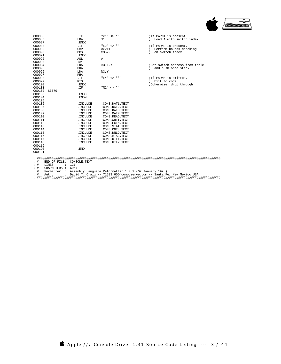

| 000085<br>000086<br>000087 |        | .IF<br>LDA<br>.ENDC                 | "81" < "1"<br>31                                               | ; If PARM1 is present,<br>Load A with switch index<br>$\mathbf{r}$               |
|----------------------------|--------|-------------------------------------|----------------------------------------------------------------|----------------------------------------------------------------------------------|
| 000088<br>000089<br>000090 |        | .IF<br>CMP<br><b>BCS</b>            | "2" < "1"<br>$#82 + 1$<br>\$3579                               | ; If PARM2 is present,<br>Perform bounds checking<br>on switch index             |
| 000091<br>000092<br>000093 |        | .ENDC<br>ASL<br>TAY                 | Α                                                              |                                                                                  |
| 000094<br>000095           |        | LDA<br>PHA                          | $83 + 1, Y$                                                    | Get switch address from table<br>and push onto stack<br>$\mathbf{r}$             |
| 000096<br>000097           |        | LDA<br>PHA                          | §3,Y                                                           |                                                                                  |
| 000098<br>000099<br>000100 |        | $T$ F<br><b>RTS</b><br>.ENDC        | $"$ $*$ 4" <><br>$11 * 11$                                     | ; If PARM4 is omitted,<br>Exit to code<br>$\ddot{i}$<br>:Otherwise, drop through |
| 000101<br>000102           | \$3579 | .IF                                 | "%2" <> ""                                                     |                                                                                  |
| 000103<br>000104<br>000105 |        | .ENDC<br>.ENDM                      |                                                                |                                                                                  |
| 000106<br>000107<br>000108 |        | . INCLUDE<br>. INCLUDE<br>. INCLUDE | : CONS. DAT1. TEXT<br>: CONS. DAT2. TEXT<br>: CONS. DAT3. TEXT |                                                                                  |
| 000109<br>000110<br>000111 |        | . INCLUDE<br>. INCLUDE<br>. INCLUDE | : CONS. MAIN. TEXT<br>: CONS. READ. TEXT<br>: CONS. WRIT. TEXT |                                                                                  |
| 000112<br>000113           |        | . INCLUDE<br>. INCLUDE              | : CONS. FCTN. TEXT<br>: CONS. STAT. TEXT                       |                                                                                  |
| 000114<br>000115<br>000116 |        | . INCLUDE<br>. INCLUDE<br>. INCLUDE | : CONS. CNTL. TEXT<br>: CONS. DNLD. TEXT<br>: CONS. MISC. TEXT |                                                                                  |
| 000117<br>000118           |        | . INCLUDE<br>. INCLUDE              | : CONS.UTL1.TEXT<br>: CONS.UTL2.TEXT                           |                                                                                  |
| 000119<br>000120<br>000121 |        | .END                                |                                                                |                                                                                  |
|                            |        |                                     |                                                                |                                                                                  |

; #################################################################################################### ; # END OF FILE: CONSOLE.TEXT ; # LINES : 121

; # CHARACTERS : 6057<br>; # Formatter : Assembly Language Reformatter 1.0.2 (07 January 1998)<br>; # Author : bavid T. Craig -- 71533.606@compuserve.com -- Santa Fe, New Mexico USA<br>; ############################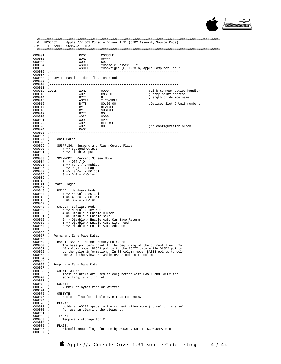

; #################################################################################################### ; # PROJECT : Apple /// SOS Console Driver 1.31 (6502 Assembly Source Code) ; # FILE NAME: CONS.DAT1.TEXT ; #################################################################################################### 000001 .PROC CONSOLE<br>000002 .WORD 0FFFF 000002 . NORD 0000002<br>0000002 . NORD 0FFI 000003 . WORD<br>000004 . ASCIT 000004 .ASCII "Console Driver -- " 000005 .ASCII "Copyright (C) 1983 by Apple Computer Inc." 000006 ;---------------------------------------------------------------------- 000007<br>000008 :<br>
Device Handler Identification Block 000009<br>000010 000010 ;---------------------------------------------------------------------- 000011 ;<br>000012 IDBLK 000012 IDBLK . WORD 0000 . WORD  $\{7, 600013, 000013, 000013, 000013, 000013, 000013, 000013, 000013, 000013, 000013, 000013, 000013, 000013, 000013, 000013, 000013, 000013, 000013, 000013, 000013, 000013, 000013, 000013,$ 000013 .WORD CNSLDH ;Entry point address 000014 .BYTE 8 ;Length of device name 000015 .ASCII ".CONSOLE 000016 .BYTE 80,00,00 000016 .BYTE 80,00,00 ;Device, Slot & Unit numbers 000017 .BYTE DEVTYPE 000018 .BYTE SUBTYPE<br>000019 .BYTE 00 000019 .BYTE 00 000020 . WORD 000020<br>000021 . WORD APPLE 000021 .WORD .WORD 000022 .WORD RELEASE  ${\tt WORD} \hspace{2cm} {\tt 00} \hspace{2cm} {\tt iNo \ configuration \ block}$  .<br>PAGE 000024<br>000025 000025 ;----------------------------------------------------------------------  $000026$  ;<br>000027 ; Global Data: 000028<br>000029 000029 ; SUSPFLSH: Suspend and Flush Output Flags 000030 ;  $7 \approx$  Suspend Output 000030 ; 7 => Suspend Output 000031 ; 6 => Flush Output 000032 000033 ; SCRNMODE: Current Screen Mode<br>000034 ; 7 => Off / On<br>000035 ; 6 => Text / Graphics<br>000036 ; 2 => Page 1 / Page 2<br>000037 ; 1 => 40 Col / 80 Col<br>000038 ; 0 => B & W / Color 000039 000040<br>000041 ; State Flags:  $000042$  ;<br>000043 ; 000043 ; HMODE: Hardware Mode<br>000044 : 7 = > 40 Col / 80 C 000044 ; 7 => 40 Col / 80 Col 000045 ; 1 => 40 Col / 80 Col 000046 ;  $0 \Rightarrow B \& W / Color$ 000047<br>000048 000048 ; SMODE: Software Mode<br>000049 ; 5 => Normal / Inve  $000049$  ;  $5 = 5$  Normal / Inverse<br>000049 ;  $4 = 5$  Disable / Enable 000050 ;  $4 \Rightarrow \text{Disable} / \text{Enable Cursor}$ <br>000051 ;  $3 \Rightarrow \text{Disable} / \text{Enable Scroll}$ 000051 ; 3 => Disable / Enable Scroll 000052 ; 2 => Disable / Enable Auto Carriage Return 000053 ; 1 => Disable / Enable Auto Line Feed 000054 ; 0 => Disable / Enable Auto Advance 000055 ; 000056<br>000057 ; Permanant Zero Page Data: 000058<br>000059 000059 ; BASE1, BASE2: Screen Memory Pointers<br>000060 ; The base pointers point to the beg: 000060 ; The base pointers point to the beginning of the current line. In 000061 ; 40 column mode, BASE1 points 000062 ; to the color information. In 80 column mode, BASE1 points to col-000063 ; umn 0 of the viewport while BASE2 points to column 1. umn 0 of the viewport while BASE2 points to column 1. 000064 000065<br>000066 ; Temporary Zero Page Data:  $000067$ <br> $000068$ 000068 ; WORK1, WORK2:<br>000069 ; These poin 000069 ; These pointers are used in conjunction with BASE1 and BASE2 for  $0.00070$  ; scrolling, shifting, etc scrolling, shifting, etc.  $000071$ <br> $000072$ 000072 ; COUNT:<br>000073 ; Numl Number of bytes read or written.  $000074$ <br> $000075$ 000075 ; ONEBYTE:<br>000076 ; Boolea Boolean flag for single byte read requests.  $000077$ <br> $000078$ 000078 ; BLANK:<br>000079 ; Hol 000079 ; Holds an ASCII space in the current video mode (normal or inverse)<br>000080 ; for use in clearing the viewport. 000081 000082 ; TEMPX:<br>000083 ; Temp Temporary storage for X. 000084<br>000085 000085 ; FLAGS:<br>000086 ; Mise 000086 ; Miscellaneous flags for use by SCROLL, SHIFT, SCRNDUMP, etc. 000087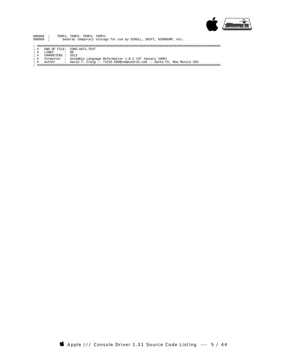

000088 ; TEMP1, TEMP2, TEMP3, TEMP4:<br>000089 ; General temporary storage 000089 ; General temporary storage for use by SCROLL, SHIFT, SCRNDUMP, etc.

- ; #################################################################################################### ; # END OF FILE: CONS.DAT1.TEXT ; # LINES : 89 ; # CHARACTERS : 3512 ; # Formatter : Assembly Language Reformatter 1.0.2 (07 January 1998) ; # Author : David T. Craig -- 71533.606@compuserve.com -- Santa Fe, New Mexico USA ; ####################################################################################################
- 
- 
- 
- 
-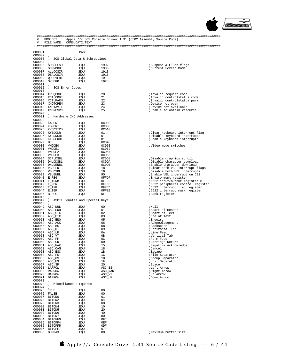

; #################################################################################################### ; # PROJECT : Apple /// SOS Console Driver 1.31 (6502 Assembly Source Code) ; # FILE NAME: CONS.DAT2.TEXT

; ####################################################################################################

| 000001                        |                                                | . PAGE                        |                       |                                                                  |
|-------------------------------|------------------------------------------------|-------------------------------|-----------------------|------------------------------------------------------------------|
| 000002<br>000003              | $\cdot$<br>$\cdot$                             | SOS Global Data & Subroutines |                       |                                                                  |
| 000004                        | $\cdot$                                        |                               |                       |                                                                  |
| 000005<br>000006              | SUSPFLSH                                       | .EQU                          | 1902<br>1906          | ;Suspend & Flush flags<br>¿Current Screen Mode                   |
|                               | SCRNMODE<br>000007 ALLOCSIR                    | .EQU<br>.EQU                  | 1913                  |                                                                  |
|                               | 000008 DEALCSIR                                | .EQU                          | 1916                  |                                                                  |
| 000009                        | QUEEVENT                                       | . EQU                         | 191F                  |                                                                  |
| 000010<br>000011              | SYSERR<br>$\cdot$                              | .EQU                          | 1928                  |                                                                  |
| 000012                        | $\ddot{i}$<br>SOS Error Codes                  |                               |                       |                                                                  |
| 000013<br>000014              | $\cdot$<br>XREQCODE                            | .EQU                          | 20                    | ;Invalid request code                                            |
| 000015                        | XCTLCODE                                       | .EQU                          | 21                    | ; Invalid controlstatus code                                     |
| 000016                        | XCTLPARM                                       | .EQU                          | 22                    | ;Invalid controlstatus parm                                      |
| 000017<br>000018              | XNOTOPEN<br>XNOTAVIL                           | . EQU<br>.EQU                 | 23<br>24              | ;Device not open<br>;Device not available                        |
| 000019                        | XNORESRC                                       | . EQU                         | 25                    | ;Unable to obtain resource                                       |
| 000020                        | $\cdot$                                        |                               |                       |                                                                  |
| 000021<br>000022              | Hardware I/O Addresses<br>$\cdot$ :<br>$\cdot$ |                               |                       |                                                                  |
| 000023                        | KAPORT                                         | .EQU                          | <b>0C000</b>          |                                                                  |
| 000024 KBPORT                 |                                                | .EQU                          | 0C008                 |                                                                  |
|                               | 000025 KYBDSTRB<br>000026 KYBDCLR              | .EQU<br>.EQU                  | 0C010<br>01           | :Clear keyboard interrupt flag                                   |
|                               | 000027 KYBDDSBL                                | . EQU                         | 01                    | ;Disable keyboard interrupts                                     |
|                               | 000028 KYBDENBL                                | . EOU                         | 81                    | Enable keyboard interrupts                                       |
| 000029 BELL<br>000030 VMODE0  |                                                | .EOU<br>. EOU                 | 0C040<br>0C050        | ;Video mode switches                                             |
| 000031 VMODE1                 |                                                | . EOU                         | 0C052                 |                                                                  |
| 000032 VMODE2                 |                                                | .EQU                          | 0C054                 |                                                                  |
| 000033 VMODE3                 | 000034 SCRLDSBL                                | . EQU<br>.EQU                 | <b>0C056</b><br>0C0D8 | ;Disable graphics scroll                                         |
|                               | 000035 DNLDDSBL                                | . EQU                         | 0C0DA                 | ;Disable character download                                      |
| 000037 VBLCLR                 | 000036 DNLDENBL                                | . EQU<br>.EOU                 | 0C0DB<br>18           | ;Enable character download                                       |
|                               | 000038 VBLDSBL                                 | .EQU                          | 18                    | :Clear both VBL interrupt flags<br>; Disable both VBL interrupts |
|                               | 000039 VBLENBL                                 | .EQU                          | 90                    | ;Enable VBL interrupt on CB2                                     |
| 000040 E_REG<br>000041 E_IORB |                                                | . EOU<br>. EQU                | 0FFDF<br>0FFE0        | ;Environment register<br>%6522 input/output register B           |
| 000042 E_PCR                  |                                                | . EQU                         | <b>OFFEC</b>          | :6522 peripheral control register                                |
| 000043                        | E_IFR                                          | .EQU                          | 0FFED                 | 76522 interrupt flag register                                    |
| 000044<br>000045              | $E$ _IER<br>B_REG                              | .EQU<br>.EQU                  | OFFEE<br><b>OFFEF</b> | :6522 interrupt mask register<br>;Bank register                  |
| 000046                        | $\cdot$                                        |                               |                       |                                                                  |
| 000047                        | ; ASCII Equates and Special Keys               |                               |                       |                                                                  |
| 000048<br>000049              | $\cdot$<br>ASC_NUL                             | . EQU                         | 00                    | ;Null                                                            |
| 000050                        | ASC_SOH                                        | .EQU                          | 01                    | ;Start of Header                                                 |
| 000051                        | ASC_STX                                        | .EQU                          | 02                    | ;Start of Text                                                   |
| 000052<br>000053              | ASC_ETX<br>ASC_ENQ                             | .EQU<br>. EQU                 | 03<br>05              | ;End of Text<br>;Enquiry                                         |
| 000054                        | ASC_ACK                                        | . EQU                         | 06                    | <i>i</i> Acknowledgement                                         |
| 000055<br>000056              | ASC_BS<br>ASC_HT                               | .EOU<br>.EQU                  | 08<br>09              | ;Backspace<br>Horizontal Tab                                     |
| 000057                        | ASC_LF                                         | .EQU                          | 0A                    | <i>i</i> Line Feed                                               |
| 000058                        | ASC_VT                                         | . EQU                         | 0В                    | ;Vertical Tab                                                    |
| 000059<br>000060              | ASC_FF<br>ASC_CR                               | .EQU<br>.EQU                  | 0C<br>0D              | Form Feed<br>;Carriage Return                                    |
| 000061                        | ASC_NAK                                        | . EQU                         | 15                    | Negative Acknowledge;                                            |
| 000062                        | ASC_CAN                                        | .EQU                          | 18                    | ;Cancel                                                          |
| 000064 ASC_FS                 | 000063 ASC_ESC                                 | .EQU<br>.EQU                  | 1B<br>1C              | , Escape<br><i>File Separator</i>                                |
| 000065 ASC_GS                 |                                                | .EQU                          | 1D                    | Group Separator                                                  |
| 000066<br>000067              | ASC_US<br>ASC_SP                               | .EQU                          | 1F<br>20              | ;Unit Separator                                                  |
| 000068                        | LARROW                                         | . EQU<br>.EQU                 | ASC_BS                | ; Space<br><i>i</i> Left Arrow                                   |
| 000069                        | <b>RARROW</b>                                  | .EQU                          | ASC_NAK               | Right Arrow                                                      |
| 000070<br>000071              | <b>UARROW</b><br>DARROW                        | .EQU<br>.EQU                  | ASC VT<br>ASC LF      | <i>i</i> Up Arrow<br>; Down Arrow                                |
| 000072                        | $\cdot$                                        |                               |                       |                                                                  |
| 000073                        | ; Miscellaneous Equates                        |                               |                       |                                                                  |
| 000074<br>000075              | TRUE                                           | .EOU                          | 80                    |                                                                  |
| 000076                        | FALSE                                          | .EQU                          | 00                    |                                                                  |
| 000077                        | BITON0                                         | .EQU                          | 01                    |                                                                  |
| 000078<br>000079              | BITON2<br>BITON3                               | .EOU<br>.EQU                  | 04<br>08              |                                                                  |
| 000080                        | BITON4                                         | .EQU                          | 10                    |                                                                  |
| 000081                        | BITON5                                         | .EQU                          | 20                    |                                                                  |
| 000082<br>000083              | BITON6<br>BITON7                               | .EQU<br>.EQU                  | 40<br>80              |                                                                  |
| 000084                        | BITOFF0                                        | .EOU                          | 0FE                   |                                                                  |
| 000085                        | BITOFF4                                        | .EQU                          | 0EF                   |                                                                  |
| 000086<br>000087              | BITOFF5<br>BITOFF7                             | .EQU<br>.EQU                  | 0DF<br>07F            |                                                                  |
| 000088                        | <b>BUFMAX</b>                                  | .EQU                          | 80                    | /Maximum buffer size                                             |

| ;Invalid request code<br>; Invalid controlstatus code<br>; Invalid controlstatus parm<br>Device not open<br>;Device not available<br>;Unable to obtain resource                                                                                  |
|--------------------------------------------------------------------------------------------------------------------------------------------------------------------------------------------------------------------------------------------------|
| :Clear keyboard interrupt flag<br>;Disable keyboard interrupts<br>;Enable keyboard interrupts                                                                                                                                                    |
| ;Video mode switches                                                                                                                                                                                                                             |
| ;Disable graphics scroll<br>;Disable character download<br>;Enable character download<br>;Clear both VBL interrupt flag<br>;Disable both VBL interrupts<br>;Enable VBL interrupt on CB2<br>Environment register<br>16522 input/output register B |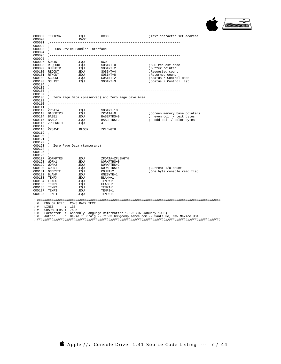

| 000090     | 000089 TEXTCSA                                 | .EQU 0C00<br>. PAGE                   |                                                                                                                                                                                                                                                    | ;Text character set address |  |
|------------|------------------------------------------------|---------------------------------------|----------------------------------------------------------------------------------------------------------------------------------------------------------------------------------------------------------------------------------------------------|-----------------------------|--|
|            |                                                |                                       |                                                                                                                                                                                                                                                    |                             |  |
| 000092 :   |                                                |                                       |                                                                                                                                                                                                                                                    |                             |  |
|            |                                                | 000093 ; SOS Device Handler Interface |                                                                                                                                                                                                                                                    |                             |  |
| 000094 :   |                                                |                                       |                                                                                                                                                                                                                                                    |                             |  |
|            |                                                |                                       |                                                                                                                                                                                                                                                    |                             |  |
| 000096     | $\mathbf{i}$                                   |                                       |                                                                                                                                                                                                                                                    |                             |  |
|            |                                                |                                       |                                                                                                                                                                                                                                                    |                             |  |
|            |                                                |                                       |                                                                                                                                                                                                                                                    | ;SOS request code           |  |
|            |                                                |                                       |                                                                                                                                                                                                                                                    | Buffer pointer              |  |
|            |                                                |                                       |                                                                                                                                                                                                                                                    | Requested count             |  |
|            |                                                |                                       |                                                                                                                                                                                                                                                    | Returned count;             |  |
|            |                                                |                                       |                                                                                                                                                                                                                                                    | ;Status / Control code      |  |
|            |                                                |                                       |                                                                                                                                                                                                                                                    | ;Status / Control list      |  |
| $000104$ ; |                                                |                                       |                                                                                                                                                                                                                                                    |                             |  |
| $000105$ ; |                                                |                                       |                                                                                                                                                                                                                                                    |                             |  |
|            |                                                |                                       |                                                                                                                                                                                                                                                    |                             |  |
| $000107$ ; |                                                |                                       |                                                                                                                                                                                                                                                    |                             |  |
|            |                                                |                                       | 000108 ; Zero Page Data (preserved) and Zero Page Save Area                                                                                                                                                                                        |                             |  |
| 000109 ;   |                                                |                                       |                                                                                                                                                                                                                                                    |                             |  |
|            |                                                |                                       |                                                                                                                                                                                                                                                    |                             |  |
| 000111 i   |                                                |                                       |                                                                                                                                                                                                                                                    |                             |  |
|            |                                                |                                       | 000111 /<br>1000112 ZPDATA .EQU SOSINT+10.<br>000113 BASEPTRS .EQU ZPDATA+0<br>000114 BASE1 .EQU BASEPTRS+0<br>000115 BASE2 .EQU BASEPTRS+2<br>000116 ZPLENGTH .EQU 4                                                                              |                             |  |
|            |                                                |                                       |                                                                                                                                                                                                                                                    | Screen memory base pointers |  |
|            |                                                |                                       |                                                                                                                                                                                                                                                    | ; even col. / text bytes    |  |
|            |                                                |                                       |                                                                                                                                                                                                                                                    | ; odd col. / color bytes    |  |
|            |                                                |                                       |                                                                                                                                                                                                                                                    |                             |  |
|            | $000117$ ;                                     |                                       |                                                                                                                                                                                                                                                    |                             |  |
|            |                                                | 000118 ZPSAVE .BLOCK ZPLENGTH         |                                                                                                                                                                                                                                                    |                             |  |
| $000119$ ; |                                                |                                       |                                                                                                                                                                                                                                                    |                             |  |
| 000120 i   |                                                |                                       |                                                                                                                                                                                                                                                    |                             |  |
|            |                                                |                                       |                                                                                                                                                                                                                                                    |                             |  |
| 000122 i   |                                                |                                       |                                                                                                                                                                                                                                                    |                             |  |
|            |                                                | 000123 ; Zero Page Data (temporary)   |                                                                                                                                                                                                                                                    |                             |  |
| 000124 ;   |                                                |                                       |                                                                                                                                                                                                                                                    |                             |  |
|            |                                                |                                       |                                                                                                                                                                                                                                                    |                             |  |
| $000126$ ; |                                                |                                       |                                                                                                                                                                                                                                                    |                             |  |
|            | 000127 WORKPTRS                                |                                       |                                                                                                                                                                                                                                                    |                             |  |
|            |                                                |                                       |                                                                                                                                                                                                                                                    |                             |  |
|            | 000128 WORK1<br>000129 WORK2<br>000130 COUNT   |                                       |                                                                                                                                                                                                                                                    |                             |  |
|            |                                                |                                       |                                                                                                                                                                                                                                                    | :Current I/O count          |  |
|            | 000131 ONEBYTE<br>000132 BLANK<br>000132 TEMPY |                                       | EQU ZPDATA+ZPLENGTH<br>EQU WORKPTRS+0<br>EQU WORKPTRS+2<br>EQU WORKPTRS+4<br>EQU WORKPTRS+4<br>EQU COUNT+2<br>EQU DIENTE+1<br>EQU BLANK+1<br>EQU TEMPX+1<br>EQU TEMPX+1<br>EQU TEMP1+1<br>EQU TEMP1+1<br>EQU TEMP1+1<br>EQU TEMP1+1<br>EQU TEMP1+1 | :One byte console read flag |  |
|            |                                                |                                       |                                                                                                                                                                                                                                                    |                             |  |
|            | 000133 TEMPX                                   |                                       |                                                                                                                                                                                                                                                    |                             |  |
|            | 000134 FLAGS                                   |                                       |                                                                                                                                                                                                                                                    |                             |  |
|            |                                                |                                       |                                                                                                                                                                                                                                                    |                             |  |
|            | 000135 TEMP1<br>000136 TEMP2                   |                                       |                                                                                                                                                                                                                                                    |                             |  |
|            | 000137 TEMP3                                   |                                       |                                                                                                                                                                                                                                                    |                             |  |
|            |                                                | 000138 TEMP4 .EQU TEMP3+1             |                                                                                                                                                                                                                                                    |                             |  |
|            |                                                |                                       |                                                                                                                                                                                                                                                    |                             |  |
|            |                                                |                                       |                                                                                                                                                                                                                                                    |                             |  |
| $;$ $\#$   |                                                | END OF FILE: CONS.DAT2.TEXT           |                                                                                                                                                                                                                                                    |                             |  |
| $;$ #      | LINES : 138                                    |                                       |                                                                                                                                                                                                                                                    |                             |  |
| $;$ $#$    | CHARACTERS : 7595                              |                                       |                                                                                                                                                                                                                                                    |                             |  |
| $;$ $#$    |                                                |                                       | Formatter : Assembly Language Reformatter 1.0.2 (07 January 1998)<br>Author : David T. Craig -- 71533.606@compuserve.com -- Santa Fe, New Mexico USA                                                                                               |                             |  |
| $;$ #      |                                                |                                       |                                                                                                                                                                                                                                                    |                             |  |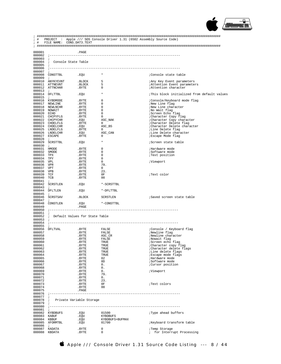

; #################################################################################################### ; # PROJECT : Apple /// SOS Console Driver 1.31 (6502 Assembly Source Code) ; # FILE NAME: CONS.DAT3.TEXT ; ####################################################################################################

|                                                       | . PAGE                                                                            |                                                                                       |                                              |
|-------------------------------------------------------|-----------------------------------------------------------------------------------|---------------------------------------------------------------------------------------|----------------------------------------------|
| ; ------------------<br>$\cdot$ :                     |                                                                                   | ---------------------------------                                                     |                                              |
| 000004 ; Console State Table                          |                                                                                   |                                                                                       |                                              |
| $\cdot$ $\cdot$                                       |                                                                                   |                                                                                       |                                              |
|                                                       |                                                                                   |                                                                                       |                                              |
| $\ddot{i}$                                            | 000008 CONSTTBL .EQU                                                              | $^\star$                                                                              | :Console state table                         |
| $000009$ ;                                            |                                                                                   |                                                                                       |                                              |
|                                                       |                                                                                   | -5                                                                                    | <i>l</i> Any Key Event parameters            |
|                                                       |                                                                                   | 5                                                                                     | Attention Event parameters                   |
|                                                       |                                                                                   | $\overline{0}$                                                                        | <i>i</i> Attention character                 |
| $000013$ ;                                            |                                                                                   |                                                                                       |                                              |
|                                                       | 000014 DFLTTBL .EQU                                                               |                                                                                       | This block initialized from default values   |
| $000015$ ;                                            |                                                                                   | $\begin{array}{c} 0 \ 0 \ 0 \ 0 \ 0 \ 0 \ 0 \ 0 \ \hline \text{ASC\_NAK} \end{array}$ |                                              |
| $000016$ KYBDMODE<br>000017 NEWLINE                   | .BYTE<br>. BYTE                                                                   |                                                                                       | :Console/Keyboard mode flag<br>Wew Line flag |
| 000018 NEWLNCHR                                       |                                                                                   |                                                                                       | ;New Line character                          |
| 000019 NOWAIT                                         |                                                                                   |                                                                                       | ;No Wait flag                                |
| 000020 ECHO                                           |                                                                                   |                                                                                       | ;Screen Echo flag                            |
| 000021 CHCPYFLG                                       |                                                                                   |                                                                                       | :Character Copy flag                         |
| 000022 CHCPYCHR<br>000023 CHDELFLG                    |                                                                                   |                                                                                       | Character Copy character                     |
|                                                       |                                                                                   | $\overline{0}$                                                                        | Character Delete flag                        |
|                                                       |                                                                                   | ASC_BS                                                                                | :Character Delete character                  |
| 000024 CHDELCHR<br>000025 LNDELFLG<br>000026 LNDELCHR |                                                                                   |                                                                                       | ;Line Delete flag                            |
|                                                       |                                                                                   |                                                                                       | ;Line Delete character                       |
| 000027 ESCAPE                                         | BYTE<br>BYTE<br>BYTE<br>BYTE<br>BYTE<br>EQU<br>EQU<br>CE<br>COURTE<br>EQU<br>SYTE | U<br>ASC_CAN<br>0                                                                     | ;Escape Mode flag                            |
| $000028$ ;                                            |                                                                                   |                                                                                       |                                              |
| 000029 SCRSTTBL                                       | .EQU                                                                              | $\star$                                                                               | Screen state table                           |
| $000030$ ;                                            |                                                                                   |                                                                                       |                                              |
| 000031 HMODE                                          | .BYTE<br>.BYTE                                                                    |                                                                                       | ;Hardware mode                               |
| 000032 SMODE                                          |                                                                                   |                                                                                       | ;Software mode                               |
| 000033 TPX                                            |                                                                                   |                                                                                       | ;Text position                               |
| 000034 TPY                                            | BYTE<br>BYTE<br>BYTE<br>BYTE<br>BYTE<br>SYTE<br>NTE<br>RYTE                       | $\begin{bmatrix} 0 \\ 0 \\ 0 \\ 0 \\ 0 \end{bmatrix}$                                 |                                              |
| 000035 VPL                                            |                                                                                   | $\begin{bmatrix} 79 \\ 0 \end{bmatrix}$                                               | <i>;</i> Viewport                            |
| 000036 VPR                                            |                                                                                   |                                                                                       |                                              |
| 000037 VPT<br>000038 VPB                              |                                                                                   | $\frac{0}{23}$ .                                                                      |                                              |
| 000039 TCF                                            |                                                                                   | 0F                                                                                    | ;Text color                                  |
| 000040 TCB                                            | BYTE .<br>. BYTE                                                                  | - 00                                                                                  |                                              |
| 000041 i                                              |                                                                                   |                                                                                       |                                              |
|                                                       | 000042 SCRSTLEN .EQU                                                              | *-SCRSTTBL                                                                            |                                              |
| $000043$ ;                                            |                                                                                   |                                                                                       |                                              |
|                                                       | 000044 DFLTLEN .EQU                                                               | *-DFLTTBL                                                                             |                                              |
| $000045$ ;                                            |                                                                                   |                                                                                       |                                              |
| 000046 SCRSTSAV                                       |                                                                                   | . BLOCK SCRSTLEN                                                                      | Saved screen state table                     |
| 000047 :                                              |                                                                                   |                                                                                       |                                              |
| 000048 CONSTLEN                                       | .EQU                                                                              | *-CONSTTBL                                                                            |                                              |
|                                                       | . PAGE                                                                            |                                                                                       |                                              |
|                                                       |                                                                                   |                                                                                       |                                              |
| $000051$ ;                                            |                                                                                   |                                                                                       |                                              |
| $\cdot$ $\cdot$                                       | 000052 ; Default Values for State Table                                           |                                                                                       |                                              |
| $\cdot$ $\cdot$ $-$                                   |                                                                                   |                                                                                       |                                              |
| $\mathbf{r}$                                          |                                                                                   |                                                                                       |                                              |
| 000056 DFLTVAL                                        |                                                                                   |                                                                                       | :Console / Keyboard flag                     |
|                                                       | BYTE FALSE<br>BYTE FALSE<br>BYTE ASC_CR<br>BYTE FALSE<br>BYTE TRUE                |                                                                                       | ;Newline flag                                |
|                                                       |                                                                                   |                                                                                       | ;Newline character                           |
|                                                       |                                                                                   |                                                                                       | ;Nowait flag                                 |
|                                                       |                                                                                   |                                                                                       | ;Screen echo flag                            |
|                                                       | . BYTE                                                                            | TRUE                                                                                  | Character copy flag                          |
|                                                       | .BYTE                                                                             | TRUE                                                                                  | :Character delete flags                      |
|                                                       | . BYTE                                                                            | TRUE                                                                                  | <i>i</i> Line delete flags                   |
|                                                       | .BYTE                                                                             | TRUE                                                                                  | ;Escape mode flags                           |
|                                                       | .BYTE                                                                             | 02                                                                                    | Hardware mode                                |
|                                                       | . BYTE                                                                            | 0 <sub>D</sub>                                                                        | ;Software mode                               |
|                                                       | . BYTE                                                                            | 0.                                                                                    | :Cursor position                             |
|                                                       | .BYTE                                                                             | 0.                                                                                    |                                              |
|                                                       | .BYTE                                                                             | 0.                                                                                    | ;Viewport                                    |
|                                                       | . BYTE                                                                            | 79.                                                                                   |                                              |
|                                                       | .BYTE                                                                             | 0.                                                                                    |                                              |
|                                                       | . BYTE                                                                            | 23.                                                                                   |                                              |
|                                                       | .BYTE<br>.BYTE                                                                    | 0F<br>00                                                                              | ;Text colors                                 |
|                                                       |                                                                                   |                                                                                       |                                              |
|                                                       | . PAGE                                                                            |                                                                                       |                                              |
| $\cdot$ :                                             |                                                                                   |                                                                                       |                                              |
|                                                       | ; Private Variable Storage                                                        |                                                                                       |                                              |
| $\ddot{i}$                                            |                                                                                   |                                                                                       |                                              |
|                                                       |                                                                                   |                                                                                       |                                              |
| $000081$ ;                                            |                                                                                   |                                                                                       |                                              |
| 000082 KYBDBUFS                                       | .EQU                                                                              | 01500                                                                                 | :Type ahead buffers                          |
| 000083 KABUF                                          | .EQU                                                                              | KYBDBUFS                                                                              |                                              |
| 000084 KBBUF                                          | .EQU<br>.EQU                                                                      | KYBDBUFS+BUFMAX                                                                       |                                              |
| 000085 XFORMTBL                                       |                                                                                   | 01700                                                                                 | ;Keyboard transform table                    |
| $000086$ ;                                            |                                                                                   |                                                                                       |                                              |
| 000087 KADATA                                         | . BYTE                                                                            | $\mathbf{0}$                                                                          | ;Temp Storage                                |
| 000088 KBDATA                                         | . BYTE                                                                            | $\mathbf{0}$                                                                          | ; for Interrupt Processing                   |

Apple /// Console Driver 1.31 Source Code Listing --- 8 / 44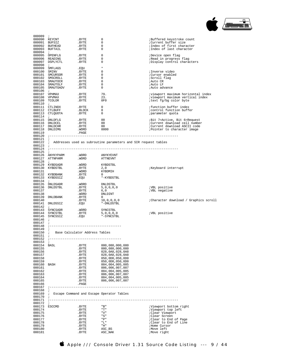

| $000089$ ;    |                                                                                                                               |                                             |                                                                         |                                                            |
|---------------|-------------------------------------------------------------------------------------------------------------------------------|---------------------------------------------|-------------------------------------------------------------------------|------------------------------------------------------------|
|               |                                                                                                                               |                                             |                                                                         |                                                            |
|               | 000090 KEYCNT<br>000091 BUFSIZ                                                                                                | .BYTE                                       | $^{\circ}$                                                              | ;Buffered keystroke count                                  |
|               |                                                                                                                               | . BYTE                                      | $\circ$                                                                 | Current buffer size                                        |
|               | 000092 BUFHEAD                                                                                                                | . BYTE                                      | $\overline{\phantom{0}}$                                                | ; Index of first character                                 |
|               | 000093 BUFTAIL                                                                                                                | . BYTE                                      | $\overline{\phantom{0}}$                                                | ; Index of last character                                  |
| 000094 ;      |                                                                                                                               |                                             |                                                                         |                                                            |
|               |                                                                                                                               |                                             |                                                                         |                                                            |
|               | 000095 OPENFLG<br>000096 READING                                                                                              | .BYTE<br>.BYTE<br>.BYTE                     | $\begin{matrix}0\\0\end{matrix}$                                        | ;Device open flag                                          |
|               |                                                                                                                               |                                             |                                                                         | Read in progress flag                                      |
|               | 000097 DSPLYCTL                                                                                                               |                                             | $\overline{\phantom{0}}$                                                | ;Display control characters                                |
| 000098 ;      |                                                                                                                               |                                             |                                                                         |                                                            |
|               |                                                                                                                               |                                             |                                                                         |                                                            |
|               | 000099 SMFLAGS<br>000099 SMFLAGS<br>000101 SMCURSOR<br>000102 SMSCROLL                                                        | EQU<br>BYTE<br>BYTE<br>BYTE<br>BYTE<br>NYTE | $\star$                                                                 |                                                            |
|               |                                                                                                                               |                                             | $\ddot{\circ}$                                                          | ;Inverse video                                             |
|               |                                                                                                                               |                                             | $\overline{\phantom{0}}$                                                | :Cursor enabled                                            |
|               |                                                                                                                               |                                             |                                                                         |                                                            |
|               |                                                                                                                               |                                             | $\overline{\phantom{0}}$                                                | ;Scroll flag                                               |
|               | 000103 SMAUTOCR                                                                                                               |                                             | $\overline{0}$                                                          | ;Auto CR                                                   |
|               | 000104 SMAUTOLF                                                                                                               | . BYTE<br>. BYTE                            | $\overline{\phantom{0}}$                                                | ;Auto LF                                                   |
|               |                                                                                                                               |                                             |                                                                         |                                                            |
|               | 000105 SMAUTOADV                                                                                                              |                                             | $\overline{0}$                                                          | ;Auto advance                                              |
| 000106 ;      |                                                                                                                               |                                             |                                                                         |                                                            |
|               | 000107 VPHMAX<br>000108 VPVMAX                                                                                                |                                             |                                                                         | viewport maximum horizontal index                          |
|               |                                                                                                                               |                                             | 79.<br>23.                                                              |                                                            |
|               |                                                                                                                               |                                             |                                                                         |                                                            |
|               | 000109 TCOLOR                                                                                                                 | .BYTE<br>.BYTE<br>.BYTE                     | 0F0                                                                     | ;viewport maximum vertical index<br>;text fg/bg color byte |
| $000110$ ;    |                                                                                                                               |                                             |                                                                         |                                                            |
|               | 000111 CTLINDX .BYTE 0<br>0001112 CTLBUFF .BLOCK 8<br>000113 CTLQUOTA .BYTE 0                                                 |                                             |                                                                         | :function buffer index                                     |
|               |                                                                                                                               |                                             |                                                                         |                                                            |
|               |                                                                                                                               |                                             |                                                                         | control function buffer                                    |
|               |                                                                                                                               |                                             |                                                                         | ;parameter quota                                           |
| 000114 :      |                                                                                                                               |                                             |                                                                         |                                                            |
|               |                                                                                                                               |                                             |                                                                         | Bit 7=Active, Bit 6=Request;                               |
|               |                                                                                                                               | BYTE<br>BYTE<br>MORD<br>MORD                |                                                                         |                                                            |
|               |                                                                                                                               |                                             |                                                                         | :Current download cell number                              |
|               |                                                                                                                               |                                             |                                                                         | Current download ASCII code                                |
|               | 000118 DNLDIMG                                                                                                                |                                             | 0000                                                                    | Pointer to character image                                 |
| 000119        |                                                                                                                               | . PAGE                                      |                                                                         |                                                            |
|               |                                                                                                                               |                                             |                                                                         |                                                            |
|               |                                                                                                                               |                                             |                                                                         |                                                            |
| $000121$ ;    |                                                                                                                               |                                             |                                                                         |                                                            |
|               |                                                                                                                               |                                             | 000122 ; Addresses used as subroutine parameters and SIR request tables |                                                            |
| $000123$ ;    |                                                                                                                               |                                             |                                                                         |                                                            |
|               |                                                                                                                               |                                             |                                                                         |                                                            |
|               |                                                                                                                               |                                             |                                                                         |                                                            |
| $000125$ ;    |                                                                                                                               |                                             |                                                                         |                                                            |
|               | $\begin{tabular}{llll} 000126 & ANYKYPARM & & .WORD & & ANYKYEVNT \\ 000127 & ATTNPARM & & .WORD & ATTNEVNT \\ \end{tabular}$ |                                             |                                                                         |                                                            |
|               |                                                                                                                               |                                             |                                                                         |                                                            |
|               |                                                                                                                               |                                             |                                                                         |                                                            |
| $000128$ ;    |                                                                                                                               |                                             |                                                                         |                                                            |
|               |                                                                                                                               |                                             |                                                                         |                                                            |
|               |                                                                                                                               |                                             |                                                                         |                                                            |
|               |                                                                                                                               |                                             |                                                                         | Keyboard interrupt                                         |
|               |                                                                                                                               |                                             |                                                                         |                                                            |
|               |                                                                                                                               |                                             |                                                                         |                                                            |
|               |                                                                                                                               |                                             |                                                                         |                                                            |
|               |                                                                                                                               |                                             |                                                                         |                                                            |
| 000134 ;      |                                                                                                                               |                                             |                                                                         |                                                            |
|               |                                                                                                                               |                                             |                                                                         |                                                            |
|               |                                                                                                                               |                                             |                                                                         |                                                            |
|               |                                                                                                                               |                                             |                                                                         | ;VBL positive<br>;VBL negative                             |
|               |                                                                                                                               |                                             |                                                                         |                                                            |
|               |                                                                                                                               |                                             |                                                                         |                                                            |
|               |                                                                                                                               |                                             |                                                                         |                                                            |
|               |                                                                                                                               |                                             |                                                                         |                                                            |
|               |                                                                                                                               |                                             |                                                                         | :Character download / Graphics scroll                      |
|               |                                                                                                                               |                                             |                                                                         |                                                            |
|               | $000142$ ;                                                                                                                    |                                             |                                                                         |                                                            |
|               |                                                                                                                               |                                             |                                                                         |                                                            |
|               |                                                                                                                               |                                             |                                                                         |                                                            |
|               | 000143 SYNCSADR<br>000144 SYNCSTBL                                                                                            | .WORD<br>.BYTE<br>.EQU                      | SYNCSTBL<br>5,0,0,0,0<br>*-SYNCSTBL                                     | ;VBL positive                                              |
|               | 000145 SYNCSSIZ                                                                                                               |                                             |                                                                         |                                                            |
| $000146$ ;    |                                                                                                                               |                                             |                                                                         |                                                            |
| 000147 ;      |                                                                                                                               |                                             |                                                                         |                                                            |
|               |                                                                                                                               |                                             |                                                                         |                                                            |
|               |                                                                                                                               |                                             |                                                                         |                                                            |
| $000149$ ;    |                                                                                                                               |                                             |                                                                         |                                                            |
|               | 000150 ; Base Calculator Address Tables                                                                                       |                                             |                                                                         |                                                            |
|               |                                                                                                                               |                                             |                                                                         |                                                            |
| 000151        | $\cdot$ ;                                                                                                                     |                                             |                                                                         |                                                            |
| $000152$ ;--- |                                                                                                                               |                                             |                                                                         |                                                            |
| 000153        | $\cdot$ ;                                                                                                                     |                                             |                                                                         |                                                            |
| 000154 BASL   |                                                                                                                               | . BYTE                                      | 000,080,000,080                                                         |                                                            |
|               |                                                                                                                               |                                             |                                                                         |                                                            |
| 000155        |                                                                                                                               | . BYTE                                      | 000,080,000,080                                                         |                                                            |
| 000156        |                                                                                                                               | .BYTE                                       | 028,0A8,028,0A8                                                         |                                                            |
| 000157        |                                                                                                                               | . BYTE                                      | 028, 0A8, 028, 0A8                                                      |                                                            |
|               |                                                                                                                               |                                             |                                                                         |                                                            |
| 000158        |                                                                                                                               | .BYTE                                       | 050,0D0,050,0D0                                                         |                                                            |
| 000159        |                                                                                                                               | .BYTE                                       | 050,0D0,050,0D0                                                         |                                                            |
| 000160 BASH   |                                                                                                                               | . BYTE                                      | 004,004,005,005                                                         |                                                            |
| 000161        |                                                                                                                               | . BYTE                                      | 006,006,007,007                                                         |                                                            |
|               |                                                                                                                               |                                             |                                                                         |                                                            |
| 000162        |                                                                                                                               | .BYTE                                       | 004,004,005,005                                                         |                                                            |
| 000163        |                                                                                                                               | . BYTE                                      | 006,006,007,007                                                         |                                                            |
| 000164        |                                                                                                                               | .BYTE                                       | 004,004,005,005                                                         |                                                            |
|               |                                                                                                                               |                                             |                                                                         |                                                            |
| 000165        |                                                                                                                               | . BYTE                                      | 006,006,007,007                                                         |                                                            |
| 000166        |                                                                                                                               | . PAGE                                      |                                                                         |                                                            |
| 000167        |                                                                                                                               |                                             |                                                                         |                                                            |
| 000168        | $\cdot$ $\cdot$                                                                                                               |                                             |                                                                         |                                                            |
|               |                                                                                                                               |                                             |                                                                         |                                                            |
| 000169        |                                                                                                                               |                                             | : Escape Command and Escape Operator Tables                             |                                                            |
| 000170        |                                                                                                                               |                                             |                                                                         |                                                            |
| 000171        |                                                                                                                               |                                             |                                                                         |                                                            |
| 000172        |                                                                                                                               |                                             |                                                                         |                                                            |
|               |                                                                                                                               |                                             |                                                                         |                                                            |
| 000173 ESCCMD |                                                                                                                               | .BYTE                                       | "B"                                                                     | ;Viewport bottom right                                     |
| 000174        |                                                                                                                               | . BYTE                                      | "ዋ"                                                                     | Wiewport top left                                          |
| 000175        |                                                                                                                               | .BYTE                                       | "V"                                                                     | ;Clear Viewport                                            |
|               |                                                                                                                               |                                             |                                                                         |                                                            |
| 000176        |                                                                                                                               | .BYTE                                       | "S"                                                                     | <i>i</i> Clear Screen                                      |
| 000177        |                                                                                                                               | . BYTE                                      | "P"                                                                     | ;Clear to End of Page                                      |
| 000178        |                                                                                                                               | .BYTE                                       | "L"                                                                     | :Clear to End of Line                                      |
| 000179        |                                                                                                                               |                                             | "H"                                                                     | Home Cursor                                                |
|               |                                                                                                                               | . BYTE                                      |                                                                         |                                                            |
| 000180        |                                                                                                                               | . BYTE                                      | ASC_BS                                                                  | ;Move left                                                 |
| 000181        |                                                                                                                               | .BYTE                                       | ASC_NAK                                                                 | Move right                                                 |
|               |                                                                                                                               |                                             |                                                                         |                                                            |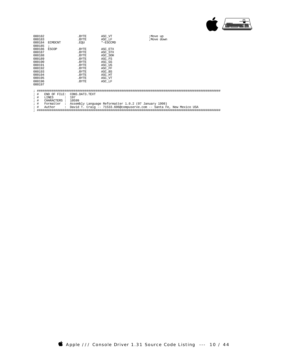

| 000182 |                | .BYTE | ASC VT   | <i>i</i> Move up |  |
|--------|----------------|-------|----------|------------------|--|
| 000183 |                | .BYTE | ASC LF   | ;Move down       |  |
| 000184 | <b>ECMDCNT</b> | .EOU  | *-ESCCMD |                  |  |
| 000185 | $\mathbf{r}$   |       |          |                  |  |
| 000186 | <b>ESCOP</b>   | .BYTE | ASC ETX  |                  |  |
| 000187 |                | .BYTE | ASC STX  |                  |  |
| 000188 |                | .BYTE | ASC SOH  |                  |  |
| 000189 |                | .BYTE | ASC FS   |                  |  |
| 000190 |                | .BYTE | ASC GS   |                  |  |
| 000191 |                | .BYTE | ASC US   |                  |  |
| 000192 |                | .BYTE | ASC FF   |                  |  |
| 000193 |                | .BYTE | ASC BS   |                  |  |
| 000194 |                | .BYTE | ASC HT   |                  |  |
| 000195 |                | .BYTE | ASC VT   |                  |  |
| 000196 |                | .BYTE | ASC LF   |                  |  |
| 000197 |                |       |          |                  |  |
|        |                |       |          |                  |  |

; ####################################################################################################

; # END OF FILE: CONS.DAT3.TEXT<br>; # LINES = : 197<br>; # CHARACTERS : 10599<br>; # Author : David T. Craig -- 71533.606@compuserve.com -- Santa Fe, New Mexico USA<br>; # Author : David T. Craig -- 71533.606@compuserve.com -- Santa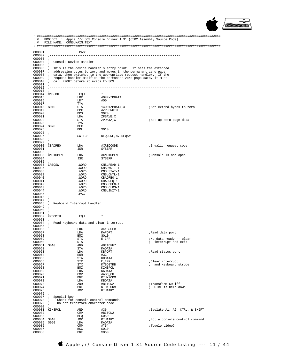

; #################################################################################################### ; # PROJECT : Apple /// SOS Console Driver 1.31 (6502 Assembly Source Code) ; # FILE NAME: CONS.MAIN.TEXT ; #################################################################################################### 000001 .PAGE 000002 ;-----------------------------------------------------------------------  $000003$ <br> $000004$ Console Device Handler  $000005$  ;<br>000006 ; 000006 ; This is the device handler's entry point. It sets the extended 000007 ; addressing bytes to zero and moves in the permanant zero page 000008 ; data, then switches to the appropriate request handler. If the 000009 ; request handler modifies the permanant zero page data, it must 000010 ; call ZPOUT before it exits to SOS. 000011<br>000012 000012 ;-----------------------------------------------------------------------  $000013$ 000014 CNSLDH .EQU .EQU  $\begin{array}{lll} \texttt{.} \texttt{C} \texttt{C} \\ \texttt{LDX} & \texttt{ \#0FF-ZPDATA}\\ \texttt{LDY} & \texttt{ \#00} \end{array}$ 000016 LDY<br>000017 TYA 000017 TYA 000018 \$010 STA 1400+ZPDATA,X ;Set extend bytes to zero 000019 CPX #ZPLENGTH 000020 BCS \$020  $\begin{array}{ccc}\n 000021 & & & \text{LDA} & & \text{ZPSAVE}, \text{X} \\
 000022 & & & \text{STA} & & \text{ZPDATA}, \text{X}\n \end{array}$ STA ZPDATA, X ;Set up zero page data<br>TYA 000023 TYA<br>000024 \$020 DEX 000024 \$020 DEX<br>000025 BPL  $000025$  BPL \$010<br>000026 ; 000026<br>000027 of the SMITCH REQCODE, 8, CREQSW . 000028 ; 000029 ;<br>000030 CBADREO 000030 CBADREQ LDA #XREQCODE ;Invalid request code 000031 000032 ;<br>000033 CNOTOPEN 000033 CNOTOPEN LDA #XNOTOPEN ;Console is not open SYSERR<sup>8</sup> 000035 ;<br>000036 CREQSW 000036 CREQSW .WORD CNSLREAD-1 .WORD CNSLREAD-1 000037 .WORD CNSLWRIT-1 .WORD CNSLWRIT-1  $\begin{array}{cccc}\n 000038 & .\n WORD & CNSLSTAT-1\n 000039 & .\n WORD & CNSLCNTL-1\n \end{array}$  $\begin{array}{cccc}\n 000039 & & & \text{WORD} & & \text{CNSLCNTL-1} \\
 000040 & & & \text{WORD} & & \text{CBADREO-1}\n \end{array}$ 000040 .WORD CBADREQ-1<br>000041 .WORD CBADREQ-1 000041 .WORD CBADREQ-1<br>000042 .WORD CNSLOPEN-000042 . WORD CNSLOPEN-1 . WORD CNSLOPEN-1 000043 .WORD CNSLCLOS-1  $-WORD$   $CNSLINIT-1$  $000045$ <br> $000046$ 000046 ;-----------------------------------------------------------------------  $000047$ ; Keyboard Interrupt Handler 000049 ; 000050 ;----------------------------------------------------------------------- 000052 KYBDMIH .EQU \*  $000053$  ;<br>000054 : Read keyboard data and clear interrupt 000055 ;<br>000056 000056 LDX #KYBDCLR  $\begin{array}{lllllll} {\tt LDA} & & {\tt KADORT} & & & {\tt }{\tt }{\tt }{\tt }{\tt Read}~{\tt data}~{\tt port} \\ {\tt BMI} & & {\tt \$010} & & & & \end{array}$ 000058 BMI \$010<br>000059 BMI \$010<br>000059 STX E\_IFR 000059 STX  $\overline{E}$  IFR  $\overline{N}$  ;No data ready -- clear in terms and exit 000060 RTS ; interrupt and exit  $\begin{array}{cccc}\n 000061 & 010 & & \text{AND} & \text{HBTOFF} \\
 000062 & & \text{STA} & & \text{KADATA}\n \end{array}$ 000062 STA KADATA LDA KBPORT ;Read status port EOR #3C  $\begin{array}{cc}\n 000064 & & \text{EOR} \\
 000065 & & \text{STA} \\
 000066 & & & \text{STX}\n \end{array}$ STA KBDATA<br>STX F. TFR 000066 STX E\_IFR ;Clear interrupt 000067 STX KYBDSTRB ; and keyboard strobe BMI KIHSPCL<br>LDA KADATA 000068 BMI<br>000069 LDA<br>000070 CMP  $\begin{array}{cccc}\n 000070 & & & & & & & \text{HASC_CR} \\
 000071 & & & & & & \text{BNE} & & & \text{KIIXFOR} \\
 000072 & & & & & & \text{LDA} & & & \text{KBDATA}\n \end{array}$ 000071 BNE KIHXFORM 000072 LDA KBDATA 000073 AND #BITON2 ;Transform CR iff 000074 BNE KIHXFORM ; CTRL is held down KIHA1KY 000076<br>000077 000077 ; Special key 000078 ; Check for console control commands 000079 ; Do not transform character code 000080 ;<br>000081 KIHSPCL 000081 KIHSPCL AND #36 ;Isolate A1, A2, CTRL, & SHIFT 000082 CMP #BITON2<br>000083 CMP #BITON2<br>000083 REO \$050 000083 BEQ \$050 000084 \$010 JMP KIHA1KY ;Not a console control command 000085 \$050 LDA KADATA 000086 CMP #"5" ;Toggle video? 000087 BCC \$010 000088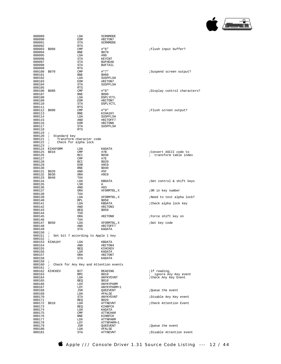

| 000089   |                            | LDA                                    | SCRNMODE        |                              |
|----------|----------------------------|----------------------------------------|-----------------|------------------------------|
| 000090   |                            | EOR                                    | #BITON7         |                              |
| 000091   |                            | STA                                    | SCRNMODE        |                              |
| 000092   |                            | <b>RTS</b>                             |                 |                              |
| 000093   | \$060                      | CMP                                    | #"6"            | ; Flush input buffer?        |
| 000094   |                            | BNE                                    | \$070           |                              |
| 000095   |                            | LDA                                    | #00             |                              |
| 000096   |                            | STA                                    | KEYCNT          |                              |
| 000097   |                            | STA                                    | <b>BUFHEAD</b>  |                              |
| 000098   |                            | STA                                    | BUFTAIL         |                              |
|          |                            |                                        |                 |                              |
| 000099   |                            | RTS                                    |                 |                              |
| 000100   | \$070                      | CMP                                    | #"7"            | ;Suspend screen output?      |
| 000101   |                            | BNE                                    | \$080           |                              |
| 000102   |                            | LDA                                    | SUSPFLSH        |                              |
| 000103   |                            | EOR                                    | #BITON7         |                              |
| 000104   |                            | STA                                    | SUSPFLSH        |                              |
| 000105   |                            | RTS                                    |                 |                              |
| 000106   | \$080                      | CMP                                    | #"8"            | ;Display control characters? |
| 000107   |                            | <b>BNE</b>                             | \$090           |                              |
| 000108   |                            | LDA                                    | DSPLYCTL        |                              |
| 000109   |                            | EOR                                    | #BITON7         |                              |
| 000110   |                            | STA                                    | DSPLYCTL        |                              |
| 000111   |                            |                                        |                 |                              |
|          | \$090                      | RTS                                    | #"9"            |                              |
| 000112   |                            | CMP                                    |                 | ;Flush screen output?        |
| 000113   |                            | BNE                                    | KIHA1KY         |                              |
| 000114   |                            | LDA                                    | SUSPFLSH        |                              |
| 000115   |                            | AND                                    | #BITOFF7        |                              |
| 000116   |                            | EOR                                    | #BITON6         |                              |
| 000117   |                            | STA                                    | SUSPFLSH        |                              |
| 000118   |                            | RTS                                    |                 |                              |
| 000119   | $\cdot$                    |                                        |                 |                              |
| 000120   | $\ddot{i}$<br>Standard key |                                        |                 |                              |
| 000121 i |                            | Transform character code               |                 |                              |
| 000122 i |                            | Check for alpha lock                   |                 |                              |
| 000123   | $\cdot$                    |                                        |                 |                              |
|          | 000124 KIHXFORM            | LDA                                    | KADATA          |                              |
| 000125   | \$010                      | CMP                                    | #7B             | ;Convert ASCII code to       |
|          |                            |                                        |                 |                              |
| 000126   |                            | BCC                                    | \$030           | ; transform table index      |
| 000127   |                            | CMP                                    | #7E             |                              |
| 000128   |                            | BCC                                    | \$020           |                              |
| 000129   |                            | EOR                                    | #0C0            |                              |
| 000130   |                            | BNE                                    | \$040           |                              |
| 000131   | \$020                      | AND                                    | #5F             |                              |
| 000132   | \$030                      | ORA                                    | #0C0            |                              |
| 000133   | \$040                      | TAX                                    |                 |                              |
| 000134   |                            | LDA                                    | KBDATA          | ;Get control & shift keys    |
| 000135   |                            | LSR                                    | Α               |                              |
| 000136   |                            | AND                                    | #03             |                              |
| 000137   |                            |                                        | XFORMTBL, X     |                              |
|          |                            | ORA                                    |                 | :OR in key number            |
| 000138   |                            | TAX                                    |                 |                              |
| 000139   |                            | LDA                                    | XFORMTBL, X     | Need to test alpha lock?     |
| 000140   |                            | BPL                                    | \$050           |                              |
| 000141   |                            | LDA                                    | KBDATA          | :Check alpha lock key        |
| 000142   |                            | AND                                    | #BITON3         |                              |
| 000143   |                            | BEQ                                    | \$050           |                              |
| 000144   |                            | TXA                                    |                 |                              |
| 000145   |                            | ORA                                    | #BITON0         | ;Force shift key on          |
| 000146   |                            | TAX                                    |                 |                              |
| 000147   | \$050                      | LDA                                    | XFORMTBL, X     | ;Get key code                |
| 000148   |                            | AND                                    | #BITOFF7        |                              |
|          |                            |                                        |                 |                              |
| 000149   |                            | STA                                    | KADATA          |                              |
| 000150   | ÷                          |                                        |                 |                              |
| 000151   | $\ddot{i}$                 | Set bit 7 according to Apple 1 key     |                 |                              |
| 000152   |                            |                                        |                 |                              |
|          | 000153 KIHA1KY             | LDA                                    | KBDATA          |                              |
| 000154   |                            | AND                                    | #BITON4         |                              |
| 000155   |                            | BEQ                                    | KIHCKEV         |                              |
| 000156   |                            | LDA                                    | KADATA          |                              |
| 000157   |                            | ORA                                    | #BITON7         |                              |
| 000158   |                            | STA                                    | KADATA          |                              |
| 000159   | $\cdot$                    |                                        |                 |                              |
| 000160 j |                            | Check for Any Key and Attention events |                 |                              |
| 000161   | $\cdot$                    |                                        |                 |                              |
|          |                            |                                        |                 |                              |
|          | 000162 KIHCKEV             | BIT                                    | READING         | ;If reading,                 |
| 000163   |                            | BMI                                    | \$010           | ; ignore Any Key event       |
| 000164   |                            | LDA                                    | ANYKYEVNT       | : Check Any Key Event        |
| 000165   |                            | BEQ                                    | \$010           |                              |
| 000166   |                            | LDX                                    | ANYKYPARM       |                              |
| 000167   |                            | LDY                                    | ANYKYPARM+1     |                              |
| 000168   |                            | JSR                                    | QUEEVENT        | :Queue the event             |
| 000169   |                            | LDA                                    | #FALSE          |                              |
| 000170   |                            | STA                                    | ANYKYEVNT       | ;Disable Any Key event       |
| 000171   |                            |                                        | \$020           |                              |
|          | \$010                      | BEQ                                    |                 |                              |
| 000172   |                            | LDA                                    | <b>ATTNEVNT</b> | Check Attention Event        |
| 000173   |                            | BEQ                                    | KIHBFCH         |                              |
| 000174   |                            | LDA                                    | KADATA          |                              |
| 000175   |                            | CMP                                    | ATTNCHAR        |                              |
| 000176   |                            | BNE                                    | KIHBFCH         |                              |
| 000177   |                            | LDX                                    | ATTNPARM        |                              |
| 000178   |                            | LDY                                    | ATTNPARM+1      |                              |
| 000179   |                            | JSR                                    | QUEEVENT        | :Queue the event             |
| 000180   |                            | LDA                                    | #FALSE          |                              |
| 000181   |                            | STA                                    | <b>ATTNEVNT</b> | ;Disable Attention event     |
|          |                            |                                        |                 |                              |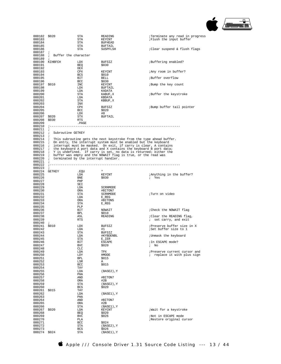

| 000182 \$020<br>000183<br>000184<br>000185 |                            | STA<br>STA<br>STA<br>STA                             | READING<br>KEYCNT<br><b>BUFHEAD</b><br><b>BUFTAIL</b>                  | Terminate any read in progress<br>;Flush the input buffer                                                                                                  |
|--------------------------------------------|----------------------------|------------------------------------------------------|------------------------------------------------------------------------|------------------------------------------------------------------------------------------------------------------------------------------------------------|
| 000186<br>$000187$ ;                       |                            | STA                                                  | SUSPFLSH                                                               | :Clear suspend & flush flags                                                                                                                               |
| 000188<br>000189                           |                            | ; Buffer the character                               |                                                                        |                                                                                                                                                            |
| 000191                                     | 000190 KIHBFCH             | LDX<br>BEQ                                           | BUFSIZ<br>\$030                                                        | Buffering enabled?                                                                                                                                         |
| 000192<br>000193                           |                            | DEX<br>CPX                                           | KEYCNT                                                                 | :Any room in buffer?                                                                                                                                       |
| 000194<br>000195                           |                            | <b>BCS</b><br><b>BIT</b>                             | \$010<br><b>BELL</b>                                                   | ;Buffer overflow                                                                                                                                           |
| 000196                                     |                            | BCC                                                  | \$030                                                                  |                                                                                                                                                            |
| 000198                                     | 000197 \$010               | INC<br>INC<br>LDX<br>LDA<br>STA<br>LDA<br>STA<br>NNY | KEYCNT<br>BUFTAIL<br>KADATA<br>KABUF, X<br>KBDATA<br>KBBUF, X          | Bump the key count                                                                                                                                         |
| 000199<br>000200                           |                            |                                                      |                                                                        | ;Buffer the keystroke                                                                                                                                      |
| 000201                                     |                            |                                                      |                                                                        |                                                                                                                                                            |
| 000202<br>000203                           |                            |                                                      |                                                                        |                                                                                                                                                            |
| 000204                                     |                            | INX<br>CPX                                           | <b>BUFSIZ</b>                                                          | Bump buffer tail pointer                                                                                                                                   |
| 000205<br>000206                           |                            | BCC<br>LDX                                           | \$020<br>#0                                                            |                                                                                                                                                            |
|                                            | $000207$ \$020             | <b>STX</b>                                           | <b>BUFTAIL</b>                                                         |                                                                                                                                                            |
| 000209                                     | 000208 \$030               | <b>RTS</b><br>. PAGE                                 |                                                                        |                                                                                                                                                            |
|                                            |                            |                                                      |                                                                        |                                                                                                                                                            |
| 000211 i                                   | 000212 ; Subroutine GETKEY |                                                      |                                                                        |                                                                                                                                                            |
| 000213 :                                   |                            |                                                      |                                                                        |                                                                                                                                                            |
|                                            |                            |                                                      |                                                                        | $000214$ ; This subroutine gets the next keystroke from the type ahead buffer.<br>000215 ; On entry, the interrupt system must be enabled but the keyboard |
|                                            |                            |                                                      |                                                                        | 000216 ; interrupt must be masked. On exit, if carry is clear, A contains                                                                                  |
|                                            |                            |                                                      |                                                                        | $000217$ ; the keyboard A port data and X contains the keyboard B port data;<br>000218 ; Y is undefined. If carry is set, no data is returned; either the  |
|                                            |                            |                                                      | 000219 ; buffer was empty and the NOWAIT flag is true, or the read was |                                                                                                                                                            |
|                                            |                            | $000220$ ; terminated by the interrupt handler.      |                                                                        |                                                                                                                                                            |
| $000221$ ;                                 |                            |                                                      |                                                                        |                                                                                                                                                            |
| $000223$ ;                                 |                            |                                                      |                                                                        |                                                                                                                                                            |
| 000225                                     | 000224 GETKEY .EQU         | LDA                                                  | $^\star$ KEYCNT                                                        | :Anything in the buffer?                                                                                                                                   |
| 000226                                     |                            | <b>BNE</b>                                           | \$030                                                                  | ; Yes                                                                                                                                                      |
| 000227<br>000228                           |                            | PHP                                                  |                                                                        |                                                                                                                                                            |
| 000229                                     |                            | SEI<br>LDA<br>ORA                                    | SCRNMODE                                                               |                                                                                                                                                            |
| 000230<br>000231                           |                            | <b>STA</b>                                           | #BITON7<br>SCRNMODE                                                    | Turn on video                                                                                                                                              |
| 000232                                     |                            | LDA                                                  | E_REG                                                                  |                                                                                                                                                            |
| 000233<br>000234                           |                            | ORA                                                  | #BITON5<br>E_REG                                                       |                                                                                                                                                            |
| 000235                                     |                            | STA<br>PLP<br>BIT<br>BPL                             |                                                                        |                                                                                                                                                            |
| 000236<br>000237                           |                            |                                                      | NOWAIT<br>\$010                                                        | Check the NOWAIT flag;                                                                                                                                     |
| 000238                                     |                            | ASL                                                  | READING                                                                | :Clear the READING flag,                                                                                                                                   |
| 000239<br>$000240$ ;                       |                            | RTS                                                  |                                                                        | ; set carry, and exit                                                                                                                                      |
|                                            | 000241 \$010               | ${\tt LDX}$                                          | BUFSIZ                                                                 | Preserve buffer size in X                                                                                                                                  |
| 000242<br>000243                           |                            | LDA<br><b>STA</b>                                    | #1<br><b>BUFSIZ</b>                                                    | ;Set buffer size to 1                                                                                                                                      |
| 000244                                     |                            | LDA                                                  | #KYBDENBL                                                              | ;Unmask the keyboard                                                                                                                                       |
| 000245<br>000246                           |                            | STA<br>BIT                                           | E_IER<br><b>ESCAPE</b>                                                 | ; In ESCAPE mode?                                                                                                                                          |
| 000247                                     |                            | <b>BVC</b>                                           | \$020                                                                  | $\mathbf{r}$<br>No                                                                                                                                         |
| 000248<br>000249                           |                            | CLC<br>LDA                                           | TPX                                                                    | Preserve current cursor and                                                                                                                                |
| 000250                                     |                            | LDY                                                  | HMODE                                                                  | ; replace it with plus sign                                                                                                                                |
| 000251<br>000252                           |                            | BPL<br>LSR                                           | \$015<br>Α                                                             |                                                                                                                                                            |
| 000253                                     |                            | BCC                                                  | \$015                                                                  |                                                                                                                                                            |
| 000254<br>000255                           |                            | TAY<br>LDA                                           | $(BASE2)$ , Y                                                          |                                                                                                                                                            |
| 000256                                     |                            | PHA                                                  |                                                                        |                                                                                                                                                            |
| 000257<br>000258                           |                            | AND<br>ORA                                           | #BITON7<br>#2B                                                         |                                                                                                                                                            |
| 000259                                     |                            | STA                                                  | $(BASE2)$ , Y                                                          |                                                                                                                                                            |
| 000260<br>000261                           |                            | BCS                                                  | \$020                                                                  |                                                                                                                                                            |
| 000262                                     | \$015                      | TAY<br>LDA                                           | $(BASE1)$ , Y                                                          |                                                                                                                                                            |
| 000263<br>000264                           |                            | PHA                                                  |                                                                        |                                                                                                                                                            |
| 000265                                     |                            | AND<br>ORA                                           | #BITON7<br>#2B                                                         |                                                                                                                                                            |
| 000266                                     |                            | STA                                                  | $(BASE1)$ , Y                                                          |                                                                                                                                                            |
| 000267<br>000268                           | \$020                      | LDA<br><b>BEQ</b>                                    | KEYCNT<br>\$020                                                        | Wait for a keystroke                                                                                                                                       |
| 000269                                     |                            | <b>BVC</b>                                           | \$026                                                                  | Not in ESCAPE mode                                                                                                                                         |
| 000270<br>000271                           |                            | PLA<br>BCC                                           | \$024                                                                  | Restore original cursor                                                                                                                                    |
| 000272                                     |                            | STA                                                  | $(BASE2)$ , Y                                                          |                                                                                                                                                            |
| 000273<br>000274                           | \$024                      | BCS<br>STA                                           | \$026<br>$(BASE1)$ , Y                                                 |                                                                                                                                                            |
|                                            |                            |                                                      |                                                                        |                                                                                                                                                            |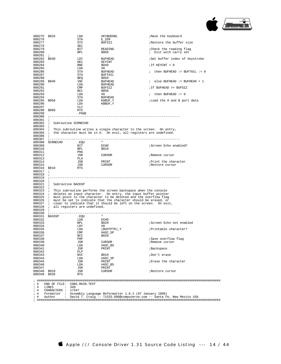

| 000275 \$026                |                                                                        | LDA                             | #KYBDDSBL                                                                                                                                              | Mask the keyboard                                                      |
|-----------------------------|------------------------------------------------------------------------|---------------------------------|--------------------------------------------------------------------------------------------------------------------------------------------------------|------------------------------------------------------------------------|
| 000276<br>000277            |                                                                        | STA<br>STX                      | $E$ _IER<br>BUFSIZ                                                                                                                                     | Restore the buffer size                                                |
| 000278                      |                                                                        | SEC                             |                                                                                                                                                        |                                                                        |
| 000279                      |                                                                        | BIT                             | READING                                                                                                                                                | Check the reading flag                                                 |
| 000280<br>000281 :          |                                                                        | BPL                             | \$060                                                                                                                                                  | ; Exit with carry set                                                  |
| 000282 \$030                |                                                                        | LDY                             | BUFHEAD                                                                                                                                                | ;Get buffer index of keystroke                                         |
| 000283                      |                                                                        | DEC                             | KEYCNT                                                                                                                                                 |                                                                        |
| 000284<br>000285            |                                                                        | <b>BNE</b><br>LDA               | \$040<br>#0                                                                                                                                            | ; If $KEYCNT = 0$                                                      |
| 000286                      |                                                                        | STA                             | <b>BUFHEAD</b>                                                                                                                                         | ; then BUFHEAD := BUFTAIL := $0$                                       |
| 000287                      |                                                                        | STA                             | <b>BUFTAIL</b>                                                                                                                                         |                                                                        |
| 000288                      | 000289 \$040                                                           | BEQ<br>INC                      | \$050<br><b>BUFHEAD</b>                                                                                                                                | $:$ else BUFHEAD := BUFHEAD + 1                                        |
| 000290                      |                                                                        | LDA                             | <b>BUFHEAD</b>                                                                                                                                         |                                                                        |
| 000291<br>000292            |                                                                        | CMP<br>BCC                      | BUFSIZ<br>\$050                                                                                                                                        | ; If BUFHEAD >= BUFSIZ                                                 |
| 000293                      |                                                                        | LDA                             | #0                                                                                                                                                     | ; then BUFHEAD := $0$                                                  |
| 000294                      |                                                                        | STA                             | BUFHEAD                                                                                                                                                |                                                                        |
| 000295 \$050<br>000296      |                                                                        | LDA<br>LDX                      | KABUF, Y<br>KBBUF, Y                                                                                                                                   | ;Load the A and B port data                                            |
| 000297                      |                                                                        | CLC                             |                                                                                                                                                        |                                                                        |
| 000298 \$060                |                                                                        | <b>RTS</b>                      |                                                                                                                                                        |                                                                        |
| 000299                      |                                                                        | . PAGE                          |                                                                                                                                                        |                                                                        |
| 000301 i                    |                                                                        |                                 |                                                                                                                                                        |                                                                        |
|                             | 000302 ; Subroutine SCRNECHO                                           |                                 |                                                                                                                                                        |                                                                        |
| $000303$ ;                  |                                                                        |                                 | 000304 : This subroutine writes a single character to the screen. On entry,                                                                            |                                                                        |
|                             |                                                                        |                                 | $000305$ ; the character must be in A. On exit, all registers are undefined.                                                                           |                                                                        |
| $000306$ ;                  |                                                                        |                                 |                                                                                                                                                        |                                                                        |
|                             | 000308 SCRNECHO .EQU                                                   |                                 | $\qquad \, \star$                                                                                                                                      |                                                                        |
| 000309                      |                                                                        | BIT                             | <b>ECHO</b>                                                                                                                                            | ;Screen Echo enabled?                                                  |
| 000310<br>000311            |                                                                        | BPL<br>PHA<br>JSR<br>PLA<br>TOP | \$010                                                                                                                                                  |                                                                        |
| 000312                      |                                                                        |                                 | CURSOR                                                                                                                                                 | ;Remove cursor                                                         |
| 000313                      |                                                                        |                                 |                                                                                                                                                        |                                                                        |
| 000314<br>000315            |                                                                        | JSR<br>JSR                      | PRINT<br>CURSOR                                                                                                                                        | Print the character<br>Restore cursor,                                 |
|                             | 000316 \$010                                                           | RTS                             |                                                                                                                                                        |                                                                        |
| $000317$ ;                  |                                                                        |                                 |                                                                                                                                                        |                                                                        |
| $000318$ ;                  |                                                                        |                                 |                                                                                                                                                        |                                                                        |
| $000320$ ;                  |                                                                        |                                 |                                                                                                                                                        |                                                                        |
| 000322 :                    | 000321 ; Subroutine BACKSP                                             |                                 |                                                                                                                                                        |                                                                        |
|                             |                                                                        |                                 | 000323 ; This subroutine performs the screen backspace when the console                                                                                |                                                                        |
|                             |                                                                        |                                 | 000324 ; deletes an input character. On entry, the input buffer pointer                                                                                |                                                                        |
|                             |                                                                        |                                 | 000325 ; must point to the character to be deleted and the overflow flag<br>$000326$ ; must be set to indicate that the character should be erased, or |                                                                        |
|                             |                                                                        |                                 | $000327$ ; clear to indicate that it should be left on the screen. On exit,                                                                            |                                                                        |
| $000329$ ;                  | $000328$ ; all registers are undefined.                                |                                 |                                                                                                                                                        |                                                                        |
|                             |                                                                        |                                 |                                                                                                                                                        |                                                                        |
|                             | 000331 BACKSP                                                          | . EQU                           | $\star$                                                                                                                                                |                                                                        |
| 000332<br>000333            |                                                                        | LDA<br><b>BPL</b>               | <b>ECHO</b>                                                                                                                                            | ;Screen Echo not enabled                                               |
| 000334                      |                                                                        | LDY                             | $$020$<br>$$0$                                                                                                                                         |                                                                        |
| 000335                      |                                                                        | LDA                             | (BUFFPTR), Y                                                                                                                                           | :Printable character?                                                  |
| 000336<br>000337            |                                                                        | $\text{CMP}$<br>BCC             | #ASC_SP<br>\$020                                                                                                                                       |                                                                        |
| 000338                      |                                                                        | PHP                             |                                                                                                                                                        | ;Save overflow flag                                                    |
| 000339<br>000340            |                                                                        | JSR<br>LDA                      | <b>CURSOR</b><br>#ASC_BS                                                                                                                               | Remove cursor                                                          |
| 000341                      |                                                                        | JSR                             | PRINT                                                                                                                                                  | ; Backspace                                                            |
| 000342                      |                                                                        | PLP                             |                                                                                                                                                        |                                                                        |
| 000343<br>000344            |                                                                        | <b>BVC</b><br>LDA               | \$010<br>#ASC_SP                                                                                                                                       | ;Don't erase                                                           |
| 000345                      |                                                                        | JSR                             | PRINT                                                                                                                                                  | Erase the character                                                    |
| 000346                      |                                                                        | LDA                             | #ASC_BS                                                                                                                                                |                                                                        |
| 000347<br>000348            | \$010                                                                  | JSR<br>JSR                      | PRINT<br><b>CURSOR</b>                                                                                                                                 | Restore cursor                                                         |
| 000349                      | \$020                                                                  | RTS                             |                                                                                                                                                        |                                                                        |
| $\ddot{i}$<br>$\#$<br>$;$ # | END OF FILE: CONS.MAIN.TEXT<br>$\sim 100$ M $_{\odot}$<br>349<br>LINES |                                 |                                                                                                                                                        |                                                                        |
| $;$ #                       | CHARACTERS :                                                           | 17347                           |                                                                                                                                                        |                                                                        |
| $\ddot{i}$<br>#<br>$;$ #    | Formatter :<br>Author<br>$\mathcal{I}$                                 |                                 | Assembly Language Reformatter 1.0.2 (07 January 1998)                                                                                                  | David T. Craig -- 71533.606@compuserve.com -- Santa Fe, New Mexico USA |
|                             |                                                                        |                                 |                                                                                                                                                        |                                                                        |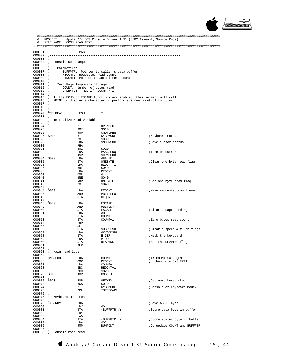

; #################################################################################################### ; # PROJECT : Apple /// SOS Console Driver 1.31 (6502 Assembly Source Code) ; # FILE NAME: CONS.READ.TEXT ; #################################################################################################### 000001 .PAGE 000002 ;----------------------------------------------------------------------- 000002<br>000003 Console Read Request 000005<br>000006 000006 ; Parameters:<br>000007 ; BUFFPTR: 000007 ; BUFFPTR: Pointer to caller's data buffer<br>000008 ; REOCNT: Requested read count 000008 ; REQCNT: Requested read count 000009 ; RTNCNT: Pointer to actual read count 000010 000011 ; Zero Page Temporary Storage 000012 ; COUNT: Number of bytes read 000013 ; ONEBYTE: TRUE if REQCNT = 1  $000013$  ;<br>000014 ;<br>000015 ; 000015 ; If the ECHO or ESCAPE functions are enabled, this segment will call 000016 ; PRINT to display a character or perform a screen control function. PRINT to display a character or perform a screen control function.  $000017$ <br> $000018$ 000018 ;----------------------------------------------------------------------- 000019<br>000020 CNSLREAD . EQU  $000021$ <br> $000022$ Initialize read variables 000023<br>000024 BIT OPENFLG<br>BMI \$010 000025 BMI \$010 000026 JMP CNOTOPEN 000027 \$010 BIT KYBDMODE ;Keyboard mode? 000028 BMI \$030  ${\small \begin{array}{lll} \text{LDA} & \text{SMCURSOR} \\ \text{PHA} & \end{array}}$ 000030 PHA<br>000031 BMT 000031 BMI \$020 000032 LDA #ASC\_ENQ ;Turn on cursor  $\begin{array}{cccc} \texttt{JO00033} & \texttt{JSR} & \texttt{SCRNECHO} \\ \texttt{OO0034} & \texttt{\$020} & \texttt{LDA} & \texttt{\#FALSE} \end{array}$ 000034 \$020 LDA #FALSE 000035 STA ONEBYTE ;Clear one byte read flag LDA REQCNT+1<br>BNE \$040 000037 BNE <br>000038 LDA LDA REQCNT<br>CMP #1 000039 CMP #1<sup>2</sup><br>000040 BNE \$040  $\begin{array}{cccc}\n 000040 & & & \text{BNE} & & \text{\$040} \\
 000041 & & & \text{ROR} & & & \text{ONEBYTE}\n \end{array}$ POR ONEBYTE ;Set one byte read flag<br>
RMT \$040  $000042$  $000043$  ;<br>000044 \$030 000044 \$030 LDA REQCNT ;Make requested count even in the same state of the state of the state of the state of the state of the state of the state of the state of the state of the state of the state of the state of the stat 000045 AND #BITOFF0 REQCNT  $000047$  ;<br>000048 \$040 000048 \$040 LDA ESCAPE<br>000049 AND #BITON  $\begin{array}{cccc}\n 000049 & & & & \text{AND} & & \text{\#BITON7}\n 000050 & & & & \text{STA} & & \text{ESCAPE}\n \end{array}$ 000050 STA ESCAPE ;Clear escape pending 000051 LDA #0<br>000052 STA COUNT 000052 STA COUNT 000053 STA COUNT+1 ;Zero bytes read count 000054 PHP<br>000055 SEI 000055 SEI 000056 STA SUSPFLSH ;Clear suspend & flush flags  $\begin{array}{lllllll} 000057 & \text{LDA} & \text{\#KYBDDSBL} \\ 000058 & \text{STA} & \text{E\_IER} \end{array}$ 000058 STA E\_IER ;Mask the keyboard 000059 LDA #TRUE  ${\small \begin{array}{ll} \tt STA \end{array}} {\small \begin{array}{ll} \tt FEDING \end{array}} {\small \begin{array}{ll} \tt FEDING \end{array}} {\small \begin{array}{ll} \tt CIMG \end{array}} {\small \begin{array}{ll} \tt CIMG \end{array}}$  $000061$  $000062$  ;<br>000063 ; Main read loop 000064 ;<br>000065 CNSLLOOP 000065 CNSLLOOP LDA COUNT ;If COUNT >= REQCNT 000066 CMP REQCNT ; then goto CNSLEXIT LDA COUNT+1<br>SBC REQCNT+<br>BCC \$020 REQCNT+1<br>\$020 000068<br>
000069<br>
000070 \$010<br>
DMP CNSLEXIT  $000071$  ;<br>000072 \$020  $\begin{array}{lll} {\rm JSR} & {\rm GETKEY} & {\rm jGet~next~keystroke}\\ {\rm BCS} & {\rm \ddot s010} & & & \end{array}$ 000073 BCS \$010 000074 BIT KYBDMODE ;Console or Keyboard mode? 000075 BPL TSTESCAPE 000076 ; Keyboard mode read  $000078$  ;<br>000079 KYBDRDY PHA  $\downarrow 0$   $\downarrow 0$  $\begin{array}{cccc}\n 000080 & & & \text{LDY} & & \text{\#0} \\
 000081 & & & \text{STA} & & \text{(BUFFPTR)}, \text{Y}\n \end{array}$  $\begin{array}{lll} \texttt{STA} & \texttt{(BUFFPTR)}, \texttt{Y} & \texttt{:Store data byte in buffer} \\ \texttt{INV} & \texttt{V} & \texttt{V} & \texttt{V} \end{array}$ 000082 INY<br>000083 TWY  $\begin{array}{ccccc} 000083 & & & & \text{TXA} \\ 000084 & & & & \text{STA} \end{array}$ 000084 STA (BUFFPTR),Y ;Store status byte in buffer 000085 LDA<br>000086 LDA Go update COUNT and BUFFPTR 000087<br>000088

; Console mode read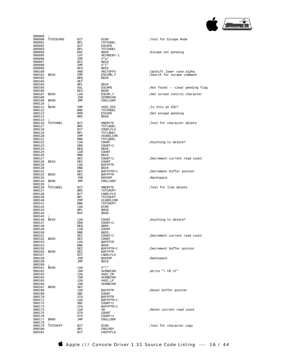![](_page_15_Picture_0.jpeg)

| 000089           |                  |                   |                      |                                 |
|------------------|------------------|-------------------|----------------------|---------------------------------|
|                  | $\cdot$          |                   |                      |                                 |
|                  |                  |                   |                      |                                 |
|                  | 000090 TSTESCAPE | BIT               | ECHO                 | ;Test for Escape Mode           |
| 000091           |                  | <b>BPL</b>        | TSTCHDEL             |                                 |
| 000092           |                  | <b>BIT</b>        | <b>ESCAPE</b>        |                                 |
| 000093           |                  | <b>BPL</b>        | TSTCHDEL             |                                 |
| 000094           |                  | <b>BVC</b>        | \$040                | Escape not pending              |
| 000095           |                  | LDY               | #ECMDCNT-1           |                                 |
|                  |                  |                   |                      |                                 |
| 000096           |                  | $\text{CMP}$      | #"a"                 |                                 |
| 000097           |                  | BCC               | \$010                |                                 |
| 000098           |                  | CMP               | #"{"                 |                                 |
| 000099           |                  | <b>BCS</b>        | \$010                |                                 |
|                  |                  |                   |                      |                                 |
| 000100           |                  | AND               | #BITOFF5             | ;Upshift lower case alpha       |
| 000101 \$010     |                  | CMP               | ESCCMD, Y            | ; Search for escape command     |
| 000102           |                  | <b>BEQ</b>        | \$020                |                                 |
| 000103           |                  | DEY               |                      |                                 |
| 000104           |                  | <b>BPL</b>        | \$010                |                                 |
|                  |                  |                   |                      |                                 |
| 000105           |                  | ASL               | <b>ESCAPE</b>        | Not found -- clear pending flag |
| 000106           |                  | <b>BCS</b>        | \$030                |                                 |
| 000107           | \$020            | LDA               | ESCOP, Y             | ;Get screen control character   |
| 000108           |                  | <b>JSR</b>        | <b>SCRNECHO</b>      |                                 |
| 000109 \$030     |                  | JMP               |                      |                                 |
|                  |                  |                   | <b>CNSLLOOP</b>      |                                 |
| 000110           | $\cdot$          |                   |                      |                                 |
| 000111           | \$040            | CMP               | #ASC_ESC             | ;Is this an ESC?                |
| 000112           |                  | BNE               | TSTCHDEL             |                                 |
| 000113           |                  | <b>ROR</b>        | <b>ESCAPE</b>        | ;Set escape pending             |
|                  |                  |                   |                      |                                 |
| 000114           |                  | BMI               | \$030                |                                 |
| 000115           | $\cdot$          |                   |                      |                                 |
|                  | 000116 TSTCHDEL  | BIT               | ONEBYTE              | ;Test for character delete      |
| 000117           |                  | BMI               | TSTLNDEL             |                                 |
| 000118           |                  | BIT               | <b>CHDELFLG</b>      |                                 |
|                  |                  |                   |                      |                                 |
| 000119           |                  | <b>BPL</b>        | TSTLNDEL             |                                 |
| 000120           |                  | <b>CMP</b>        | #CHDELCHR            |                                 |
| 000121           |                  | BNE               | TSTLNDEL             |                                 |
| 000122           |                  | LDA               | COUNT                | ;Anything to delete?            |
|                  |                  |                   |                      |                                 |
| 000123           |                  | <b>ORA</b>        | COUNT+1              |                                 |
| 000124           |                  | BEQ               | \$030                |                                 |
| 000125           |                  | LDA               | COUNT                |                                 |
| 000126           |                  | <b>BNE</b>        | \$010                |                                 |
|                  |                  |                   |                      |                                 |
| 000127           |                  | DEC               | COUNT+1              | Decrement current read count    |
| 000128           | \$010            | DEC               | COUNT                |                                 |
| 000129           |                  | LDA               | <b>BUFFPTR</b>       |                                 |
| 000130           |                  | BNE               | \$020                |                                 |
|                  |                  |                   |                      |                                 |
| 000131           |                  | DEC               | BUFFPTR+1            | ;Decrement buffer pointer       |
| 000132 \$020     |                  | DEC               | <b>BUFFPTR</b>       |                                 |
| 000133           |                  | JSR               | <b>BACKSP</b>        | ; Backspace                     |
| 000134 \$030     |                  | JMP               | <b>CNSLLOOP</b>      |                                 |
|                  |                  |                   |                      |                                 |
| 000135           | $\cdot$ :        |                   |                      |                                 |
|                  | 000136 TSTLNDEL  | BIT               | ONEBYTE              | ;Test for line delete           |
| 000137           |                  | BMI               | TSTCHCPY             |                                 |
|                  |                  |                   |                      |                                 |
| 000138           |                  | <b>BIT</b>        | LNDELFLG             |                                 |
| 000139           |                  | BPL               | TSTCHCPY             |                                 |
|                  |                  | CMP               | #LNDELCHR            |                                 |
|                  |                  |                   |                      |                                 |
| 000140           |                  |                   |                      |                                 |
| 000141           |                  | <b>BNE</b>        | TSTCHCPY             |                                 |
| 000142           |                  | LDA               | ECHO                 |                                 |
| 000143           |                  | BPL               | \$050                |                                 |
| 000144           |                  |                   |                      |                                 |
|                  |                  | <b>BVC</b>        | \$040                |                                 |
| 000145           | $\cdot$ ;        |                   |                      |                                 |
| 000146 \$010     |                  | LDA               | COUNT                | <i>i</i> Anything to delete?    |
| 000147           |                  | <b>ORA</b>        | COUNT+1              |                                 |
| 000148           |                  | BEQ               | \$060                |                                 |
|                  |                  |                   |                      |                                 |
| 000149           |                  | LDA               | COUNT                |                                 |
| 000150           |                  | <b>BNE</b>        | \$020                |                                 |
| 000151           |                  | DEC               | COUNT+1              | Decrement current read count    |
| 000152 \$020     |                  | DEC               | COUNT                |                                 |
| 000153           |                  | LDA               | <b>BUFFPTR</b>       |                                 |
|                  |                  |                   |                      |                                 |
| 000154           |                  | BNE               | \$030                |                                 |
| 000155           |                  | DEC               | BUFFPTR+1            | ;Decrement buffer pointer       |
| 000156 \$030     |                  | DEC               | <b>BUFFPTR</b>       |                                 |
| 000157           |                  | BIT               | LNDELFLG             |                                 |
|                  |                  |                   |                      |                                 |
| 000158           |                  | JSR               | <b>BACKSP</b>        | ; Backspace                     |
| 000159           |                  | JMP               | \$010                |                                 |
| 000160           | $\cdot$          |                   |                      |                                 |
| 000161 \$040     |                  | LDA               | $\#$ " $\setminus$ " |                                 |
| 000162           |                  | JSR               |                      |                                 |
|                  |                  |                   | <b>SCRNECHO</b>      | $i$ Write "\ CR LF"             |
| 000163           |                  | LDA               | #ASC_CR              |                                 |
| 000164           |                  | JSR               | <b>SCRNECHO</b>      |                                 |
| 000165           |                  | LDA               | #ASC LF              |                                 |
| 000166           |                  | JSR               | <b>SCRNECHO</b>      |                                 |
|                  |                  |                   |                      |                                 |
| 000167 \$050     |                  | <b>SEC</b>        |                      |                                 |
| 000168           |                  | LDA               | <b>BUFFPTR</b>       | Reset buffer pointer            |
| 000169           |                  | SBC               | COUNT                |                                 |
|                  |                  |                   |                      |                                 |
| 000170           |                  | STA               | <b>BUFFPTR</b>       |                                 |
| 000171           |                  | LDA               | BUFFPTR+1            |                                 |
| 000172           |                  | SBC               | COUNT+1              |                                 |
| 000173           |                  | STA               | BUFFPTR+1            |                                 |
|                  |                  |                   |                      |                                 |
| 000174           |                  | LDA               | #0                   | Reset current read count        |
| 000175           |                  | STA               | COUNT                |                                 |
| 000176           |                  | STA               | COUNT+1              |                                 |
| 000177           | \$060            | JMP               | <b>CNSLLOOP</b>      |                                 |
|                  |                  |                   |                      |                                 |
| 000178           | $\cdot$          |                   |                      |                                 |
| 000179           | TSTCHCPY         | BIT               | ECHO                 | ;Test for character copy        |
| 000180<br>000181 |                  | <b>BPL</b><br>BIT | CNSLRDY              |                                 |

Apple /// Console Driver 1.31 Source Code Listing --- 16 / 44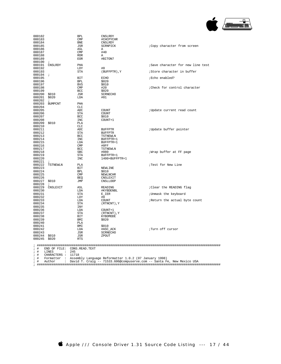![](_page_16_Picture_0.jpeg)

| 000182<br>000183<br>000184<br>000185<br>000186<br>000187<br>000188<br>000189<br>000190 | $\cdot$ :                            | <b>BPL</b><br>$\text{CMP}$<br>BNE<br>JSR<br>ASL<br>CMP<br>ROR<br>EOR | CNSLRDY<br>#CHCPYCHR<br>CNSLRDY<br>SCRNPICK<br>A<br>#40<br>A<br>#BITON7 | ;Copy character from screen                                                     |  |  |  |  |
|----------------------------------------------------------------------------------------|--------------------------------------|----------------------------------------------------------------------|-------------------------------------------------------------------------|---------------------------------------------------------------------------------|--|--|--|--|
| 000191                                                                                 | CNSLRDY                              | PHA                                                                  |                                                                         | ;Save character for new line test                                               |  |  |  |  |
| 000192<br>000193                                                                       |                                      | LDY<br>STA                                                           | #0<br>(BUFFPTR), Y                                                      | ;Store character in buffer                                                      |  |  |  |  |
| 000194 :                                                                               |                                      |                                                                      |                                                                         |                                                                                 |  |  |  |  |
| 000195<br>000196                                                                       |                                      | BIT<br>BPL                                                           | ECHO<br>\$020                                                           | ;Echo enabled?                                                                  |  |  |  |  |
| 000197                                                                                 |                                      | BVS                                                                  | \$010                                                                   |                                                                                 |  |  |  |  |
| 000198                                                                                 |                                      | $\mathsf{CMP}$                                                       | #20                                                                     | :Check for control character                                                    |  |  |  |  |
| 000199                                                                                 |                                      | BCC                                                                  | \$020                                                                   |                                                                                 |  |  |  |  |
| 000200 \$010<br>000201 \$020                                                           |                                      | JSR<br>LDA                                                           | <b>SCRNECHO</b><br>#01                                                  |                                                                                 |  |  |  |  |
| 000202                                                                                 | $\cdot$ ;                            |                                                                      |                                                                         |                                                                                 |  |  |  |  |
|                                                                                        | 000203 BUMPCNT                       | PHA                                                                  |                                                                         |                                                                                 |  |  |  |  |
| 000204                                                                                 |                                      | CLC                                                                  |                                                                         |                                                                                 |  |  |  |  |
| 000205                                                                                 |                                      | ADC                                                                  | COUNT                                                                   | :Update current read count                                                      |  |  |  |  |
| 000206<br>000207                                                                       |                                      | STA<br>BCC                                                           | COUNT<br>\$010                                                          |                                                                                 |  |  |  |  |
| 000208                                                                                 |                                      | INC                                                                  | COUNT+1                                                                 |                                                                                 |  |  |  |  |
| 000209 \$010                                                                           |                                      | PLA                                                                  |                                                                         |                                                                                 |  |  |  |  |
| 000210                                                                                 |                                      | <b>CLC</b>                                                           |                                                                         |                                                                                 |  |  |  |  |
| 000211                                                                                 |                                      | ADC                                                                  | BUFFPTR                                                                 | ;Update buffer pointer                                                          |  |  |  |  |
| 000212<br>000213                                                                       |                                      | STA<br>BCC                                                           | <b>BUFFPTR</b><br>TSTNEWLN                                              |                                                                                 |  |  |  |  |
| 000214                                                                                 |                                      | INC                                                                  | BUFFPTR+1                                                               |                                                                                 |  |  |  |  |
| 000215                                                                                 |                                      | LDA                                                                  | BUFFPTR+1                                                               |                                                                                 |  |  |  |  |
| 000216                                                                                 |                                      | $\text{CMP}$                                                         | #0FF                                                                    |                                                                                 |  |  |  |  |
| 000217                                                                                 |                                      | BCC                                                                  | TSTNEWLN                                                                |                                                                                 |  |  |  |  |
| 000218<br>000219                                                                       |                                      | SBC<br>STA                                                           | #080<br>BUFFPTR+1                                                       | ;Wrap buffer at FF page                                                         |  |  |  |  |
| 000220                                                                                 |                                      | INC                                                                  | 1400+BUFFPTR+1                                                          |                                                                                 |  |  |  |  |
| 000221                                                                                 |                                      |                                                                      |                                                                         |                                                                                 |  |  |  |  |
| 000222                                                                                 | TSTNEWLN                             | PLA                                                                  |                                                                         | ;Test for New Line                                                              |  |  |  |  |
| 000223                                                                                 |                                      | BIT                                                                  | NEWLINE                                                                 |                                                                                 |  |  |  |  |
| 000224<br>000225                                                                       |                                      | BPL<br>$\mathsf{CMP}$                                                | \$010<br>NEWLNCHR                                                       |                                                                                 |  |  |  |  |
| 000226                                                                                 |                                      | BEO                                                                  | CNSLEXIT                                                                |                                                                                 |  |  |  |  |
| 000227 \$010                                                                           |                                      | JMP                                                                  | CNSLLOOP                                                                |                                                                                 |  |  |  |  |
| $000228$ ;                                                                             |                                      |                                                                      |                                                                         |                                                                                 |  |  |  |  |
|                                                                                        | 000229 CNSLEXIT                      | ASL                                                                  | READING                                                                 | :Clear the READING flag                                                         |  |  |  |  |
| 000230<br>000231                                                                       |                                      | LDA<br>STA                                                           | #KYBDENBL<br>$E$ _IER                                                   | ;Unmask the keyboard                                                            |  |  |  |  |
| 000232                                                                                 |                                      | LDY                                                                  | #0                                                                      |                                                                                 |  |  |  |  |
| 000233                                                                                 |                                      | LDA                                                                  | COUNT                                                                   | ;Return the actual byte count                                                   |  |  |  |  |
| 000234                                                                                 |                                      | STA                                                                  | (RTNCNT), Y                                                             |                                                                                 |  |  |  |  |
| 000235                                                                                 |                                      | INY                                                                  |                                                                         |                                                                                 |  |  |  |  |
| 000236<br>000237                                                                       |                                      | LDA<br>STA                                                           | COUNT+1<br>(RTNCNT), Y                                                  |                                                                                 |  |  |  |  |
| 000238                                                                                 |                                      | BIT                                                                  | KYBDMODE                                                                |                                                                                 |  |  |  |  |
| 000239                                                                                 |                                      | BMI                                                                  | \$020                                                                   |                                                                                 |  |  |  |  |
| 000240                                                                                 |                                      | PLA                                                                  |                                                                         |                                                                                 |  |  |  |  |
| 000241                                                                                 |                                      | BMI                                                                  | \$010                                                                   |                                                                                 |  |  |  |  |
| 000242<br>000243                                                                       |                                      | LDA<br>JSR                                                           | #ASC_ACK<br>SCRNECHO                                                    | ;Turn off cursor                                                                |  |  |  |  |
| 000244 \$010                                                                           |                                      | JSR                                                                  | ZPOUT                                                                   |                                                                                 |  |  |  |  |
| 000245 \$020                                                                           |                                      | RTS                                                                  |                                                                         |                                                                                 |  |  |  |  |
| $;$ #<br>$;$ #<br>$;$ #<br>$;$ #<br>$;$ #                                              | : 245<br>LINES<br>CHARACTERS : 11718 | END OF FILE: CONS.READ.TEXT                                          | Formatter : Assembly Language Reformatter 1.0.2 (07 January 1998)       | Author : David T. Craig -- 71533.606@compuserve.com -- Santa Fe, New Mexico USA |  |  |  |  |
|                                                                                        |                                      |                                                                      |                                                                         |                                                                                 |  |  |  |  |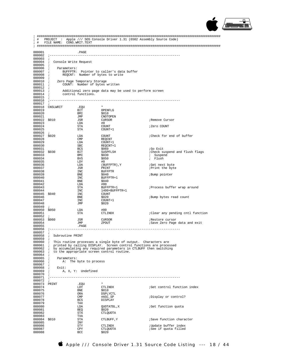![](_page_17_Picture_0.jpeg)

; #################################################################################################### ; # PROJECT : Apple /// SOS Console Driver 1.31 (6502 Assembly Source Code) ; # FILE NAME: CONS.WRIT.TEXT ; #################################################################################################### 000001 .PAGE 000002 ;-----------------------------------------------------------------------  $000003$ <br> $000004$ Console Write Request 000005<br>000006 000006 ; Parameters:<br>000007 ; BUFFPTR: 000007 ; BUFFPTR: Pointer to caller's data buffer<br>000008 ; REOCNT: Number of bytes to write REQCNT: Number of bytes to write  $000009$ <br> $000010$ 000010 ; Zero Page Temporary Storage<br>000011 ; COUNT: Number of bytes 000011 ; COUNT: Number of bytes written  $000012$ <br> $000013$ 000013 ; Additional zero page data may be used to perform screen<br>000014 ; control functions control functions.  $000015$ <br> $000016$ 000016 ;----------------------------------------------------------------------- 000017 000018 CNSLWRIT .EQU \* BIT OPENFLG<br>RMT \$010 000020 BMI \$010 000021 <br>
000022 \$010 JSR CURSOR<br>
000022 \$010 JSR CURSOR JSR CURSOR ;Remove Cursor<br>
IDA #0  $\begin{array}{cccc}\n 000023 & & & \text{LDA} & & \text{\#0} \\
 000024 & & & \text{STA} & & \text{COUNT}\n \end{array}$  $\begin{array}{cccc}\n 000024 & & & & \phantom{0}2000024 & & & \phantom{0}2000025 & & & \phantom{0}2000025 & & & \phantom{0}2000025 & & & \phantom{0}2000025 & & & \phantom{0}20000025 & & & \phantom{0}20000025 & & & \phantom{0}2000000000 & & & \phantom{0}200000000 & & & \phantom{0}20000000 & & & \phantom{0}200000000 & & & \phantom{0}20000000 &$  $COUNT+1$  $000026$  ;<br> $000027$  \$020 000027 \$020 LDA COUNT ;Check for end of buffer 000028 CMP REQCNT <br>000029 LDA COUNT+1  $\begin{array}{cccc}\n 000029 & & & \text{LDA} & & \text{COUNT}+1 \\
 000030 & & & \text{SBC} & & \text{REOCNT}+\n \end{array}$ 000030 SBC REQCNT+1<br>000031 BCS \$060 000031 BCS \$060 ;Go Exit 000032 \$030 BIT SUSPFLSH ;Check suspend and flush flags  $\begin{array}{ccccccccc} 000033 & & & & \text{BMI} & & & \text{${\bf 5030}$} & & & & \text{${\bf 5080}$.} & & & & & \text{Suspend} \\ 000034 & & & & \text{BVS} & & & \text{${\bf 5050}$} & & & & \text{${\bf 5080}$.} & & & & \text{Flush} \end{array}$ 000034 BVS \$050 ; Flush  $\begin{array}{ccc}\n 000035 & & & \text{LDY} \\
 000035 & & & \text{LDY} \\
 000036 & & & \text{LDA}\n \end{array}$  $\begin{array}{lll} \texttt{1} & \texttt{1} & \texttt{1} & \texttt{1} \\ \texttt{1} & \texttt{1} & \texttt{1} & \texttt{1} \\ \texttt{0} & \texttt{0} & \texttt{0} & \texttt{1} \\ \texttt{1} & \texttt{1} & \texttt{1} & \texttt{1} \\ \texttt{2} & \texttt{1} & \texttt{2} & \texttt{1} \\ \texttt{3} & \texttt{2} & \texttt{2} & \texttt{1} \\ \texttt{4} & \texttt{5} & \texttt{6} & \texttt{7} \\ \texttt{5} & \texttt{6} & \text$ 000037 JSR PRINT ;Print the byte 000038 INC BUFFPTR<br>000039 BNE \$040 000039 BNE \$040 ;Bump pointer  $\begin{array}{lll}\n\text{INC} & \text{BUFFPTR+1} \\
\text{BNE} & \text{$040}\n\end{array}$ 000041 BNE \$040<br>000042 T.DA #80 000042 LDA #80<br>000043 STA BUFFPTR+1 000043 STA BUFFPTR+1 ;Process buffer wrap around  $\frac{1400 + \text{BufferPTR} + 1}{\text{CONF}}$ 000045 \$040 INC COUNTY COUNTY  $000046$  BNE  $$\tt 5020$$   $$\tt 7Bump$  bytes read count $000047$ INC COUNT+1<br>JMP \$020 000048  $000049$  ;<br>000050 \$050  $\begin{array}{cccc}\n 000050 & 5050 & \text{LDA} & \text{H00} \\
 000051 & & \text{STA} & \text{CTLINDX}\n \end{array}$ ;Clear any pending cntl function  $000052$  ;<br>000053 \$060 000053 \$060 JSR CURSOR ;Restore cursor 000054 JMP ZPOUT ;Save Zero Page data and exit 000055<br>000056 ;<br>; 000057<br>000058 ; Subroutine PRINT 000059 ;<br>000060 : 000060 ; This routine processes a single byte of output. Characters are 000061 ; printed by calling DISPLAY. Screen control functions are proces 000061 ; printed by calling DISPLAY. Screen control functions are processed<br>000062 ; by accumulating any required parameters in CTLBUFF then switching<br>000063 ; to the appropriate screen control routine. 000064<br>000065 000065 ; Parameters:<br>000066 ; A: The A: The byte to process 000067 000068 ; Exit:<br>000069 ; A, ..<br>A, X, Y: Undefined 000070 000071 ;-----------------------------------------------------------------------  $000072$  ;<br>000072 ;<br>000073 PRINT  $000073$  PRINT  $EQU$  \*  $UDY$  CTLINDX  $\begin{array}{lll} \text{LDY} & \text{CTLINDX} & \text{;Get control function index} \\ \text{BNE} & \text{S010} & \text{.} & \text{.} & \text{.} \\ \end{array}$ 000075<br>000075 BNE<br>000076 ORA 000076 ORA DSPLYCTL 000077 CMP #ASC\_SP ;Display or control? CMP #ASC\_SP<br>BCS DISPLAY<br>TAX 000079<br>000080 TAX<br>000080 LDA 1. LDA QUOTATBL, X ;Get function quota<br>BEO \$020 000081 BEQ<br>000082 STA  $\begin{array}{cccc}\n 000082 & & & & \overline{\text{STA}} & & & \overline{\text{CTLQUOTA}} \\
 000083 & & & & \overline{\text{TTA}} & & & \overline{\text{CTLQUOTA}} \\
 \end{array}$  $000084$   $$010$  STA of the CTLBUFF, Y state function character<br>INY STA CTLBUFF, Y state in the state of the state of the state of the state of the state of the state of the state of the state of the state of the state of the state of the stat 000085 INY<br>000086 STY 000086 STY CTLINDX ;Update buffer index 000087 CPY CTLQUOTA ;See if quota filled 000088 BCC \$020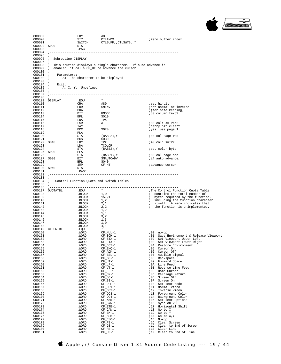![](_page_18_Picture_0.jpeg)

| 000089<br>000090<br>000091<br>000092 \$020<br>000093 | LDY<br>RTS<br>. PAGE                      | #0<br>$\begin{tabular}{ll} \bf STY & \tt CTLINDX \\ \bf SYI & \tt CTL. \end{tabular} \begin{tabular}{ll} \bf STY & \tt CTLINDX \\ \bf TWU & \tt CTLBUFF ~ , (CTLSWTBL ~ , * \\ \end{tabular}$ | ;Zero buffer index                                                                                    |
|------------------------------------------------------|-------------------------------------------|-----------------------------------------------------------------------------------------------------------------------------------------------------------------------------------------------|-------------------------------------------------------------------------------------------------------|
|                                                      |                                           |                                                                                                                                                                                               |                                                                                                       |
| 000095 :<br>000096 ; Subroutine DISPLAY              |                                           |                                                                                                                                                                                               |                                                                                                       |
| 000097 ;                                             |                                           | 000098 ; This routine displays a single character. If auto advance is                                                                                                                         |                                                                                                       |
| 000100 j                                             |                                           | $000099$ ; enabled, it calls CF_HT to advance the cursor.                                                                                                                                     |                                                                                                       |
| $000101$ ; Parameters:                               |                                           |                                                                                                                                                                                               |                                                                                                       |
| $000103$ ;                                           | 000102 ; A: The character to be displayed |                                                                                                                                                                                               |                                                                                                       |
| 000104 $i$ Exit:                                     |                                           |                                                                                                                                                                                               |                                                                                                       |
| $000106$ ;                                           | $000105$ ; $A, X, Y:$ Undefined           |                                                                                                                                                                                               |                                                                                                       |
| $000108$ ;                                           |                                           |                                                                                                                                                                                               |                                                                                                       |
| 000109 DISPLAY .EQU<br>000110 ORA                    |                                           | $\star$<br>#80                                                                                                                                                                                | ;set hi-bit                                                                                           |
| 000111                                               | ORA<br>EOR                                | SMINV                                                                                                                                                                                         | iset normal or inverse                                                                                |
| 000112                                               | PHA<br>BIT<br>BPL<br>LDA                  |                                                                                                                                                                                               | i(for safe keeping)                                                                                   |
| 000113                                               |                                           |                                                                                                                                                                                               | :80 column text?                                                                                      |
| 000114<br>000115                                     |                                           | HMODE<br>\$010<br>TPX                                                                                                                                                                         |                                                                                                       |
| 000116                                               | $_{\rm LSR}$                              | $\mathbb A$                                                                                                                                                                                   | ;80 col: X=TPX/2                                                                                      |
| 000117                                               | TAY                                       |                                                                                                                                                                                               | carry bit clear?                                                                                      |
| 000118<br>000119                                     |                                           | \$020                                                                                                                                                                                         | ;yes: use page 1                                                                                      |
| 000120                                               | HAI<br>BCC<br>PLA<br>STA<br>STA           |                                                                                                                                                                                               | :80 col page two                                                                                      |
| 000121                                               | <b>BCS</b>                                | (BASE2),Y<br>\$030<br>TPX<br>TCOLOR                                                                                                                                                           |                                                                                                       |
| 000122 \$010                                         | LDY                                       |                                                                                                                                                                                               | ;40 col: X=TPX                                                                                        |
| 000123<br>000124                                     | LDA                                       | (BASE2), Y                                                                                                                                                                                    | ;set color byte                                                                                       |
| 000125 \$020                                         | STA<br>PLA<br>STA<br>BIT<br>BPL           |                                                                                                                                                                                               |                                                                                                       |
| 000126<br>000127 \$030                               |                                           | (BASE1),Y<br>SMAUTOADV                                                                                                                                                                        | ;80 col page one                                                                                      |
|                                                      | <b>BPL</b>                                | \$040                                                                                                                                                                                         | iif auto advance,                                                                                     |
| 000128<br>000129                                     | JMP                                       | $CF\_HT$                                                                                                                                                                                      | advance cursor                                                                                        |
| 000130 \$040<br>000131                               | <b>RTS</b><br>. PAGE                      |                                                                                                                                                                                               |                                                                                                       |
| 000138<br>000139                                     | $000137$ QUOTATBL . EQU                   |                                                                                                                                                                                               | The Control Function Quota Table<br>% contains the total number of<br>bytes required by the function, |
| 000140                                               |                                           |                                                                                                                                                                                               | ; including the function character                                                                    |
| 000141                                               |                                           |                                                                                                                                                                                               | ; itself. A zero indicates that<br>; the function is unimplemented.                                   |
|                                                      |                                           |                                                                                                                                                                                               |                                                                                                       |
| 000144                                               |                                           |                                                                                                                                                                                               |                                                                                                       |
|                                                      |                                           |                                                                                                                                                                                               |                                                                                                       |
| 000146<br>000147                                     |                                           |                                                                                                                                                                                               |                                                                                                       |
| 000148                                               |                                           |                                                                                                                                                                                               |                                                                                                       |
| 000149 CTLSWTBL                                      | . EQU<br>WORD                             |                                                                                                                                                                                               |                                                                                                       |
|                                                      |                                           | WORD CF_NUL-1<br>WORD CF_SOH-1<br>WORD CR_CTU_CT                                                                                                                                              | i00 no-op<br>:01 Save Environment & Release Viewport                                                  |
|                                                      | . WORD                                    | $CF\_STX-1$                                                                                                                                                                                   | :02 Set Viewport Upper Left                                                                           |
| 000152                                               | .WORD                                     | CF_ETX-1                                                                                                                                                                                      | ;03<br>Set Viewport Lower Right                                                                       |
|                                                      | . WORD<br>.WORD                           | CF_EOT-1<br>$CF\_ENQ-1$                                                                                                                                                                       | :04 Restore Environment<br>; 05<br>Cursor On                                                          |
|                                                      | .WORD                                     | CF ACK-1                                                                                                                                                                                      | ;06<br>Cursor Off                                                                                     |
|                                                      | .WORD                                     | $CF$ $BEL-1$                                                                                                                                                                                  | ;07<br>Audible signal                                                                                 |
|                                                      | .WORD                                     | $CF BS-1$                                                                                                                                                                                     | ;08<br>Backspace                                                                                      |
|                                                      | .WORD<br>.WORD                            | $CF$ HT-1<br>$CF$ $LF-1$                                                                                                                                                                      | ;09<br>Forward Space<br>:0A Line Feed                                                                 |
|                                                      | .WORD                                     | $CF_VT-1$                                                                                                                                                                                     | :0B Reverse Line Feed                                                                                 |
|                                                      | . WORD                                    | $CF$ $FF-1$                                                                                                                                                                                   | :0C Home Cursor                                                                                       |
|                                                      | .WORD<br>.WORD                            | $CF_C_R-1$<br>$CF_SO-1$                                                                                                                                                                       | :0D Carriage Return<br>; 0 E<br>Screen Off                                                            |
|                                                      | .WORD                                     | $CF SI-1$                                                                                                                                                                                     | ; 0F<br>Screen On                                                                                     |
|                                                      | .WORD                                     | CF DLE-1                                                                                                                                                                                      | <i>i</i> 10 Set Text Mode                                                                             |
|                                                      | .WORD                                     | $CF\_DC1-1$                                                                                                                                                                                   | ;11 Normal Video                                                                                      |
|                                                      | .WORD<br>.WORD                            | $CF$ DC2-1<br>$CF\_DC3-1$                                                                                                                                                                     | $12^{\circ}$<br>Inverse Video<br><i>i</i> 13 Foreground Color                                         |
|                                                      | .WORD                                     | $CF\_DC4-1$                                                                                                                                                                                   | 714<br>Background Color                                                                               |
|                                                      | .WORD                                     | CF NAK-1                                                                                                                                                                                      | 715<br>Set Text Options                                                                               |
|                                                      | .WORD<br>.WORD                            | $CF_SYN-1$<br>$CF$ $ETB-1$                                                                                                                                                                    | 716<br>Sync on VBL<br>17<br>Horizontal Shift                                                          |
|                                                      | .WORD                                     | CF CAN-1                                                                                                                                                                                      | ;18<br>Go to X                                                                                        |
|                                                      | .WORD                                     | $CF\_EM-1$                                                                                                                                                                                    | ;19<br>Go to Y                                                                                        |
|                                                      | .WORD                                     | $CF\_SUB-1$                                                                                                                                                                                   | <i>i</i> lA Go to X, Y                                                                                |
|                                                      | .WORD<br>.WORD                            | CF ESC-1<br>$CF_FS-1$                                                                                                                                                                         | $71B$ No-op<br>1C<br>Clear Screen                                                                     |
|                                                      | .WORD                                     | $CF_GS-1$                                                                                                                                                                                     | <i>i</i> lD Clear to End of Screen                                                                    |
|                                                      | .WORD<br>.WORD                            | $CF$ $RS-1$<br>$CF_US-1$                                                                                                                                                                      | Clear Line<br>;1E<br>71F<br>Clear to End of Line                                                      |
|                                                      |                                           |                                                                                                                                                                                               |                                                                                                       |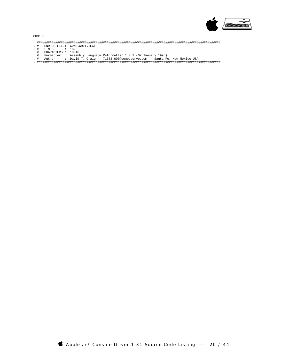![](_page_19_Picture_0.jpeg)

000182

; ####################################################################################################

- ; # END OF FILE: CONS.WRIT.TEXT ; # LINES : 182 ; # CHARACTERS : 10016
- 
- 
- 
- ; # Formatter : Assembly Language Reformatter 1.0.2 (07 January 1998) ; # Author : David T. Craig -- 71533.606@compuserve.com -- Santa Fe, New Mexico USA ; ####################################################################################################
-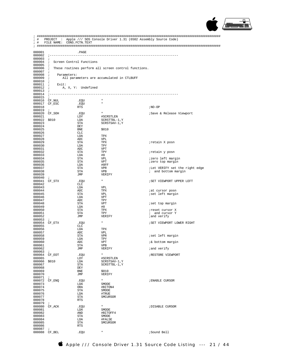![](_page_20_Picture_0.jpeg)

; #################################################################################################### ; # PROJECT : Apple /// SOS Console Driver 1.31 (6502 Assembly Source Code) ; # FILE NAME: CONS.FCTN.TEXT ; #################################################################################################### 000001 .PAGE 000002 ;----------------------------------------------------------------------  $000002$ <br> $000003$ <br> $000004$ Screen Control Functions  $000005$  ;<br>000006 ; These routines perform all screen control functions.  $000007$ <br> $000008$ 000008 ; Parameters:<br>000009 ; All para All parameters are accumulated in CTLBUFF 000010 000011 ; Exit:<br>000012 ; A, ..<br>A, X, Y: Undefined 000013 ; 000014 ;----------------------------------------------------------------------  $000015$ <br> $000016$  $000016$  CF\_NUL .EQU \*<br>000017 CF\_ESC .EOU \* 000017 CF\_ESC .EQU .EQU 000018 RTS ;NO-OP 000019 ;<br>000020 CF\_SOH 000020 CF\_SOH .EQU \* ;Save & Release Viewport  $\begin{array}{cccc}\n 000021 & -2011 & -122 \\
 000022 & 5010 & -1204 & -18CRSTLEN \\
 000022 & 5010 & -1204 & -1204\n \end{array}$ 000022 \$010 LDA SCRSTTBL-1,Y 000023 STA SCRSTSAV-1,Y 000024<br>000024 DEY<br>000025 BNE 000025 BNE \$010<br>000026 CLC 000026 CLC<br>000027 LDA  $\begin{array}{ccc} 000027 & & & \textrm{LDA} & & \textrm{TPX} \\ 000028 & & & \textrm{ADC} & & \textrm{VPL} \end{array}$ 000028 ADC VPL STA TPX ;retain X posn LDA TPY 000030 LDA TPY  $\begin{array}{ccc}\n 000031 & & & \overline{\text{ADC}} & \text{VPT} \\
 000032 & & & \overline{\text{STA}} & \text{TPY}\n \end{array}$ STA TPY ;retain y posn<br>
LDA #0 000033 LDA #0<br>000034 STA VPL 000034 STA VPL ;zero left margin STA VPT ; zero top margin LDA #0FF 000036 LDA #0FF<br>000037 STA VPR 000037 STA VPR ;Let VERIFY set the right edge 000038 STA VPB ; and bottom margin **VERIFY** 000040 ;<br>000041 CF\_STX 000041 CF\_STX .EQU \* ;SET VIEWPORT UPPER LEFT  $000042$  CLC<br>000043 LDA  $\begin{tabular}{lllllllllll} 0000043 & & & \text{LDA} & & \text{VPL} \\ 0000044 & & & \text{ADC} & & \text{TPX} \end{tabular}$ 000044 ADC TPX ;at cursor posn STA VPL ;set left margin in the set of the set of the set of the set of the set of the set of the set of the set of the set of the set of the set of the set of the set of the set of the set of the set of the set of the set  $\begin{tabular}{lllllllllllllllllll} \multicolumn{3}{l} \textbf{1} & \multicolumn{3}{c} \textbf{1} & \multicolumn{3}{c} \textbf{1} & \multicolumn{3}{c} \textbf{1} & \multicolumn{3}{c} \textbf{1} & \multicolumn{3}{c} \textbf{1} & \multicolumn{3}{c} \textbf{1} & \multicolumn{3}{c} \textbf{1} & \multicolumn{3}{c} \textbf{1} & \multicolumn{3}{c} \textbf{1} & \multicolumn{3}{c} \textbf{1} & \multicolumn{3}{c} \textbf{1} & \multicolumn{3}{c} \text$ 000047 ADC TPY<br>000048 STA VPT STA VPT *iset top margin*<br>  $\begin{array}{ccc} 1 \text{D} \text{A} & \text{H} \text{O} \end{array}$  $\begin{array}{cccc}\texttt{LDA} & \texttt{H0} \\ \texttt{000050} & \texttt{STA} & \texttt{TPX} \end{array}$ 000050 STA TPX ;reset cursor X 000051 STA TPY ; and cursor Y ;and verify  $000053$  ;<br>000054 CF\_ETX 000054 CF\_ETX .EQU \* ;SET VIEWPORT LOWER RIGHT 000055 CLC 000056  $\overline{LDA}$  TPX  $\overline{VPL}$  TPX  $\overline{VPL}$ 000057 ADC VPL 000058 STA VPR ;set left margin 000059 LDA TPY TO TOP TO THE MOOD ON THE MANUSCRIPT OF THE MANUSCRIPT OF THE MANUSCRIPT OF THE MANUSCRIPT OF T<br>ADC ADC VPT  $i\&$  bottom margin STA VPB  $\begin{array}{cccc}\n 000061 & & & & \text{STA} & & \text{VPB} \\
 000062 & & & & \text{JMP} & & & \text{VERIFY}\n \end{array}$ ; and verify 000063 ;<br>000064 CF\_EOT 000064 CF\_EOT .EQU \* ;RESTORE VIEWPORT  $\overline{\hspace{1cm}}$  000065  $\overline{\hspace{1cm}}$  LDY  $\overline{\hspace{1cm}}$   $\overline{\hspace{1cm}}$   $\overline{\hspace{1cm}}$   $\overline{\hspace{1cm}}$   $\overline{\hspace{1cm}}$   $\overline{\hspace{1cm}}$   $\overline{\hspace{1cm}}$   $\overline{\hspace{1cm}}$   $\overline{\hspace{1cm}}$   $\overline{\hspace{1cm}}$   $\overline{\hspace{1cm}}$   $\overline{\hspace{1cm}}$   $\overline{\hspace{1cm}}$   $\overline{\hspace{1cm}}$   $\$  $\begin{array}{cccc}\n 000066 & \text{\$010} & \text{LDA} & \text{SCRSTSAV-1,Y} \\
 000067 & \text{STA} & \text{SCRSTTEL-1,Y}\n \end{array}$ STA SCRSTTBL-1, Y<br>DEY 000068 DEY 000069 BNE \$010 000070 JMP VERIFY 000071 ;<br>000072 CF ENO  $\begin{array}{lllllll} \texttt{EQU} & \star & \texttt{:=}\texttt{ENABLE} & \texttt{CURSOR} \\ \texttt{LDA} & \texttt{SMDDE} & \texttt{[SMDDE]} & \texttt{[SDM} & \texttt{[SDM} & \texttt{[SDM} & \texttt{[SDM} & \texttt{[SDM} & \texttt{[SDM} & \texttt{[SDM} & \texttt{[SDM} & \texttt{[SDM} & \texttt{[SDM} & \texttt{[SDM} & \texttt{[SDM} & \texttt{[SDM} & \texttt{[SDM} & \texttt{[SDM} & \texttt{[SDM} & \texttt{[SDM$  $\overline{000073}$   $\overline{100}$   $\overline{100}$   $\overline{100}$   $\overline{100}$ ORA #BITON4<br>STA SMODE  $000075 \qquad \begin{matrix} \text{STA} & \text{MODE} \\ \text{SMOD} & \text{SMOD} \end{matrix}$ 000076 LDA<br>000077 STA STA SMCURSOR<br>RTS  $000078$ 000079 ;  $\begin{array}{cccc}\n 000080 & CF\_ACK & .EQU & * & .\n 000081 & .LDA & .SMODE\n\end{array} \qquad \begin{array}{c} \star & .\quad \ \ \, \star & .\quad \ \ \, \star & .\quad \ \ \, \star & .\quad \ \ \, \star & .\quad \ \ \, \star & .\quad \ \ \, \star & .\quad \ \ \, \star & .\quad \ \ \, \star & .\quad \ \ \, \star & .\quad \ \ \, \star & .\quad \ \ \, \star & .\quad \ \ \, \star & .\quad \ \ \, \star &$  $000081$ <br> $000082$  AND 000082 AND #BITOFF4<br>000083 AND #BITOFF4 000083 STA SMODE  $\begin{array}{ccc}\n 000084 & \text{LDA} & \text{HFDLE} \\
 000085 & \text{STA} & \text{SMCURS}\n \end{array}$ STA SMCURSOR<br>RTS 000086 000087 ; 000088 CF\_BEL .EQU \* ;Sound Bell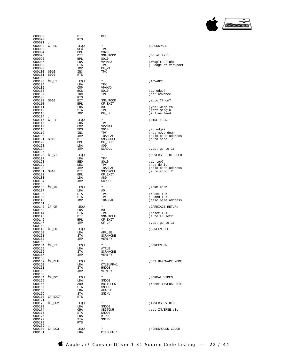![](_page_21_Picture_0.jpeg)

| 000089<br>000090   |                        | BIT<br><b>RTS</b>        | <b>BELL</b>               |                                      |
|--------------------|------------------------|--------------------------|---------------------------|--------------------------------------|
| 000091             | $\cdot$                |                          |                           |                                      |
| 000092<br>000093   | $CF\_BS$               | .EQU<br><b>DEC</b>       | $\star$<br>TPX            | ; BACKSPACE                          |
| 000094             |                        | <b>BPL</b>               | \$020                     |                                      |
| 000095<br>000096   |                        | <b>BIT</b><br><b>BPL</b> | SMAUTOCR<br>\$010         | ;BS at left:                         |
| 000097             |                        | LDA                      | VPHMAX                    | Wrap to right                        |
| 000098<br>000099   |                        | <b>STA</b><br>JMP        | TPX<br>CF VT              | ; edge of viewport                   |
| 000100             | \$010                  | <b>INC</b>               | TPX                       |                                      |
| 000101<br>000102   | \$020<br>$\cdot$ :     | <b>RTS</b>               |                           |                                      |
| 000103             | $CF\_HT$               | .EQU                     | $\star$                   | ; ADVANCE                            |
| 000104<br>000105   |                        | LDA<br>CMP               | TPX<br>VPHMAX             |                                      |
| 000106             |                        | <b>BCS</b>               | \$010                     | <i>i</i> at edge?                    |
| 000107<br>000108   |                        | TNC<br><b>RTS</b>        | TPX                       | ino: advance                         |
| 000109             | \$010                  | <b>BIT</b>               | SMAUTOCR                  | <i>i</i> auto CR on?                 |
| 000110<br>000111   |                        | <b>BPL</b><br>LDA        | CF_EXIT<br>#0             | ;yes: wrap to                        |
| 000112             |                        | <b>STA</b>               | TPX                       | ; left margin                        |
| 000113<br>000114   | $\cdot$                | JMP                      | $CF$ <sub>LF</sub>        | <i>i</i> & line feed                 |
| 000115             | $CF\_LF$               | .EQU                     | $\star$                   | <b>;LINE FEED</b>                    |
| 000116<br>000117   |                        | LDA<br>CMP               | TPY<br>VPVMAX             |                                      |
| 000118             |                        | <b>BCS</b>               | \$010                     | <i>i</i> at edge?                    |
| 000119<br>000120   |                        | TNC<br>JMP               | TPY<br>TBASCAL            | ino: move down<br>;calc base address |
| 000121             | \$010                  | BIT                      | SMSCROLL                  | <i>i</i> auto scroll?                |
| 000122<br>000123   |                        | <b>BPL</b><br>LDA        | CF_EXIT<br>#00            |                                      |
| 000124             |                        | <b>JMP</b>               | <b>SCROLL</b>             | ;yes: go to it                       |
| 000125<br>000126   | $\cdot$<br>CF VT       | . EOU                    | $\star$                   | REVERSE LINE FEED                    |
| 000127             |                        | LDA                      | <b>TPY</b>                |                                      |
| 000128<br>000129   |                        | <b>BEO</b><br>DEC        | \$010<br>TPY              | <i>i</i> at top?<br>;no: do it       |
| 000130             |                        | JMP                      | TBASCAL                   | ; calc base address                  |
| 000131<br>000132   | \$010                  | <b>BIT</b><br>BPL        | SMSCROLL<br>CF EXIT       | <i>i</i> auto scroll?                |
| 000133             |                        | LDA                      | #80                       |                                      |
| 000134             |                        | JMP                      | SCROLL                    |                                      |
| 000135<br>000136   | $\cdot$<br>$CF\_FF$    | .EQU                     | $\star$                   | <b>FORM FEED</b>                     |
| 000137             |                        | LDA                      | #0                        |                                      |
| 000138<br>000139   |                        | <b>STA</b><br><b>STA</b> | TPX<br><b>TPY</b>         | ; reset TPX<br>; and TPY             |
| 000140             |                        | JMP                      | TBASCAL                   | ;calc base address                   |
| 000141<br>000142   | $\ddot{i}$<br>$CF_C R$ | .EQU                     | $\star$                   | ; CARRIAGE RETURN                    |
| 000143             |                        | LDA                      | #0                        |                                      |
| 000144<br>000145   |                        | STA<br><b>BIT</b>        | TPX<br>SMAUTOLF           | ireset TPX<br>;auto LF set?          |
| 000146             |                        | <b>BPL</b>               | CF_EXIT                   |                                      |
| 000147<br>000148   | $\cdot$                | JMP                      | $CF$ <sub>LF</sub>        | ;yes: go to it                       |
| 000149             | CF_SO                  | .EQU                     | $\star$                   | ; SCREEN OFF                         |
| 000150<br>000151   |                        | LDA<br><b>STA</b>        | #FALSE<br><b>SCRNMODE</b> |                                      |
| 000152             |                        | JMP                      | VERIFY                    |                                      |
| $000153$ ;         | 000154 CF_SI           | .EQU                     | $\star$                   | ; SCREEN ON                          |
| 000155             |                        | LDA                      | #TRUE                     |                                      |
| 000156<br>000157   |                        | STA<br>JMP               | SCRNMODE<br>VERIFY        |                                      |
| $000158$ ;         |                        |                          | $\star$                   |                                      |
| 000160             | 000159 CF_DLE          | . EOU<br>LDA             | CTLBUFF+1                 | ; SET HARDWARE MODE                  |
| 000161             |                        | STA                      | HMODE                     |                                      |
| 000162<br>000163 : |                        | JMP                      | VERIFY                    |                                      |
|                    | 000164 CF_DC1          | . EQU                    | $\star$                   | ;NORMAL VIDEO                        |
| 000165<br>000166   |                        | LDA<br>AND               | SMODE<br>#BITOFF5         | ireset INVERSE bit                   |
| 000167             |                        | STA                      | SMODE                     |                                      |
| 000168<br>000169   |                        | LDA<br>STA               | #FALSE<br>SMINV           |                                      |
|                    | 000170 CF_EXIT         | RTS                      |                           |                                      |
| 000171 i           | 000172 CF_DC2          | .EQU                     | $\star$                   | ; INVERSE VIDEO                      |
| 000173             |                        | LDA                      | SMODE                     |                                      |
| 000174<br>000175   |                        | ORA<br>STA               | #BITON5<br>SMODE          | set INVERSE bit;                     |
| 000176             |                        | LDA                      | #TRUE                     |                                      |
| 000177<br>000178   |                        | STA<br><b>RTS</b>        | SMINV                     |                                      |
| 000179 ;           |                        |                          |                           |                                      |
| 000181             | 000180 CF_DC3          | . EOU<br>LDA             | $\star$<br>CTLBUFF+1      | FOREGROUND COLOR                     |
|                    |                        |                          |                           |                                      |

Apple /// Console Driver 1.31 Source Code Listing --- 22 / 44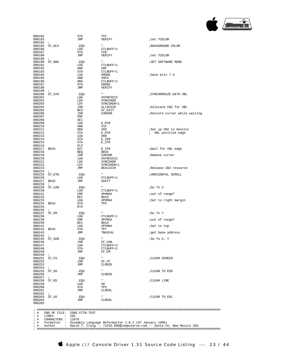![](_page_22_Picture_0.jpeg)

| 000182<br>000183         |                             | STA<br>JMP                    | TCF<br>VERIFY                                         | iset TCOLOR                                                            |
|--------------------------|-----------------------------|-------------------------------|-------------------------------------------------------|------------------------------------------------------------------------|
| $000184$ ;               |                             |                               |                                                       |                                                                        |
|                          | 000185 CF_DC4               | . EQU                         | $\star$<br>CTLBUFF+1                                  | ; BACKGROUND COLOR                                                     |
| 000186<br>000187         |                             | LDA<br>STA                    | TCB                                                   |                                                                        |
| 000188                   |                             | JMP                           | VERIFY                                                | ; set TCOLOR                                                           |
| $000189$ ;               | 000190 CF_NAK               | . EQU                         | $\star$                                               | ; SET SOFTWARE MODE                                                    |
| 000191                   |                             | LDA                           | CTLBUFF+1                                             |                                                                        |
| 000192                   |                             | AND                           | #0F                                                   |                                                                        |
| 000193<br>000194         |                             | STA<br>LDA                    | CTLBUFF+1<br>SMODE                                    | ;Save bits 7-4                                                         |
| 000195                   |                             | AND                           | #0F0                                                  |                                                                        |
| 000196                   |                             | ORA                           | CTLBUFF+1                                             |                                                                        |
| 000197<br>000198         |                             | STA<br>JMP                    | SMODE<br>VERIFY                                       |                                                                        |
| 000199i                  |                             |                               |                                                       |                                                                        |
| 000200 CF_SYN            |                             | .EQU                          | $\star$                                               | ; SYNCHRONIZE WITH VBL                                                 |
| 000201<br>000202         |                             | LDA<br>LDX                    | #SYNCSSIZ<br>SYNCSADR                                 |                                                                        |
| 000203                   |                             | LDY                           | SYNCSADR+1                                            |                                                                        |
| 000204                   |                             | JSR                           | ALLOCSIR                                              | ;Allocate CB2 for VBL                                                  |
| 000205<br>000206         |                             | BCS<br>JSR                    | CF_EXIT<br>CURSOR                                     | Restore cursor while waiting                                           |
| 000207                   |                             | PHP                           |                                                       |                                                                        |
| 000208                   |                             | SEI                           |                                                       |                                                                        |
| 000209<br>000210         |                             | LDA<br>AND                    | E PCR<br>#1F                                          |                                                                        |
| 000211                   |                             | ORA                           | #60                                                   | ;Set up CB2 to monitor                                                 |
| 000212                   |                             | STA                           | E_PCR                                                 | ; VBL positive edge                                                    |
| 000213<br>000214         |                             | LDA<br>STA                    | #08<br>$E\_IER$                                       |                                                                        |
| 000215                   |                             | STA                           | $E_I$ FR                                              |                                                                        |
| 000216                   |                             | PLP                           |                                                       |                                                                        |
| 000217 \$010<br>000218   |                             | BIT                           | E_IFR<br>\$010                                        | Wait for VBL edge                                                      |
| 000219                   |                             | BEQ<br>JSR                    | CURSOR                                                | Remove cursor                                                          |
| 000220                   |                             | LDA                           | #SYNCSSIZ                                             |                                                                        |
| 000221                   |                             | LDX                           | SYNCSADR                                              |                                                                        |
| 000222<br>000223         |                             | LDY<br>JMP                    | SYNCSADR+1<br>DEALCSIR                                | Release CB2 resource                                                   |
| $000224$ ;               |                             |                               |                                                       |                                                                        |
| 000225 CF_ETB            |                             | . EQU                         | $\star$                                               | HORIZONTAL SCROLL                                                      |
| 000226<br>000227 \$010   |                             | LDA<br>JMP                    | CTLBUFF+1<br>SHIFT                                    |                                                                        |
| $000228$ ;               |                             |                               |                                                       |                                                                        |
| 000229 CF_CAN            |                             | .EQU                          | $\star$                                               | ;Go To X                                                               |
| 000230<br>000231         |                             | LDA<br>CMP                    | CTLBUFF+1<br>VPHMAX                                   | jout of range?                                                         |
| 000232                   |                             | BCC                           | \$010                                                 |                                                                        |
| 000233                   |                             | LDA                           | VPHMAX                                                | ;Set to right margin                                                   |
| 000234 \$010<br>000235   |                             | STA<br>RTS                    | TPX                                                   |                                                                        |
| $000236$ ;               |                             |                               |                                                       |                                                                        |
| 000237 CF_EM             |                             | . EQU                         | $\star$                                               | ;Go To Y                                                               |
| 000238<br>000239         |                             | LDA<br>CMP                    | CTLBUFF+1<br>VPVMAX                                   |                                                                        |
| 000240                   |                             | BCC                           | \$010                                                 | jout of range?                                                         |
| 000241                   |                             | LDA                           | VPVMAX                                                | ;Set to top                                                            |
| 000242 \$010<br>000243   |                             | STA                           | TPY<br>TBASCAL                                        | <i>iget</i> base address                                               |
| $000244$ ;               |                             | JMP                           |                                                       |                                                                        |
|                          | 000245 CF_SUB               | . EQU                         | $\star$                                               | ;Go To X, Y                                                            |
| 000246<br>000247         |                             | JSR<br>LDA                    | CF_CAN<br>CTLBUFF+2                                   |                                                                        |
| 000248                   |                             | STA                           | CTLBUFF+1                                             |                                                                        |
| 000249                   |                             | JMP                           | $CF\_EM$                                              |                                                                        |
| 000250                   | $\cdot$ :                   |                               | $\star$                                               | ; CLEAR SCREEN                                                         |
| 000251 CF_FS<br>000252   |                             | .EQU<br>JSR                   | $CF_F$ FF                                             |                                                                        |
| 000253                   |                             | JMP                           | <b>CLREOS</b>                                         |                                                                        |
| 000254 :<br>000255 CF GS |                             |                               | $\star$                                               | ; CLEAR TO EOS                                                         |
| 000256                   |                             | .EQU<br>JMP                   | <b>CLREOS</b>                                         |                                                                        |
| 000257                   | $\cdot$ :                   |                               |                                                       |                                                                        |
| 000258 CF_RS             |                             | . EQU                         | $\star$<br>#0                                         | ; CLEAR LINE                                                           |
| 000259<br>000260         |                             | LDA<br>STA                    | TPX                                                   |                                                                        |
| 000261                   |                             | JMP                           | CLREOL                                                |                                                                        |
| 000262                   | $\cdot$                     |                               | $\star$                                               |                                                                        |
| 000263 CF_US<br>000264   |                             | .EQU<br>JMP                   | CLREOL                                                | ; CLEAR TO EOL                                                         |
| 000265                   |                             |                               |                                                       |                                                                        |
|                          |                             |                               |                                                       |                                                                        |
| $;$ #                    |                             | END OF FILE: CONS. FCTN. TEXT |                                                       |                                                                        |
| $;$ #                    | $\sim 200$<br>LINES         | 265                           |                                                       |                                                                        |
| $;$ #<br>$;$ #           | CHARACTERS :<br>Formatter : | 12878                         | Assembly Language Reformatter 1.0.2 (07 January 1998) |                                                                        |
| $;$ #                    | $\mathbf{L}$<br>Author      |                               |                                                       | David T. Craig -- 71533.606@compuserve.com -- Santa Fe, New Mexico USA |
|                          |                             |                               |                                                       |                                                                        |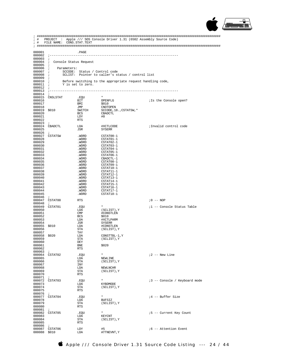![](_page_23_Picture_0.jpeg)

; #################################################################################################### ; # PROJECT : Apple /// SOS Console Driver 1.31 (6502 Assembly Source Code) ; # FILE NAME: CONS.STAT.TEXT ; #################################################################################################### 000001 .PAGE 000002 ;----------------------------------------------------------------------  $000003$ <br> $000004$ Console Status Request 000005<br>000006 000006 ; Parameters:<br>000007 ; SCCODE: 000007 ; SCCODE: Status / Control code<br>000008 ; SCLIST: Pointer to caller's s SCLIST: Pointer to caller's status / control list 000009<br>000010 000010 ; Before switching to the appropriate request handling code,  $0.00011$  ;  $y$  is set to zero Y is set to zero.  $000012$ <br> $000013$ 000013 ;---------------------------------------------------------------------- 000014<br>000015 000015 CNSLSTAT .EQU \* 000016 BIT OPENFLG ;Is the Console open? 000017 BMI \$010 000018<br>
000018 JMP CNOTOPEN<br>
000019 \$010 SWITCH SCCODE,18 000019 \$010 SWITCH SCCODE, 18., CSTATSW, \* 000020  $\begin{array}{lll} \text{BCS} & \text{CBADCTL} \\ \text{LDY} & \text{\#0} \end{array}$ 000021 LDY<br>000021 LDY<br>000022 RTS 000022 000023 ;<br>000024 CBADCTL  ${\tt\#XCTLCODE}\atop {\tt JSR}\hspace{2cm} ; \hbox{\tt Invalid control code}$ 000025 000026 ;<br>000027 CSTATSW 000027 CSTATSW .WORD CSTAT00-1<br>000028 .WORD CSTAT01-1 000028 .WORD CSTAT01-1<br>000029 .WORD CSTAT02-1 000029 .WORD CSTAT02-1<br>000030 .WORD CSTAT03-1  $\begin{array}{cccc}\n 000030 & & & \text{WORD} & & \text{CSTAT03--} \\
 000031 & & & \text{WORD} & & \text{CSTAT04--} \n \end{array}$  $\begin{tabular}{lllllllllll} 000031 & & & & \text{WORD} & & \text{CSTAT04--1} \\ 000032 & & & & \text{WORD} & & \text{CSTAT05--1} \end{tabular}$ 000032 .WORD CSTAT05-1<br>000033 .WORD CSTAT06-1 000033 .WORD CSTAT06-1<br>000034 .WORD CBADCTL-1<br>000035 .WORD CSTAT08-1  $\begin{array}{cccc}\n 000034 & .\n WORD & CBADCTL-1 \\
 000035 & .\n WORD & CSTAT08-1\n \end{array}$  $\begin{array}{cccc}\n 000035 & \text{WORD} & \text{CSTAT08-1} \\
 000036 & \text{WORD} & \text{CSTAT09-1}\n \end{array}$ 000036 . WORD CSTAT09-1 . WORD CSTAT09-1 000037 .WORD CSTAT10-1<br>000038 .WORD CSTAT11-1  $\begin{array}{cccc}\n 000038 & & & & \text{WORD} & & \text{CSTAT11--} \\
 000039 & & & & \text{WORD} & & \text{CSTAT12--} \\
 \end{array}$ 000039 . WORD CSTAT12-1 . WORD CSTAT12-1 000040 .WORD CSTAT13-1<br>000041 .WORD CSTAT14-1 000041 .WORD CSTAT14-1<br>000042 .WORD CSTAT15-1 000042 . WORD CSTAT15-1<br>000043 . WORD CSTAT16-1 000043 .WORD CSTAT16-1<br>000044 .WORD CSTAT17-1 000044 .WORD CSTAT17-1<br>000045 .WORD CSTAT18-1  $CSTAT18-1$ 000046<br>000047  $\begin{array}{ccc}\n\text{CSTATOO} & \text{RTS} \\
\end{array}\n\quad \begin{array}{ccc}\n\text{0} & - & \text{NOP} \\
\end{array}$ 000048 ;<br>000049 CSTAT01 000049 CSTAT01 .EQU \* ;1 -- Console Status Table 000050 LDA (SCLIST),Y CMP #CONSTLEN<br>BCS \$010 000052 BCS \$010 LDA #XCTLPARM<br>.tsp. syseep 000054 JSR<br>000055 \$010 LDA  $\begin{array}{cccc}\n 000055 & 010 & \text{LDA} & \text{HCONSTLEN} \\
 000056 & \text{STA} & \text{(SCLIST)}, \end{array}$  $STA$  (SCLIST), Y  $TAY$ 000057 TAY  $\begin{array}{cccc}\n 000058 & $020 & & \text{LDA} & & \text{CONSTTBL-1, Y} \\
 000059 & & & \text{STA} & & \text{(SCLIST), Y}\n \end{array}$ STA (SCLIST), Y 000060 DEY<br>000061 BNE  $\begin{array}{ccc}\n 000061 & & & \text{DNE} & & \text{ } \updownarrow 020 \\
 000062 & & & \text{RTS} & & \text{ } \end{array}$ 000062 000063 ;<br>000064 CSTAT02  $\begin{array}{lllll} \texttt{.EQU} & & \star & & \texttt{ :2 -- New Line}\\ \texttt{LDA} & & & \texttt{NEWLINE} & & \end{array}$  $000065$  LDA<br>000066 STA  $\begin{array}{lll} \text{STA} & \qquad \qquad \text{(SCLIST) ,Y} \\ \text{INY} & \qquad \qquad \end{array}$ 000067 INY<br>000068 IDA 000068 LDA NEWLNCHR<br>000069 STA (SCLIST)  $\begin{array}{lll} \text{STA} & \qquad \qquad \text{(SCLIST)}, \text{Y} \\ \text{RTS} & & \end{array}$ 000070  $000071$  ;<br>000072 CSTAT03 000072 CSTAT03 .EQU \* ;3 -- Console / Keyboard mode 000073 LDA KYBDMODE STA (SCLIST), Y
RTS  $000075$ 000076 ;<br>000077 CSTAT04 000077 CSTAT04 .EQU \* ;4 -- Buffer Size 000078 LDA BUFSIZ<br>000079 STA (SCLIS: STA (SCLIST), Y<br>RTS  $000080$  $000081$  ;<br> $000082$  CSTAT05 000082 CSTAT05 .EQU \* ;5 -- Current Key Count 000083 LDA KEYCNT  $\overline{STA}$  STA (SCLIST), Y
000085 RTS
(SCLIST), Y
000085 000085 000086 ;<br>000087 CSTAT06 000087 CSTAT06 LDY #5 ;6 -- Attention Event ATTNEVNT, Y

Apple /// Console Driver 1.31 Source Code Listing --- 24 / 44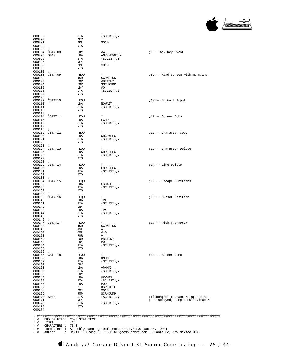![](_page_24_Picture_0.jpeg)

| 000089           |                                               | STA                   | (SCLIST), Y                  |                                                                                                                                 |
|------------------|-----------------------------------------------|-----------------------|------------------------------|---------------------------------------------------------------------------------------------------------------------------------|
| 000090<br>000091 |                                               | DEY<br>BPL            | \$010                        |                                                                                                                                 |
| 000092<br>000093 | $\cdot$                                       | RTS                   |                              |                                                                                                                                 |
| 000094<br>000095 | CSTAT08<br>\$010                              | LDY<br>LDA            | #4<br>ANYKYEVNT, Y           | :8 -- Any Key Event                                                                                                             |
| 000096           |                                               | STA                   | (SCLIST), Y                  |                                                                                                                                 |
| 000097<br>000098 |                                               | DEY<br>BPL            | \$010                        |                                                                                                                                 |
| 000099           |                                               | RTS                   |                              |                                                                                                                                 |
| 000100<br>000101 | ï<br>CSTAT09                                  | .EQU                  | $\star$                      | $109 -$ Read Screen with norm/inv                                                                                               |
| 000102<br>000103 |                                               | JSR<br>EOR            | SCRNPICK<br>#BITON7          |                                                                                                                                 |
| 000104           |                                               | EOR                   | SMCURSOR                     |                                                                                                                                 |
| 000105<br>000106 |                                               | LDY<br>STA            | #0<br>(SCLIST), Y            |                                                                                                                                 |
| 000107           |                                               | RTS                   |                              |                                                                                                                                 |
| 000108<br>000109 | $\ddot{i}$<br>CSTAT10                         | .EQU                  | $^{\star}$                   | :10 -- No Wait Input                                                                                                            |
| 000110<br>000111 |                                               | LDA<br>STA            | NOWAIT<br>(SCLIST), Y        |                                                                                                                                 |
| 000112           |                                               | RTS                   |                              |                                                                                                                                 |
| 000113<br>000114 | $\cdot$<br>CSTAT11                            | .EQU                  | $\star$                      | ;11 -- Screen Echo                                                                                                              |
| 000115           |                                               | LDA                   | ECHO                         |                                                                                                                                 |
| 000116<br>000117 |                                               | STA<br>RTS            | (SCLIST), Y                  |                                                                                                                                 |
| 000118<br>000119 | ÷<br>CSTAT12                                  | .EQU                  | $\star$                      | ;12 -- Character Copy                                                                                                           |
| 000120           |                                               | LDA                   | CHCPYFLG                     |                                                                                                                                 |
| 000121<br>000122 |                                               | STA<br>RTS            | (SCLIST), Y                  |                                                                                                                                 |
| 000123           | ÷                                             |                       |                              |                                                                                                                                 |
| 000124<br>000125 | CSTAT13                                       | .EQU<br>LDA           | $^\star$<br>CHDELFLG         | ;13 -- Character Delete                                                                                                         |
| 000126           |                                               | STA                   | (SCLIST), Y                  |                                                                                                                                 |
| 000127<br>000128 | ÷                                             | RTS                   |                              |                                                                                                                                 |
| 000129<br>000130 | CSTAT14                                       | .EQU<br>LDA           | $\star$<br>LNDELFLG          | <i>i</i> 14 -- Line Delete                                                                                                      |
| 000131           |                                               | STA                   | (SCLIST), Y                  |                                                                                                                                 |
| 000132<br>000133 | $\ddot{\phantom{0}}$                          | RTS                   |                              |                                                                                                                                 |
| 000134           | CSTAT15                                       | .EQU                  | $^{\star}$                   | :15 -- Escape Functions                                                                                                         |
| 000135<br>000136 |                                               | LDA<br>STA            | <b>ESCAPE</b><br>(SCLIST), Y |                                                                                                                                 |
| 000137<br>000138 | $\ddot{i}$                                    | RTS                   |                              |                                                                                                                                 |
| 000139           | CSTAT16                                       | .EQU                  | $^{\star}$                   | :16 -- Cursor Position                                                                                                          |
| 000140<br>000141 |                                               | LDA<br>STA            | TPX<br>(SCLIST), Y           |                                                                                                                                 |
| 000142           |                                               | INY                   |                              |                                                                                                                                 |
| 000143<br>000144 |                                               | LDA<br>STA            | TPY<br>(SCLIST), Y           |                                                                                                                                 |
| 000145<br>000146 | ÷                                             | RTS                   |                              |                                                                                                                                 |
| 000147           | CSTAT17                                       | .EQU                  | $\star$                      | ;17 -- Pick Character                                                                                                           |
| 000148<br>000149 |                                               | JSR<br>ASL            | SCRNPICK<br>Α                |                                                                                                                                 |
| 000150           |                                               | <b>CMP</b>            | #40                          |                                                                                                                                 |
| 000151<br>000152 |                                               | ROR<br>EOR            | Α<br>#BITON7                 |                                                                                                                                 |
| 000153<br>000154 |                                               | LDY<br>STA            | #0<br>(SCLIST), Y            |                                                                                                                                 |
| 000155           |                                               | <b>RTS</b>            |                              |                                                                                                                                 |
| 000156<br>000157 | $\ddot{i}$<br>CSTAT18                         | .EQU                  | $^{\star}$                   | :18 -- Screen Dump                                                                                                              |
| 000158           |                                               | LDA                   | HMODE                        |                                                                                                                                 |
| 000159<br>000160 |                                               | STA<br>INY            | (SCLIST), Y                  |                                                                                                                                 |
| 000161<br>000162 |                                               | LDA<br>STA            | VPHMAX<br>(SCLIST), Y        |                                                                                                                                 |
| 000163           |                                               | INY                   |                              |                                                                                                                                 |
| 000164<br>000165 |                                               | LDA<br>STA            | VPVMAX<br>(SCLIST), Y        |                                                                                                                                 |
| 000166           |                                               | LDA                   | #00                          |                                                                                                                                 |
| 000167<br>000168 |                                               | BIT<br>BMI            | DSPLYCTL<br>\$010            |                                                                                                                                 |
| 000169<br>000170 | \$010                                         | JMP<br>STA            | SCRNDUMP<br>(SCLIST), Y      | <i>i</i> If control characters are being                                                                                        |
| 000171           |                                               | DEY                   |                              | ; displayed, dump a null viewport                                                                                               |
| 000172<br>000173 |                                               | STA<br>RTS            | (SCLIST), Y                  |                                                                                                                                 |
| 000174           |                                               |                       |                              |                                                                                                                                 |
|                  |                                               |                       |                              |                                                                                                                                 |
| $;$ #<br>$;$ #   | END OF FILE:<br>$\ddot{\phantom{0}}$<br>LINES | CONS.STAT.TEXT<br>174 |                              |                                                                                                                                 |
| $;$ #            | CHARACTERS :                                  | 7340                  |                              |                                                                                                                                 |
| $;$ #<br>$;$ #   | Formatter<br>$\sim$ $\sim$<br>Author<br>:     |                       |                              | Assembly Language Reformatter 1.0.2 (07 January 1998)<br>David T. Craig -- 71533.606@compuserve.com -- Santa Fe, New Mexico USA |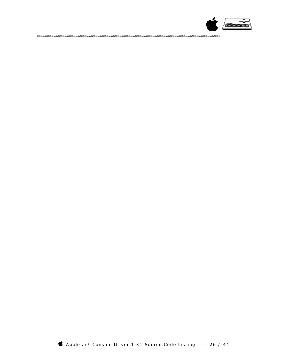![](_page_25_Picture_0.jpeg)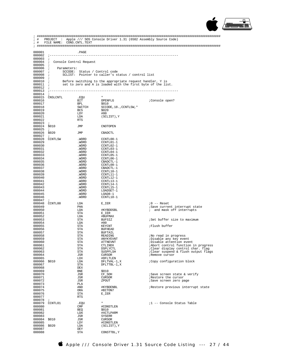![](_page_26_Picture_0.jpeg)

; #################################################################################################### ; # PROJECT : Apple /// SOS Console Driver 1.31 (6502 Assembly Source Code) ; # FILE NAME: CONS.CNTL.TEXT ; #################################################################################################### 000001 .PAGE 000002 ;----------------------------------------------------------------------  $000003$ <br> $000004$ Console Control Request 000005<br>000006 000006 ; Parameters:<br>000007 ; SCCODE: 000007 ; SCCODE: Status / Control code<br>000008 ; SCLIST: Pointer to caller's s SCLIST: Pointer to caller's status / control list 000009<br>000010 000010 ; Before switching to the appropriate request handler, Y is  $0.00011$  ; set to zero and A is loaded with the first byte of the light set to zero and A is loaded with the first byte of the list. 000012<br>000013 000013 ;---------------------------------------------------------------------- 000014<br>000015  $\begin{tabular}{llllll} \multicolumn{2}{c}{\textbf{000015}} & $\textbf{CNSLCNTL} & $\bullet$ & $\star$ \\ \multicolumn{2}{c}{\textbf{000016}} & $\bullet$ & $\textbf{EQU}$ & $\star$ & $\textbf{0PENFLG}$ \\ \multicolumn{2}{c}{\textbf{000016}} & $\bullet$ & $\textbf{BIT}$ & $\bullet$ & $\textbf{0PENFLG}$ \\ \end{tabular}$ 000016 BIT OPENFLG ;Console open? 000017 BPL \$010 000018 SWITCH SCCODE,18.,CCNTLSW,\* 000019 BCS \$020<br>000020 BCS \$020 000020 LDY +00  $\begin{array}{ccc}\n 000021 & \text{LDA} & (\text{SCLIST}), \text{Y} \\
 000022 & \text{RTS}\n \end{array}$ 000022  $000023$  ;<br> $000024$  \$010 JMP CNOTOPEN  $000025$  ;<br>000026 \$020 JMP CBADCTL 000027 ;<br>000027 ;<br>000028 CCNTLSW 000028 CCNTLSW .WORD CCNTL00-1<br>000029 .WORD CCNTL01-1  $\begin{array}{cccc}\n 000029 & & \text{WORD} & & \text{CCNTL01--1} \\
 000030 & & \text{WORD} & & \text{CCNTL02--1}\n \end{array}$  $\begin{array}{cccc}\n 000030 & & & \text{WORD} & & \text{CCNTL02-1} \\
 000031 & & & \text{WORD} & & \text{CCNTL03-1}\n \end{array}$ 000031 .WORD CCNTL03-1<br>000032 .WORD CCNTL04-1 000032 .WORD CCNTL04-1<br>000033 .WORD CCNTL05-1 000033 .WORD CCNTL05-1<br>000034 .WORD CCNTL06-1 000034 .WORD CCNTL06-1<br>000035 .WORD CBADCTL-1 000035 .WORD CBADCTL-1  $\begin{array}{cccc}\n 000036 & & & \text{WORD} & & \text{CCNTL08-1} \\
 000037 & & & \text{WORD} & & \text{CBADCTL-1}\n \end{array}$  $\begin{tabular}{l} 000037 \\ 000038 \end{tabular} \begin{tabular}{l} . WORD \\ . WORD \\ \end{tabular} \begin{tabular}{l} \bf{COMIC} \\ \bf{CONTL10-1} \end{tabular}$ 000038 .WORD CCNTL10-1 000039 .WORD CCNTL11-1<br>000040 .WORD CCNTL12-1 000040 .WORD CCNTL12-1<br>000041 .WORD CCNTL13-1 000041 .WORD CCNTL13-1<br>000042 .WORD CCNTL14-1 000042 . WORD CCNTL14-1<br>000043 . WORD CCNTL15-1 000043 .WORD CCNTL15-1<br>000044 .WORD LOADSET-1 000044 .WORD LOADSET-1<br>000045 .WORD LOADS-1  $\begin{array}{cccc}\n 000045 & & & \text{WORD} & & \text{LOAD8--1} \\
 000046 & & & \text{WORD} & & \text{CCNTL18}\n \end{array}$ CCNTL18-1  $000047$  ;<br>000048 CCNTL00 000048 CCNTL00 LDA E\_IER ;0 -- Reset 000049 PHA ;Save current interrupt state DDA #KYBDDSBL ; and mask off interrupts<br>  $\frac{1}{2}$  = TEP 000051 STA<br>000052 I.DA 000052 LDA #BUFMAX 000053 STA BUFSIZ ;Set buffer size to maximum<br>000054 TDA #00 000054 LDA #00  $\begin{array}{cccccccccc} 000055 &&&&&&&&&&\\ &&&&&&&&\\ 000055 &&&&&&&&\\ 000056 &&&&&&\\ 000056 &&&&&&\\ 000056 &&&&&&\\ 000056 &&&&&&\\ \end{array}$ 000056 STA BUFHEAD 000057 STA BUFTAIL 000058 STA READING ;No read in progress 000059 STA ANYKYEVNT ;Disable any key event 000060 STA ATTNEVNT ;Disable attention event 000061 STA CTLINDX ;Abort control function in progress 000062 STA DSPLYCTL ;Clear display control char. flag 000063 STA SUSPFLSH ;Clear suspend & flush output flags 000064 JSR CURSOR ;Remove cursor ;Remove cursor ; 2000664 JSR EDX ;Remove cursor ; 000065 LDX #DFLTLEN 000066 \$010 LDA DFLTVAL-1,X ;Copy configuration block STA DFLTTBL-1, X
DEX 000068 DEX 000069 BNE \$010 000070 JSR CF\_SOH ;Save screen state & verify JSR CURSOR ;Restore the cursor<br>JSR 7POUT :Save screen zero p 000072 JSR ZPOUT ;Save screen zero page 000073 PLA<br>000074 AND 000074 AND #KYBDENBL ;Restore previous interrupt state ORA #BITON7<br>STA E\_IER 000076 STA<br>000077 RTS 000077  $000078$  ;<br>000079 CCNTL01 000079 CCNTL01 .EQU \* ;1 -- Console Status Table CMP #CONSTLEN<br>BEO \$010 000081 BEQ<br>000082 BEQ<br>LDA 000082 LDA #XCTLPARM<br>000083 LDA #XCTLPARM<br>000083 JSR SYSERR 000083 JSR SYSERR  $\begin{array}{cccc}\n 000084 & 5010 & & \text{JSR} & & \text{CURSOR} \\
 000085 & & \text{LDY} & & \text{\#CONST}\n \end{array}$ 000085 LDY #CONSTLEN  $\begin{array}{cc}\n\text{LDA} & (\text{SCLIST}), \text{Y}\n\end{array}$ 000087<br>000087 DEY<br>000088 STA CONSTTBL, Y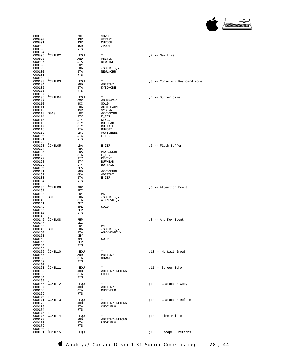![](_page_27_Picture_0.jpeg)

| 000089<br>000090<br>000091<br>000092<br>000093                                                                                 |                                  | BNE<br>JSR<br>JSR<br>JSR<br>RTS                                                  | \$020<br>VERIFY<br>CURSOR<br>ZPOUT                                                                                                |                               |
|--------------------------------------------------------------------------------------------------------------------------------|----------------------------------|----------------------------------------------------------------------------------|-----------------------------------------------------------------------------------------------------------------------------------|-------------------------------|
| 000094<br>000095<br>000096<br>000097<br>000098<br>000099<br>000100<br>000101                                                   | $\cdot$<br>CCNTL02               | .EQU<br>AND<br>STA<br>INY<br>LDA<br>STA<br>RTS                                   | $\star$<br>#BITON7<br>NEWLINE<br>(SCLIST), Y<br>NEWLNCHR                                                                          | :2 -- New Line                |
| 000102<br>000103<br>000104<br>000105<br>000106                                                                                 | $\cdot$<br>CCNTL03               | .EQU<br>AND<br>STA<br>RTS                                                        | $\star$<br>#BITON7<br>KYBDMODE                                                                                                    | ;3 -- Console / Keyboard mode |
| 000107<br>000108<br>000109<br>000110<br>000111<br>000112                                                                       | $\cdot$<br>CCNTL04               | . EQU<br>CMP<br>BCC<br>LDA<br>JSR                                                | $\star$<br>#BUFMAX+1<br>\$010<br>#XCTLPARM<br>SYSERR                                                                              | :4 -- Buffer Size             |
| 000113<br>000114<br>000115<br>000116<br>000117<br>000118<br>000119<br>000120<br>000121                                         | \$010                            | LDX<br>STX<br>STY<br>STY<br>STY<br>STA<br>LDX<br>STX<br>RTS                      | #KYBDDSBL<br>E_IER<br>KEYCNT<br><b>BUFHEAD</b><br>BUFTAIL<br><b>BUFSIZ</b><br>#KYBDENBL<br>E_IER                                  |                               |
| 000122<br>000123<br>000124<br>000125<br>000126<br>000127<br>000128<br>000129<br>000130<br>000131<br>000132<br>000133<br>000134 | $\cdot$<br>CCNTL05               | LDA<br>PHA<br>LDA<br>STA<br>STY<br>STY<br>STY<br>PLA<br>AND<br>ORA<br>STA<br>RTS | $E$ <sub>L</sub> IER<br>#KYBDDSBL<br>E_IER<br>KEYCNT<br><b>BUFHEAD</b><br>BUFTAIL<br>#KYBDENBL<br>#BITON7<br>$E$ <sub>L</sub> IER | :5 -- Flush Buffer            |
| 000135<br>000136<br>000137<br>000138                                                                                           | $\ddot{i}$<br>CCNTL06            | PHP<br>SEI<br>LDY                                                                | #5                                                                                                                                | :6 -- Attention Event         |
| 000139<br>000140<br>000141<br>000142<br>000143<br>000144                                                                       | \$010                            | LDA<br>STA<br>DEY<br>BPL<br>PLP<br>RTS                                           | (SCLIST), Y<br>ATTNEVNT, Y<br>\$010                                                                                               |                               |
| 000145<br>000146<br>000147<br>000148                                                                                           | $\cdot$<br>CCNTL08               | PHP<br>SEI<br>LDY                                                                | #4                                                                                                                                | :8 -- Any Key Event           |
| 000149<br>000150<br>000151<br>000152<br>000153<br>000154<br>000155                                                             | \$010<br>$\cdot$                 | LDA<br>STA<br>DEY<br>BPL<br>PLP<br>RTS                                           | (SCLIST), Y<br>ANYKYEVNT, Y<br>\$010                                                                                              |                               |
| 000156<br>000157<br>000158<br>000159                                                                                           | CCNTL10                          | .EQU<br>AND<br>STA<br><b>RTS</b>                                                 | $\star$<br>#BITON7<br>NOWAIT                                                                                                      | :10 -- No Wait Input          |
| 000160<br>000161<br>000162<br>000163<br>000164                                                                                 | $\cdot$<br>CCNTL11               | .EOU<br>AND<br>STA<br>RTS                                                        | $\star$<br>#BITON7+BITON6<br>ECHO                                                                                                 | ;11 -- Screen Echo            |
| 000165<br>000166<br>000167<br>000168<br>000169<br>000170                                                                       | $\ddot{i}$<br>CCNTL12<br>$\cdot$ | .EQU<br>AND<br>STA<br>RTS                                                        | $\star$<br>#BITON7<br>CHCPYFLG                                                                                                    | ;12 -- Character Copy         |
| 000171<br>000172<br>000173<br>000174<br>000175                                                                                 | CCNTL13<br>$\cdot$               | .EQU<br>AND<br>STA<br><b>RTS</b>                                                 | $\star$<br>#BITON7+BITON6<br><b>CHDELFLG</b>                                                                                      | ;13 -- Character Delete       |
| 000176<br>000177<br>000178<br>000179<br>000180                                                                                 | CCNTL14<br>$\ddot{i}$            | .EQU<br>AND<br>STA<br>RTS                                                        | $\star$<br>#BITON7+BITON6<br>LNDELFLG                                                                                             | ;14 -- Line Delete            |
|                                                                                                                                | 000181 CCNTL15                   | .EQU                                                                             | $\star$                                                                                                                           | :15 -- Escape Functions       |

Apple /// Console Driver 1.31 Source Code Listing --- 28 / 44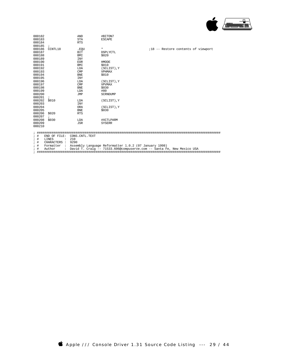![](_page_28_Picture_0.jpeg)

| 000185<br>$\cdot$<br>$\star$<br>000186<br>;18 -- Restore contents of viewport<br>CCNTL18<br>.EQU<br>000187<br><b>BIT</b><br><b>DSPLYCTL</b><br>000188<br>\$020<br>BMI<br>000189<br><b>INY</b><br>000190<br><b>EOR</b><br><b>HMODE</b><br>000191<br>\$010<br>BMI<br>000192<br>LDA<br>(SCLIST), Y<br>000193<br><b>CMP</b><br><b>VPHMAX</b><br>000194<br>\$010<br><b>BNE</b><br>000195<br><b>INY</b><br>000196<br>LDA<br>(SCLIST), Y<br>000197<br>CMP<br><b>VPVMAX</b><br>000198<br>\$030<br><b>BNE</b><br>000199<br>#80<br>LDA<br>000200<br>JMP<br><b>SCRNDUMP</b><br>000201<br>$\cdot$<br>000202<br>\$010<br>(SCLIST), Y<br>LDA<br>000203<br><b>INY</b><br>000204<br>ORA<br>(SCLIST), Y<br>000205<br>\$030<br><b>BNE</b><br>000206<br>\$020<br><b>RTS</b><br>000207<br>000208<br>\$030<br>#XCTLPARM<br>LDA<br>000209<br>JSR<br><b>SYSERR</b> | 000182<br>000183<br>000184 | AND<br><b>STA</b><br><b>RTS</b> | #BITON7<br><b>ESCAPE</b> |  |
|---------------------------------------------------------------------------------------------------------------------------------------------------------------------------------------------------------------------------------------------------------------------------------------------------------------------------------------------------------------------------------------------------------------------------------------------------------------------------------------------------------------------------------------------------------------------------------------------------------------------------------------------------------------------------------------------------------------------------------------------------------------------------------------------------------------------------------------------|----------------------------|---------------------------------|--------------------------|--|
|                                                                                                                                                                                                                                                                                                                                                                                                                                                                                                                                                                                                                                                                                                                                                                                                                                             |                            |                                 |                          |  |
|                                                                                                                                                                                                                                                                                                                                                                                                                                                                                                                                                                                                                                                                                                                                                                                                                                             |                            |                                 |                          |  |
|                                                                                                                                                                                                                                                                                                                                                                                                                                                                                                                                                                                                                                                                                                                                                                                                                                             |                            |                                 |                          |  |
|                                                                                                                                                                                                                                                                                                                                                                                                                                                                                                                                                                                                                                                                                                                                                                                                                                             |                            |                                 |                          |  |
|                                                                                                                                                                                                                                                                                                                                                                                                                                                                                                                                                                                                                                                                                                                                                                                                                                             |                            |                                 |                          |  |
|                                                                                                                                                                                                                                                                                                                                                                                                                                                                                                                                                                                                                                                                                                                                                                                                                                             |                            |                                 |                          |  |
|                                                                                                                                                                                                                                                                                                                                                                                                                                                                                                                                                                                                                                                                                                                                                                                                                                             |                            |                                 |                          |  |
|                                                                                                                                                                                                                                                                                                                                                                                                                                                                                                                                                                                                                                                                                                                                                                                                                                             |                            |                                 |                          |  |
|                                                                                                                                                                                                                                                                                                                                                                                                                                                                                                                                                                                                                                                                                                                                                                                                                                             |                            |                                 |                          |  |
|                                                                                                                                                                                                                                                                                                                                                                                                                                                                                                                                                                                                                                                                                                                                                                                                                                             |                            |                                 |                          |  |
|                                                                                                                                                                                                                                                                                                                                                                                                                                                                                                                                                                                                                                                                                                                                                                                                                                             |                            |                                 |                          |  |
|                                                                                                                                                                                                                                                                                                                                                                                                                                                                                                                                                                                                                                                                                                                                                                                                                                             |                            |                                 |                          |  |
|                                                                                                                                                                                                                                                                                                                                                                                                                                                                                                                                                                                                                                                                                                                                                                                                                                             |                            |                                 |                          |  |
|                                                                                                                                                                                                                                                                                                                                                                                                                                                                                                                                                                                                                                                                                                                                                                                                                                             |                            |                                 |                          |  |
|                                                                                                                                                                                                                                                                                                                                                                                                                                                                                                                                                                                                                                                                                                                                                                                                                                             |                            |                                 |                          |  |
|                                                                                                                                                                                                                                                                                                                                                                                                                                                                                                                                                                                                                                                                                                                                                                                                                                             |                            |                                 |                          |  |
|                                                                                                                                                                                                                                                                                                                                                                                                                                                                                                                                                                                                                                                                                                                                                                                                                                             |                            |                                 |                          |  |
|                                                                                                                                                                                                                                                                                                                                                                                                                                                                                                                                                                                                                                                                                                                                                                                                                                             |                            |                                 |                          |  |
|                                                                                                                                                                                                                                                                                                                                                                                                                                                                                                                                                                                                                                                                                                                                                                                                                                             |                            |                                 |                          |  |
|                                                                                                                                                                                                                                                                                                                                                                                                                                                                                                                                                                                                                                                                                                                                                                                                                                             |                            |                                 |                          |  |
|                                                                                                                                                                                                                                                                                                                                                                                                                                                                                                                                                                                                                                                                                                                                                                                                                                             |                            |                                 |                          |  |
|                                                                                                                                                                                                                                                                                                                                                                                                                                                                                                                                                                                                                                                                                                                                                                                                                                             |                            |                                 |                          |  |
|                                                                                                                                                                                                                                                                                                                                                                                                                                                                                                                                                                                                                                                                                                                                                                                                                                             |                            |                                 |                          |  |
|                                                                                                                                                                                                                                                                                                                                                                                                                                                                                                                                                                                                                                                                                                                                                                                                                                             |                            |                                 |                          |  |
|                                                                                                                                                                                                                                                                                                                                                                                                                                                                                                                                                                                                                                                                                                                                                                                                                                             | 000210                     |                                 |                          |  |

; #################################################################################################### ; # END OF FILE: CONS.CNTL.TEXT ; # LINES : 210 ; # CHARACTERS : 9290 ; # Formatter : Assembly Language Reformatter 1.0.2 (07 January 1998) ; # Author : David T. Craig -- 71533.606@compuserve.com -- Santa Fe, New Mexico USA ; ####################################################################################################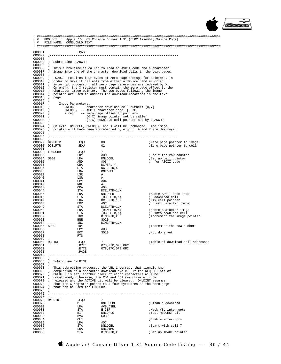![](_page_29_Picture_0.jpeg)

; #################################################################################################### ; # PROJECT : Apple /// SOS Console Driver 1.31 (6502 Assembly Source Code) ; # FILE NAME: CONS.DNLD.TEXT ; #################################################################################################### 000001 .PAGE 000002 ;---------------------------------------------------------------------- 000003<br>000004 Subroutine LOADCHR 000005 ;<br>000006 ; 000006 ; This subroutine is called to load an ASCII code and a character<br>000007 ; image into one of the character download cells in the text page: image into one of the character download cells in the text pages. 000008<br>000009 000009 ; LOADCHR requires four bytes of zero page storage for pointers. In 000010 ; order to make it callable from either a device handler or an 000010 ; order to make it callable from either a device handler or an<br>000011 ; interrupt processor, all zero page references are indexed by 000011 ; interrupt processor, all zero page references are indexed by X. 000012 ; On entry, the X register must contain the zero page offset to the 000013 ; character image pointer. The two bytes following the image<br>000011 ; pointer are used to address the download locations in the t pointer are used to address the download locations in the text page. 000015 000016 000017 ; Input Parameters: 000018 ; DNLDCEL -- character download cell number: [0,7] 000019 ; DNLDCHR -- ASCII character code: [0,7F]<br>000019 ; X reg -- zero page offset to pointers 000020 ; X reg -- zero page offset to pointers<br>000021 ; (0,X) image pointer set by caller 000022 ;  $(2,X)$  download cell pointer set by LOADCHR 000023<br>000024 000024 ; On exit, DNLDCEL, DNLDCHR, and X will be unchanged. The image 000025 ; pointer will have been incremented by eight. A and Y are dest pointer will have been incremented by eight. A and Y are destroyed. 000026<br>000027 000027 ;---------------------------------------------------------------------- 000028 ;<br>000029 DIMGPTR 000029 DIMGPTR .EQU 00 ;Zero page pointer to image 000030 DCELPTR .EQU 02 ;Zero page pointer to cell 000031<br>000032 000032 LOADCHR .EQU \* <br>000033 LDY #00  $\begin{array}{lllll} 000033 & \text{LDY} & \text{\#00} & \text{JUse Y for row counter} \\ 000034 & \text{SD10} & \text{LDA} & \text{DNLDCEL} & \text{JSet up cell pointer} \end{array}$ 000034 \$010 LDA DNLDCEL ;Set up cell pointer 000035 AND #03 ; for ASCII code  $\begin{array}{cccc}\n 000036 & & & \text{ORA} & & \text{DCPTEL}, Y \\
 000037 & & & \text{STA} & & \text{DCELPTR}, \end{array}$ 000037 STA DCELPTR,X LDA DNLDCEL<br>LSR A 000039 LSR<br>000040 LSR  $\begin{array}{cccc}\n 000040 & & & \text{LSR} & & \text{A} \\
 000041 & & & \text{CPY} & & \text{\#04}\n \end{array}$ 000041 (CPY #04)<br>000042 ROL ROL A 000042 ROL A<br>000043 ORA #08  $\begin{array}{ccccc}\n 000043 & & & & \text{ORA} \\
 000044 & & & & \text{STA}\n \end{array}$ 000044 STA DCELPTR+1, X<br>000045 T.DA DNLDCHR 000045 LDA DNLDCHR ;Store ASCII code into 000046 STA (DCELPTR,X) ; download cell 000047 LDA DCELPTR+1,X ;Fix cell pointer  $000048$  EOR  $\#OC$ <br> $000049$  STA  $DC$ KIPTR+1.X  $\qquad \qquad$  for character image  $\begin{array}{cccc}\n 000049 & & & \text{STA} & & \text{DCELPTR+1, X} \\
 000050 & & & \text{LDA} & & \text{(DIMGPTR, X)}\n \end{array}$ 000050 LDA (DIMGPTR,X) ;Store character image 000051 STA (DCELPTR,X)  $\qquad$ ; into download cell 000052  $\text{INC}$   $\text{DIMGPTR}, X$  ; Increment the image pointer BNE  $\text{S020}$ 000053<br>000054 BNE 000054 INC DIMGPTR+1,X  $\begin{array}{lll} \text{INV} & \text{if} & \text{if} & \text{if} & \text{if} & \text{if} & \text{if} & \text{if} & \text{if} & \text{if} & \text{if} & \text{if} & \text{if} & \text{if} & \text{if} & \text{if} & \text{if} & \text{if} & \text{if} & \text{if} & \text{if} & \text{if} & \text{if} & \text{if} & \text{if} & \text{if} & \text{if} & \text{if} & \text{if} & \text{if} & \text{if} & \text{if} & \text{if} & \text{if} & \text{if} & \text$ 000056 CPY #08  $\texttt{BCC}$   $$\$010$   $$\mu\textsc{i}$$   $\texttt{Not}$  done yet 000058  $000059$  ;<br> $000060$  poptrt. 000060 DCPTRL .EQU \* ;Table of download cell addresses 000061 .BYTE 078,07C,0F8,0FC .BYTE 078,07C,0F8,0FC<br>PAGE 000063<br>000064 000064 ;----------------------------------------------------------------------  $000065$  ;<br>000066 ; Subroutine DNLDINT  $000067$ <br>000068<br>000069 000068 ; This subroutine processes the VBL interrupt that signals the 000069 ; completion of a character download cycle. If the REQUEST bit of 000070 ; DNLDFEG is set, another block of eight characters will be 000071 ; dow 000073 ; that the X register points to a four byte area on the zero page 000073 ; that can be used for LOADCHR. that can be used for LOADCHR.  $000075$ <br> $000076$ 000076 ;----------------------------------------------------------------------  $000077$  ;<br> $000078$  DNLDINT  $\begin{tabular}{lllllllll} 000078 & \text{DNLDINT} & & \text{EQU} & & \text{\texttt{*}} \\ 000079 & & \text{BIT} & & \text{DNLDDSBL} \end{tabular}$ 000079 BIT DNLDDSBL ;Disable download  $\begin{array}{cccc}\n 000080 & & & \text{LDA} & & \text{#VBLDSBL} \\
 000081 & & & \text{STA} & & \text{E IER}\n \end{array}$ 000081 STA E\_IER ;Mask VBL interrupts 000082 BIT DNLDFLG ;Test REQUEST bit 000083 BVC \$030 000084 CLI ;Enable interrupts 000085 LDA #07 000086 STA DNLDCEL ;Start with cell 7 000087 LDA DNLDIMG 000088 STA DIMGPTR, X ;Set up IMAGE pointer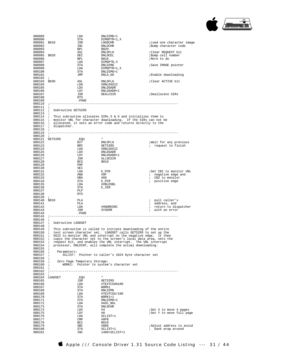![](_page_30_Picture_0.jpeg)

| 000089<br>000090         |                                          | LDA<br>STA                   | DNLDIMG+1<br>DIMGPTR+1,X                                                                                                                            |                                                   |
|--------------------------|------------------------------------------|------------------------------|-----------------------------------------------------------------------------------------------------------------------------------------------------|---------------------------------------------------|
| 000091 \$010<br>000092   |                                          | JSR<br>INC                   | LOADCHR<br>DNLDCHR                                                                                                                                  | ;Load one character image<br>;Bump character code |
| 000093                   |                                          | BPL                          | \$020                                                                                                                                               |                                                   |
| 000094                   |                                          | ASL                          | DNLDFLG                                                                                                                                             | ;Clear REQUEST bit                                |
| 000095 \$020<br>000096   |                                          | DEC<br>BPL                   | DNLDCEL<br>\$010                                                                                                                                    | Bump cell number<br>;More to do                   |
| 000097                   |                                          | LDA                          | DIMGPTR,X<br>DNLDIMG                                                                                                                                |                                                   |
| 000098                   |                                          | <b>STA</b>                   |                                                                                                                                                     | ;Save IMAGE pointer                               |
| 000099<br>000100         |                                          | LDA<br>STA                   | DIMGPTR+1,X<br>DNLDIMG+1                                                                                                                            |                                                   |
| 000101                   |                                          | JMP                          | DNLD_GO                                                                                                                                             | ;Enable downloading                               |
| 000102 ;<br>000103 \$030 |                                          | ASL                          | $\textsc{DNLDFLG}$                                                                                                                                  | :Clear ACTIVE bit                                 |
| 000104<br>000105         |                                          | LDA<br>LDX                   | #DNLDSSIZ<br>DNLDSADR                                                                                                                               |                                                   |
| 000106                   |                                          | LDY                          | DNLDSADR+1                                                                                                                                          |                                                   |
| 000107                   |                                          | JSR                          | DEALCSIR                                                                                                                                            | Deallocate SIRs                                   |
| 000108<br>000109         |                                          | RTS<br>. PAGE                |                                                                                                                                                     |                                                   |
|                          |                                          |                              |                                                                                                                                                     |                                                   |
| 000111 i                 | 000112 ; Subroutine GETSIRS              |                              |                                                                                                                                                     |                                                   |
| $000113$ ;               |                                          |                              |                                                                                                                                                     |                                                   |
|                          |                                          |                              | 000114 : This subroutine allocates SIRs $5 \& 6$ and initializes them to<br>000115 ; monitor VBL for character downloading. If the SIRs can not be  |                                                   |
|                          |                                          |                              | 000116 ; allocated, it sets an error code and returns directly to the                                                                               |                                                   |
|                          | $000117$ ; dispatcher.                   |                              |                                                                                                                                                     |                                                   |
| 000118 ;<br>000119       |                                          |                              |                                                                                                                                                     |                                                   |
| 000120 ;                 |                                          |                              | $\star$                                                                                                                                             |                                                   |
| 000122                   | 000121 GETSIRS                           | . EQU<br>BIT                 | DNLDFLG                                                                                                                                             | Wait for any previous                             |
| 000123                   |                                          | BMI                          | GETSIRS                                                                                                                                             | ; request to finish                               |
| 000124<br>000125         |                                          | LDA                          | #DNLDSSIZ                                                                                                                                           |                                                   |
| 000126                   |                                          | LDX<br>LDY                   | DNLDSADR<br>DNLDSADR+1                                                                                                                              |                                                   |
| 000127                   |                                          | JSR                          | ALLOCSIR                                                                                                                                            |                                                   |
| 000128<br>000129         |                                          | BCS<br>PHP                   | \$010                                                                                                                                               |                                                   |
| 000130                   |                                          | SEI                          |                                                                                                                                                     |                                                   |
| 000131                   |                                          | LDA                          | E_PCR                                                                                                                                               | ;Set CB1 to monitor VBL                           |
| 000132<br>000133         |                                          | AND<br>ORA                   | #0F<br>#60                                                                                                                                          | ; negative edge and<br>; CB2 to monitor           |
| 000134                   |                                          | <b>STA</b>                   | $E_PCR$                                                                                                                                             | ; positive edge                                   |
| 000135                   |                                          | LDA                          | #VBLDSBL                                                                                                                                            |                                                   |
| 000136<br>000137         |                                          | STA<br>PLP                   | $E\_IER$                                                                                                                                            |                                                   |
| 000138                   |                                          | RTS                          |                                                                                                                                                     |                                                   |
| $000139$ ;               |                                          |                              |                                                                                                                                                     | ; pull caller's                                   |
| 000140 \$010<br>000141   |                                          | PLA<br>PLA                   |                                                                                                                                                     | ; address, and                                    |
| 000142                   |                                          | LDA                          | #XNORESRC                                                                                                                                           | ; return to dispatcher                            |
| 000143<br>000144         |                                          | JSR<br>. PAGE                | SYSERR                                                                                                                                              | ; with an error                                   |
|                          | $000145$ ;--------                       |                              |                                                                                                                                                     |                                                   |
| 000146                   | $\cdot$ :<br>000147 ; Subroutine LOADSET |                              |                                                                                                                                                     |                                                   |
| 000148 ;                 |                                          |                              |                                                                                                                                                     |                                                   |
|                          |                                          |                              | $000149$ ; This subroutine is called to initiate downloading of the entire                                                                          |                                                   |
|                          |                                          |                              | 000150 ; text screen character set. LOADSET calls GETSIRS to set up the<br>000151 ; 6522 to monitor VBL and interrupt on the negative edge. It then |                                                   |
| 000152                   |                                          |                              | ; copys the character set to the screen's local data area, sets the                                                                                 |                                                   |
| 000153<br>000154         | $\cdot$ :<br>$\mathbf{r}$                |                              | request bit, and enables the VBL interrupt. The VBL interrupt<br>processor, DNLDINT, will complete the actual downloading.                          |                                                   |
| 000155                   | $\cdot$                                  |                              |                                                                                                                                                     |                                                   |
| 000156                   | $\cdot$ :<br>Parameters:                 |                              |                                                                                                                                                     |                                                   |
| 000157<br>000158         | $\cdot$ ;<br>$\cdot$                     |                              | SCLIST: Pointer to caller's 1024 byte character set                                                                                                 |                                                   |
| 000159                   | $\overline{\phantom{a}}$                 | Zero Page Temporary Storage: |                                                                                                                                                     |                                                   |
| 000160                   | $\ddot{i}$                               |                              | WORK1: Pointer to system's character set                                                                                                            |                                                   |
| 000161<br>000162         | $\cdot$                                  |                              |                                                                                                                                                     |                                                   |
| 000163                   | $\cdot$ :                                |                              |                                                                                                                                                     |                                                   |
|                          | 000164 LOADSET                           | . EQU                        | $\star$                                                                                                                                             |                                                   |
| 000165<br>000166         |                                          | JSR<br>LDA                   | GETSIRS<br>#TEXTCSA%100                                                                                                                             |                                                   |
| 000167                   |                                          | STA                          | WORK1                                                                                                                                               |                                                   |
| 000168                   |                                          | STA                          | DNLDIMG                                                                                                                                             |                                                   |
| 000169<br>000170         |                                          | LDA<br>STA                   | #TEXTCSA/100<br>WORK1+1                                                                                                                             |                                                   |
| 000171                   |                                          | STA                          | DNLDIMG+1                                                                                                                                           |                                                   |
| 000172                   |                                          | LDA                          | #ASC_NUL                                                                                                                                            |                                                   |
| 000173<br>000174         |                                          | STA<br>LDX                   | DNLDCHR<br>#4                                                                                                                                       | Set X to move 4 pages                             |
| 000175                   |                                          | LDY                          | #0                                                                                                                                                  | Set Y to move full page                           |
| 000176                   |                                          | LDA                          | SCLIST+1                                                                                                                                            |                                                   |
| 000177<br>000178         |                                          | CMP<br>BCC                   | #0FB<br>\$010                                                                                                                                       |                                                   |
| 000179                   |                                          | <b>SBC</b>                   | #080                                                                                                                                                | <i>i</i> Adjust address to avoid                  |
| 000180<br>000181         |                                          | STA<br>INC                   | SCLIST+1                                                                                                                                            | ; bank wrap around                                |
|                          |                                          |                              | 1400+SCLIST+1                                                                                                                                       |                                                   |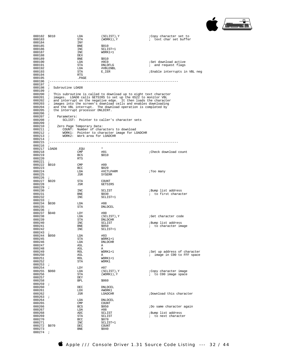![](_page_31_Picture_0.jpeg)

| 000182 \$010<br>000183<br>000184<br>000185<br>000186<br>000187<br>000188<br>000189<br>000190<br>000191<br>000192<br>000193<br>000194<br>000195 |                           | LDA<br>STA<br>INY<br>BNE<br>INC<br>INC<br>DEX<br>DEX<br>BNE<br>LDA<br>STA<br>LDA<br>LDA<br>STA<br>STA<br>RTS<br>. PAGE | $(\texttt{WORK1})$ , $\texttt{Y}$<br>\$010<br>SCLIST+1<br>WORK1+1<br>\$010<br>#0C0<br>DNLDFLG<br>#VENBL<br>$E$ IER                                                                                                                | ;Copy character set to<br>; text char set buffer<br>;Set download active<br>; and request flags<br>;Enable interrupts in VBL neg |
|------------------------------------------------------------------------------------------------------------------------------------------------|---------------------------|------------------------------------------------------------------------------------------------------------------------|-----------------------------------------------------------------------------------------------------------------------------------------------------------------------------------------------------------------------------------|----------------------------------------------------------------------------------------------------------------------------------|
| 000197 i                                                                                                                                       | 000198 ; Subroutine LOAD8 |                                                                                                                        |                                                                                                                                                                                                                                   |                                                                                                                                  |
| $000199$ ;                                                                                                                                     |                           |                                                                                                                        |                                                                                                                                                                                                                                   |                                                                                                                                  |
|                                                                                                                                                |                           |                                                                                                                        | $000200$ ; This subroutine is called to download up to eight text character<br>000201 ; images. LOADB calls GETSIRS to set up the 6522 to monitor VBL<br>000202 ; and interrupt on the negative edge. It then loads the character |                                                                                                                                  |
|                                                                                                                                                |                           |                                                                                                                        |                                                                                                                                                                                                                                   |                                                                                                                                  |
|                                                                                                                                                |                           |                                                                                                                        | 000203 ; images into the screen's download cells and enables downloading 000204 ; and the VBL interrupt. The download operation is completed by 000205 ; the interrupt processor DNLDINT.                                         |                                                                                                                                  |
| $000206$ ;                                                                                                                                     |                           |                                                                                                                        |                                                                                                                                                                                                                                   |                                                                                                                                  |
| $000209$ ;                                                                                                                                     |                           |                                                                                                                        | 000207 ; Parameters:<br>000208 ; SCLIST: Pointer to caller's character sets                                                                                                                                                       |                                                                                                                                  |
|                                                                                                                                                |                           |                                                                                                                        | 000219 ;<br>2000211 : COUNT: Number of characters to download<br>000211 : COUNT: Number of characters to download<br>000212 : WORK2: Work area for LOADCHR<br>000213 : WORK2: Work area for LOADCHR                               |                                                                                                                                  |
|                                                                                                                                                |                           |                                                                                                                        |                                                                                                                                                                                                                                   |                                                                                                                                  |
| 000214 :                                                                                                                                       |                           |                                                                                                                        |                                                                                                                                                                                                                                   |                                                                                                                                  |
| 000216 j                                                                                                                                       |                           |                                                                                                                        |                                                                                                                                                                                                                                   |                                                                                                                                  |
| 000218                                                                                                                                         | 000217 LOAD8              | .EQU<br>CMP                                                                                                            | $\star$<br>#01                                                                                                                                                                                                                    | Check download count;                                                                                                            |
| 000219                                                                                                                                         |                           | BCS<br>RTS                                                                                                             | \$010                                                                                                                                                                                                                             |                                                                                                                                  |
| 000220<br>$000221$ ;                                                                                                                           |                           |                                                                                                                        |                                                                                                                                                                                                                                   |                                                                                                                                  |
| 000222 \$010<br>000223                                                                                                                         |                           | $\begin{array}{c}\n\text{CMP} \\ \text{BCC}\n\end{array}$                                                              | #09<br>\$020                                                                                                                                                                                                                      |                                                                                                                                  |
| 000224<br>000225                                                                                                                               |                           | LDA #XCTLPI<br>JSR SYSERR                                                                                              | #XCTLPARM                                                                                                                                                                                                                         | ; Too many                                                                                                                       |
| $000226$ ;<br>000227 \$020                                                                                                                     |                           |                                                                                                                        | COUNT                                                                                                                                                                                                                             |                                                                                                                                  |
| 000228                                                                                                                                         |                           | STA<br>JSR                                                                                                             | GETSIRS                                                                                                                                                                                                                           |                                                                                                                                  |
| $000229$ ;<br>000230                                                                                                                           |                           | <b>INC</b>                                                                                                             | SCLIST                                                                                                                                                                                                                            | ;Bump list address                                                                                                               |
| 000231<br>000232                                                                                                                               |                           | BNE<br>INC                                                                                                             | \$030<br>SCLIST+1                                                                                                                                                                                                                 | ; to first character                                                                                                             |
| 000233 i<br>000234 \$030                                                                                                                       |                           | LDA                                                                                                                    | #08                                                                                                                                                                                                                               |                                                                                                                                  |
| 000235<br>$000236$ ;                                                                                                                           |                           | STA                                                                                                                    | DNLDCEL                                                                                                                                                                                                                           |                                                                                                                                  |
| 000237 \$040                                                                                                                                   |                           | LDY<br>LDA                                                                                                             | #00                                                                                                                                                                                                                               |                                                                                                                                  |
| 000238<br>000239                                                                                                                               |                           | STA<br>INC                                                                                                             | (SCLIST), Y<br>DNLDCHR                                                                                                                                                                                                            | ;Get character code                                                                                                              |
| 000240<br>000241                                                                                                                               |                           | INC<br>BNE                                                                                                             | SCLIST<br>\$050                                                                                                                                                                                                                   | ;Bump list address<br>; to character image                                                                                       |
| 000242<br>000243 :                                                                                                                             |                           | INC                                                                                                                    | SCLIST+1                                                                                                                                                                                                                          |                                                                                                                                  |
| 000245                                                                                                                                         | 000244 \$050              | LDA<br>STA                                                                                                             | #03<br>WORK1+1                                                                                                                                                                                                                    |                                                                                                                                  |
| 000246                                                                                                                                         |                           | LDA                                                                                                                    | DNLDCHR                                                                                                                                                                                                                           |                                                                                                                                  |
| 000247<br>000248                                                                                                                               |                           | ASL<br>ASL                                                                                                             | A<br>Α                                                                                                                                                                                                                            |                                                                                                                                  |
| 000249<br>000250                                                                                                                               |                           | ROL<br>ASL                                                                                                             | WORK1+1<br>Α                                                                                                                                                                                                                      | ;Set up address of character<br>; image in COO to FFF space                                                                      |
| 000251<br>000252                                                                                                                               |                           | ROL<br>STA                                                                                                             | WORK1+1<br>WORK1                                                                                                                                                                                                                  |                                                                                                                                  |
| 000253<br>000254                                                                                                                               | $\cdot$ ;                 | LDY                                                                                                                    | #07                                                                                                                                                                                                                               |                                                                                                                                  |
| 000255<br>000256                                                                                                                               | \$060                     | LDA                                                                                                                    | (SCLIST), Y                                                                                                                                                                                                                       | ;Copy character image                                                                                                            |
| 000257                                                                                                                                         |                           | STA<br>DEY                                                                                                             | (WORK1), Y                                                                                                                                                                                                                        | ; to C00 image space                                                                                                             |
| 000258<br>000259                                                                                                                               | $\cdot$                   | BPL                                                                                                                    | \$060                                                                                                                                                                                                                             |                                                                                                                                  |
| 000260<br>000261                                                                                                                               |                           | DEC<br><b>LDX</b>                                                                                                      | <b>DNLDCEL</b><br>#WORK1                                                                                                                                                                                                          |                                                                                                                                  |
| 000262<br>000263                                                                                                                               | $\cdot$ ;                 | JSR                                                                                                                    | LOADCHR                                                                                                                                                                                                                           | ;Download this character                                                                                                         |
| 000264                                                                                                                                         |                           | LDA                                                                                                                    | DNLDCEL                                                                                                                                                                                                                           |                                                                                                                                  |
| 000265<br>000266                                                                                                                               |                           | CMP<br>BCS                                                                                                             | COUNT<br>\$050                                                                                                                                                                                                                    | <i>i</i> Do same character again                                                                                                 |
| 000267<br>000268                                                                                                                               |                           | LDA<br>ADC                                                                                                             | #08<br>SCLIST                                                                                                                                                                                                                     | ;Bump list address                                                                                                               |
| 000269<br>000270                                                                                                                               |                           | STA<br>BCC                                                                                                             | SCLIST<br>\$070                                                                                                                                                                                                                   | ; to next character                                                                                                              |
| 000271<br>000272 \$070                                                                                                                         |                           | INC<br>DEC                                                                                                             | SCLIST+1<br>COUNT                                                                                                                                                                                                                 |                                                                                                                                  |
| 000273<br>000274                                                                                                                               |                           | <b>BNE</b>                                                                                                             | \$040                                                                                                                                                                                                                             |                                                                                                                                  |
|                                                                                                                                                | $\overline{\phantom{a}}$  |                                                                                                                        |                                                                                                                                                                                                                                   |                                                                                                                                  |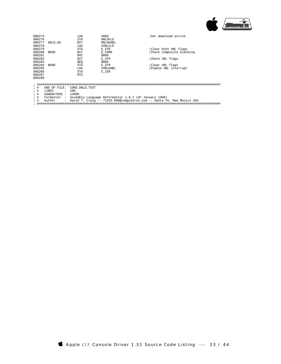![](_page_32_Picture_0.jpeg)

| 000275<br>000276<br>000277<br>000278 | DNLD GO | LDA<br><b>STA</b><br>BIT<br>LDA | #080<br>DNI DFI G<br>DNLDENBL<br>#VBLCLR | ;Set download active      |
|--------------------------------------|---------|---------------------------------|------------------------------------------|---------------------------|
| 000279                               |         | <b>STA</b>                      | E IFR                                    | :Clear both VBL flags     |
| 000280                               | \$080   | BIT                             | E IORB                                   | :Check composite blanking |
| 000281                               |         | <b>BVC</b>                      | \$090                                    |                           |
| 000282                               |         | BIT                             | E IFR                                    | :Check VBL flags          |
| 000283                               |         | <b>BEO</b>                      | \$080                                    |                           |
| 000284                               | \$090   | STA                             | E IFR                                    | :Clear VBL flags          |
| 000285                               |         | LDA                             | #VBLENBL                                 | ;Enable VBL interrupt     |
| 000286                               |         | STA                             | E IER                                    |                           |
| 000287                               |         | <b>RTS</b>                      |                                          |                           |
| 000288                               |         |                                 |                                          |                           |

## ; #################################################################################################### ; # END OF FILE: CONS.DNLD.TEXT ; # LINES : 288 ; # CHARACTERS : 14806 ; # Formatter : Assembly Language Reformatter 1.0.2 (07 January 1998) ; # Author : David T. Craig -- 71533.606@compuserve.com -- Santa Fe, New Mexico USA ; ####################################################################################################

- 
-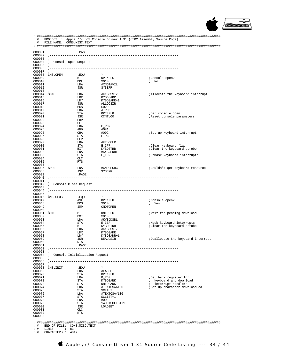![](_page_33_Picture_0.jpeg)

; #################################################################################################### ; # PROJECT : Apple /// SOS Console Driver 1.31 (6502 Assembly Source Code) ; # FILE NAME: CONS.MISC.TEXT ; ####################################################################################################

| ÷                                                                                    |                                  |                                           |                                                   |
|--------------------------------------------------------------------------------------|----------------------------------|-------------------------------------------|---------------------------------------------------|
| CNSLOPEN                                                                             | . EQU<br>BIT                     |                                           | :Console open?                                    |
|                                                                                      | <b>BPL</b>                       | OPENFLG<br>\$010<br>#XNOTAVIL             | $\mathfrak{c}$ No                                 |
|                                                                                      | LDA                              |                                           |                                                   |
|                                                                                      | <b>JSR</b>                       | SYSERR                                    |                                                   |
| $\mathbf{r}$                                                                         |                                  |                                           |                                                   |
| 000014 \$010                                                                         | LDA                              | #KYBDSSIZ<br>KYBDSADR<br>KYBDSADR+1       | Allocate the keyboard interrupt                   |
|                                                                                      | LDX                              |                                           |                                                   |
|                                                                                      | LDY                              |                                           |                                                   |
|                                                                                      | JSR                              | ALLOCSIR                                  |                                                   |
|                                                                                      | BCS<br>LDA                       | \$020<br>#TRUE                            |                                                   |
|                                                                                      | STA                              | OPENFLG                                   | ;Set console open                                 |
|                                                                                      | JSR                              | CCNTL00                                   | Reset console parameters                          |
|                                                                                      | PHP                              |                                           |                                                   |
|                                                                                      | SEI                              |                                           |                                                   |
|                                                                                      | LDA                              | $E_PCR$                                   |                                                   |
|                                                                                      | AND                              | #0F1                                      |                                                   |
|                                                                                      | ORA                              | #002                                      | ;Set up keyboard interrupt                        |
|                                                                                      | STA                              | $E_PCR$                                   |                                                   |
|                                                                                      | PLP                              |                                           |                                                   |
|                                                                                      | LDA                              | #KYBDCLR                                  |                                                   |
|                                                                                      | STA                              | E_IFR                                     | :Clear keyboard flag                              |
|                                                                                      | BIT                              | KYBDSTRB<br>#KYBDENBL                     | :Clear the keyboard strobe                        |
|                                                                                      | LDA<br>STA                       | $E$ _IER                                  | ;Unmask keyboard interrupts                       |
|                                                                                      | CLC                              |                                           |                                                   |
|                                                                                      | RTS                              |                                           |                                                   |
|                                                                                      |                                  |                                           |                                                   |
| 000037 \$020                                                                         | LDA                              | #XNORESRC                                 | :Couldn't get keyboard resource                   |
|                                                                                      | JSR<br>. PAGE                    | SYSERR                                    |                                                   |
| ; ---<br>$000041$ ;                                                                  |                                  |                                           |                                                   |
| 000042 ; Console Close Request<br>$\cdot$ $\cdot$<br>$\mathbf{r}$                    |                                  |                                           |                                                   |
|                                                                                      | .EQU<br>ASL                      | OPENFLG                                   | ;Console open?                                    |
|                                                                                      | <b>BCS</b>                       | \$010                                     | ; Yes                                             |
|                                                                                      | JMP                              | CNOTOPEN                                  |                                                   |
|                                                                                      |                                  |                                           |                                                   |
|                                                                                      | <b>BIT</b><br>BMI                |                                           | Wait for pending download                         |
|                                                                                      | LDA                              |                                           |                                                   |
|                                                                                      |                                  | DNLDFLG<br>\$010<br>#KYBDDSBL<br>$E$ _IER | Mask keyboard interrupts                          |
|                                                                                      | <b>STA</b><br>BIT                | KYBDSTRB                                  | :Clear the keyboard strobe                        |
|                                                                                      | LDA                              | #KYBDSSIZ                                 |                                                   |
|                                                                                      | LDX                              | KYBDSADR                                  |                                                   |
|                                                                                      | LDY                              | KYBDSADR+1                                |                                                   |
|                                                                                      | JSR                              | DEALCSIR                                  | Deallocate the keyboard interrupt                 |
|                                                                                      | RTS                              |                                           |                                                   |
|                                                                                      | . PAGE                           |                                           |                                                   |
|                                                                                      |                                  |                                           |                                                   |
|                                                                                      | : Console Initialization Request |                                           |                                                   |
|                                                                                      |                                  |                                           |                                                   |
|                                                                                      |                                  |                                           |                                                   |
|                                                                                      |                                  |                                           |                                                   |
|                                                                                      | .EQU                             |                                           |                                                   |
| 000046 CNSLCLOS<br>$\mathbf{r}$<br>000051 \$010<br>$\ddot{i}$<br>$\cdot$<br>CNSLINIT | LDA                              | #FALSE                                    |                                                   |
|                                                                                      | STA<br>LDA                       | OPENFLG<br>B REG                          |                                                   |
|                                                                                      | <b>STA</b>                       | KYBDBANK                                  | ;Set bank register for<br>; keyboard and download |
|                                                                                      | STA                              | <b>DNLDBANK</b>                           | ; interrupt handlers                              |
|                                                                                      | LDA                              | #TEXTCSA%100                              | ;Set up character download call                   |
|                                                                                      | STA                              | SCLIST                                    |                                                   |
|                                                                                      | LDA                              | #TEXTCSA/100                              |                                                   |
|                                                                                      | STA                              | SCLIST+1                                  |                                                   |
|                                                                                      | LDA                              | #00                                       |                                                   |
|                                                                                      | STA                              | 1400+SCLIST+1                             |                                                   |
|                                                                                      | JSR                              | LOADSET                                   |                                                   |
|                                                                                      | CLC                              |                                           |                                                   |
|                                                                                      | RTS                              |                                           |                                                   |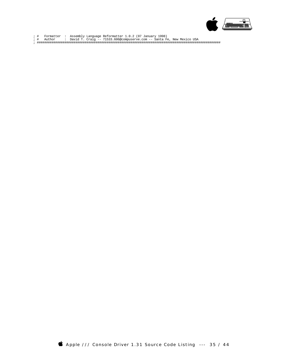![](_page_34_Picture_0.jpeg)

; # Formatter : Assembly Language Reformatter 1.0.2 (07 January 1998) ; # Author : David T. Craig -- 71533.606@compuserve.com -- Santa Fe, New Mexico USA ; ####################################################################################################

Apple /// Console Driver 1.31 Source Code Listing --- 35 / 44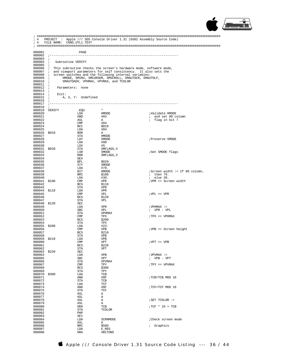![](_page_35_Picture_0.jpeg)

; #################################################################################################### ; # PROJECT : Apple /// SOS Console Driver 1.31 (6502 Assembly Source Code) ; # FILE NAME: CONS.UTL1.TEXT ; #################################################################################################### 000001 .PAGE 000002 ;----------------------------------------------------------------------  $000003$  ;<br>000004 ; Subroutine VERIFY  $000005$  ;<br>000006 ; 000006 ; This subroutine checks the screen's hardware mode, software mode, 000007 ; and viewport parameters for self consistency. It also sets the 000007 ; and viewport parameters for self consistency. It also sets the<br>000008 ; screen switches and the following internal variables:<br>000009 ; HMODE, SMINV, SMCURSOR, SMSCROLL, SMAUTOCR, SMAUTOLF, 000010 ; SMAUTOADV, VPHMAX, VPVMAX, and TCOLOR 000011 ;<br>000012 ; Parameters: none  $000013$ 000014 ; Exit:<br>000015 ; A, ..<br>A, X, Y: Undefined  $000016$ 000017 ;---------------------------------------------------------------------- 000018<br>000019 000019 VERIFY .EQU \*<br>000020 T.DA HMODE 000020 LDA HMODE ;Validate HMODE 000021 AND #03 ; and set 80 column 000022 ASL A ; flag in bit 7 000023 CMP #04  $000024$ <br>  $000025$ <br>  $000025$ <br>  $000025$ <br>  $000025$ <br>  $000025$ 000025 LDA #0<br>000026 \$010 ROR A  $$010$  ROR  $^{0.2}$  ROR A HMODE  $000027 \qquad \begin{array}{ccc} \text{STA} & \text{HMDDE} \\ \text{OMO227} & \text{STA} & \text{HMDDE} \\ 000028 & \text{LDY} & \text{SMODE} \end{array}$  $\begin{array}{lll}\n\text{LDY} & \text{SMODE} \\
\text{LDA} & \text{H00}\n\end{array} \qquad \qquad \begin{array}{lll} \text{Freserve} & \text{SMODE} \\
\end{array}$ 000029 LDA #00<br>000030 LDX #5  $\begin{array}{ccccc} 000030 & & & & \text{LDX} \\ 000031 & \text{$\$020} & & & \text{STA} \\ 000032 & & & & \text{LSR} \end{array}$ STA SMFLAGS, X<br>LSR SMODE 000032 LSR SMODE ;Set SMODE flags ROR SMFLAGS, X 000034 DEX<br>000035 BPL 000035 BPL \$020 000036 STY SMOD<br>000037 LDA #79. 000037 LDA #79.<br>000038 BIT HMODE 000038 BIT HMODE ;Screen width := If 80 column, 000039 BMI \$100 ; then 79. 000040 LDA #39. ; else 39. 000041 \$100 CMP VPR ;VPR <= Screen width 000042 BCS \$110 000043 STA VPR 000044 \$110 LDA VPR<br>000045 CMP VPT  $000045$   $CMP$   $VPL$   $VPL$   $;VPL \leq VPR$  $\begin{array}{cccc}\n 000046 & & & \text{BCS} & & \text{$\$120} \\
 000047 & & & \text{STA} & & \text{VPL}\n \end{array}$ 000047 STA<br>000048 \$120 SEC 000048 \$120 SEC<br>000049 IDA  $000049$   $LDA$   $VPR$   $VPR$   $VPRMAX$  :=  $\begin{array}{ccccccc} \texttt{1} & \texttt{1} & \texttt{1} & \texttt{1} & \texttt{1} & \texttt{1} & \texttt{1} & \texttt{1} & \texttt{1} & \texttt{1} & \texttt{1} & \texttt{1} & \texttt{1} & \texttt{1} & \texttt{1} & \texttt{1} & \texttt{1} & \texttt{1} & \texttt{1} & \texttt{1} & \texttt{1} & \texttt{1} & \texttt{1} & \texttt{1} & \texttt{1} & \texttt{1} & \texttt{1} & \texttt{1} & \texttt{1} & \texttt{1} & \text$ 000051 STA VPHMAX<br>000052 CMP TPX  $\begin{array}{lll} \mbox{CMP} & \mbox{TPX} & \mbox{ } & \mbox{ } \\ \mbox{BCS} & \mbox{ } & \mbox{ } & \mbox{ } \\ \mbox{ } & \mbox{ } & \mbox{ } & \mbox{ } \\ \mbox{ } & \mbox{ } & \mbox{ } & \mbox{ } \\ \mbox{ } & \mbox{ } & \mbox{ } & \mbox{ } \\ \mbox{ } & \mbox{ } & \mbox{ } & \mbox{ } \\ \mbox{ } & \mbox{ } & \mbox{ } & \mbox{ } \\ \mbox{ } & \mbox{ } & \mbox{ } & \mbox{ } \\ \mbox{ } & \mbox{ } & \mbox$  $\begin{array}{ccc} 0.00053 & \text{BCS} & \text{S200} \\ 0.00054 & \text{STA} & \text{TPX} \end{array}$ 000054 STA TPX  $\begin{tabular}{llllllll} 000055 & $200 && \text{LDA} && $ \# 23 \, . \\ 000056 && & \text{CMP} && \text{VPB} \end{tabular}$ 000056 CMP VPB ;VPB <= Screen height 000057 BCS \$210 000058 STA VPB 000059 \$210 LDA VPB<br>000060 CMP VPT  $000060$  CMP  $VPT$   $VPT$   $VPT$   $= VPB$  $\begin{array}{ccc} 000061 & \text{BCS} & \ddot{\text{S}}220 \\ 000062 & \text{STA} & \text{VPT} \end{array}$ 000062 STA<br>000063 \$220 SEC 000063 \$220 SEC <br>000064 LDA 000064 LDA VPB ;VPVMAX := 000065 SBC VPT ; VPB - VPT  $\begin{array}{cccc}\n 000066 & & & \text{STA} & & \text{VPVMAX} \\
 000067 & & & \text{CMP} & & \text{TPY}\n \end{array}$  $\begin{array}{lll} \text{CMP} & \text{TPY} & \text{TPY} & \text{FPY} & \text{S300} \\ \end{array}$ 000068 BCS \$300 000069 STA TPY  $\begin{array}{cccc} 000070 & \text{\$300} & \text{\quad} & \text{LDA} & \text{TCB} \\ 000071 & & & \text{AND} & \text{\#0F} \end{array}$  $\begin{array}{ccc}\n\text{AND} & \text{#0F} \\
\text{STA} & \text{TCB} \\
\end{array}$  ;TCB=TCB MOD 16  $\begin{array}{cccc}\n 000071 & & & & & \cr\n 000072 & & & & \cr\n 000073 & & & & \cr\n 000073 & & & & \cr\n 000073 & & & & \cr\n 000073 & & & & \cr\n 000073 & & & & \cr\n 000073 & & & & \cr\n 000073 & & & & \cr\n 000007 & & & & \cr\n 000007 & & & & \cr\n 000000 & & & & \cr\n 00000 & & & & \cr\n 00000 & & & & \cr\n 00000 & & & & \cr\n 000$  $\begin{array}{cccc}\n 000073 & & & \text{LDA} & & \text{TCF} \\
 000074 & & & \text{AND} & & \text{\#0F}\n \end{array}$  $\begin{array}{ccc}\n\text{AND} & \text{#0F} \\
\text{STA} & \text{TCF} \\
\end{array}$  ;TCF=TCF MOD 16 000075 STA TCF 000076 ASL A  $\begin{array}{cccc}\n 000077 & & & \text{ASL} & & A \\
 000078 & & & \text{ASL} & & A\n \end{array}$  $\begin{array}{lll} \texttt{ASL} & \texttt{A} & \texttt{5ET TCOLOR} & \texttt{1} \\ \texttt{ASL} & \texttt{A} & & & \end{array}$ 000079 ASL A<br>000079 ASL A<br>000080 ORA TCB  $\begin{array}{ccccccccc} 000080 &&&&&&&\text{TCB}&&&&&&&\text{TCF} &* \ 16 &+ \text{TCB}&&&&&&&\text{TCF} &* \end{array}$ STA TCOLOR<br>PHP 000082 PHP<br>000083 SET 000083 SEI % DEA SCRNMODE ;Check screen mode<br>ASL A 000085 ASL A BMI  $$500$  ; Graphics LDA E\_REG  $000087$   $000088$   $000088$ #BITON5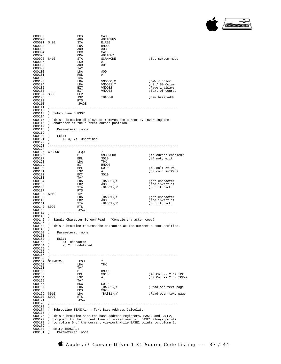![](_page_36_Picture_0.jpeg)

| 000089<br>000090<br>000091<br>000092<br>000093<br>000094 | \$400                                                | BCS<br>AND<br>STA<br>LDA<br>AND<br>BCC | \$400<br>#BITOFF5<br>E_REG<br>HMODE<br>#03<br>\$410                                                          |                                                                       |
|----------------------------------------------------------|------------------------------------------------------|----------------------------------------|--------------------------------------------------------------------------------------------------------------|-----------------------------------------------------------------------|
| 000095<br>000096<br>000097<br>000098<br>000099           | \$410                                                | ORA<br>STA<br>LSR<br>AND<br>TAY        | #BITON7<br>SCRNMODE<br>Α<br>#01                                                                              | ;Set screen mode                                                      |
| 000100<br>000101                                         |                                                      | LDA<br>ROL                             | #00<br>Α                                                                                                     |                                                                       |
| 000102<br>000103<br>000104<br>000105<br>000106           |                                                      | TAX<br>LDA<br>LDA<br>BIT<br>BIT        | VMODE0,X<br>VMODE1,Y<br>VMODE2<br>VMODE3                                                                     | ;B&W / Color<br>;40 / 80 Column<br>Page 1 always<br>;Text of course   |
| 000107<br>000108<br>000109<br>000110                     | \$500                                                | PLP<br>JSR<br>RTS<br>. PAGE            | TBASCAL                                                                                                      | ;New base addr.                                                       |
| 000111<br>000112 :<br>$000113$ ;                         | Subroutine CURSOR                                    |                                        |                                                                                                              |                                                                       |
| 000114<br>$000115$ ;<br>000116 ;                         |                                                      |                                        | This subroutine displays or removes the cursor by inverting the<br>character at the current cursor position. |                                                                       |
| 000117<br>000118<br>$000119$ ;                           | $\cdot$ ;<br>Parameters: none<br>$\mathcal{I}$       |                                        |                                                                                                              |                                                                       |
| $000120$ ;<br>$000121$ ;<br>000122 i<br>000123           | Exit:                                                | A, X, Y: Undefined                     |                                                                                                              |                                                                       |
| $000124$ ;                                               | 000125 CURSOR                                        | . EQU                                  | $\star$                                                                                                      |                                                                       |
| 000126<br>000127<br>000128                               |                                                      | BIT<br>BPL<br>LDA                      | SMCURSOR<br>\$020<br>TPX                                                                                     | <i>i</i> is cursor enabled?<br>iif not, exit                          |
| 000129<br>000130                                         |                                                      | BIT<br>BPL                             | HMODE<br>\$010                                                                                               | $:40$ col: X=TPX                                                      |
| 000131<br>000132                                         |                                                      | LSR<br>BCC                             | A<br>\$010                                                                                                   | $180 \text{ col}: \text{X=TPX}/2$                                     |
| 000133<br>000134                                         |                                                      | TAY<br>LDA                             | (BASE2), Y                                                                                                   | ;get character                                                        |
| 000135<br>000136                                         |                                                      | EOR<br>STA                             | #80<br>(BASE2), Y                                                                                            | and invert it<br>put it back                                          |
| 000137<br>000138                                         | \$010                                                | RTS<br>TAY                             |                                                                                                              |                                                                       |
| 000139<br>000140                                         |                                                      | LDA<br>EOR                             | (BASE1), Y<br>#80                                                                                            | ;get character<br>and invert it                                       |
| 000141<br>000142                                         | \$020                                                | STA<br>RTS                             | (BASE1),Y                                                                                                    | put it back                                                           |
| 000143<br>000144                                         |                                                      | . PAGE                                 |                                                                                                              |                                                                       |
| 000145<br>000146                                         | $\cdot$<br>$\mathbf{r}$                              |                                        | Single Character Screen Read (Console character copy)                                                        |                                                                       |
| 000147<br>000148                                         | $\mathcal{I}$                                        |                                        |                                                                                                              | This subroutine returns the character at the current cursor position. |
| 000149<br>000150                                         | $\cdot$ ;<br>Parameters: none                        |                                        |                                                                                                              |                                                                       |
| 000151<br>$000152$ ;                                     | $\cdot$<br>Exit:                                     |                                        |                                                                                                              |                                                                       |
| 000153<br>$000154$ ;                                     | $\mathcal{F}$<br>A: character                        | X, Y: Undefined                        |                                                                                                              |                                                                       |
| 000155<br>000156<br>000157                               | $\cdot$ :                                            |                                        |                                                                                                              |                                                                       |
| 000158 ;                                                 | 000159 SCRNPICK                                      |                                        | $\star$                                                                                                      |                                                                       |
| 000160                                                   |                                                      | . EQU<br>LDA                           | TPX                                                                                                          |                                                                       |
| 000161<br>000162                                         |                                                      | TAY<br>BIT                             | HMODE                                                                                                        |                                                                       |
| 000163<br>000164                                         |                                                      | <b>BPL</b><br>LSR                      | \$010<br>A                                                                                                   | $:40$ Col -- Y := TPX<br>$180 \text{ Col} -- Y := \text{TPX}/2$       |
| 000165<br>000166                                         |                                                      | TAY<br>BCC                             | \$010                                                                                                        |                                                                       |
| 000167<br>000168                                         |                                                      | LDA<br>BCS                             | (BASE2), Y<br>\$020                                                                                          | Read odd text page                                                    |
| 000169<br>000170 \$020                                   | \$010                                                | LDA<br>RTS                             | (BASE1),Y                                                                                                    | Read even text page;                                                  |
| 000171<br>000172                                         | ----------------------------                         | . PAGE                                 |                                                                                                              |                                                                       |
| 000173 :<br>000174;                                      |                                                      |                                        | Subroutine TBASCAL -- Text Base Address Calculator                                                           |                                                                       |
| 000175                                                   | $\cdot$ ;                                            |                                        |                                                                                                              |                                                                       |
| 000176 ;<br>000177                                       | $\cdot$ :                                            |                                        | This subroutine sets the base address registers, BASE1 and BASE2,                                            | to point to the current line in screen memory. BASE1 always points    |
| 000178<br>000179                                         | $\cdot$ :                                            |                                        |                                                                                                              | to column 0 of the current viewport while BASE2 points to column 1.   |
|                                                          | 000180 ; Entry TBASCAL:<br>000181 ; Parameters: none |                                        |                                                                                                              |                                                                       |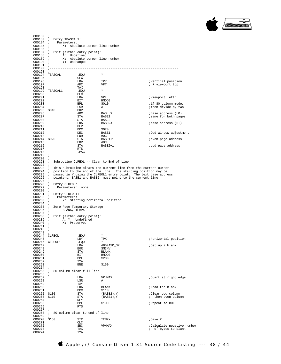![](_page_37_Picture_0.jpeg)

| 000186 ;                                                                                                                  |                                                                                     |                                 |                                                   |
|---------------------------------------------------------------------------------------------------------------------------|-------------------------------------------------------------------------------------|---------------------------------|---------------------------------------------------|
|                                                                                                                           | 000187 ; Exit (either entry point):                                                 |                                 |                                                   |
| 000188 ; A: Undefined<br>000189;                                                                                          |                                                                                     |                                 |                                                   |
| 000190 ;<br>$\cdot$ $\cdot$                                                                                               | Y: Unchanged                                                                        | X: Absolute screen line number  |                                                   |
| $\mathbf{r}$<br>000194 TBASCAL                                                                                            | . EQU                                                                               | $\star$                         |                                                   |
|                                                                                                                           | CLC                                                                                 |                                 |                                                   |
|                                                                                                                           | LDA<br>ADC                                                                          | TPY<br>VPT                      | vertical position<br>$: +$ viewport top           |
|                                                                                                                           | TAX                                                                                 |                                 |                                                   |
| 000199 TBASCAL1                                                                                                           | . EQU                                                                               | $\star$                         |                                                   |
|                                                                                                                           | CLC<br>LDA                                                                          | VPL                             | ;viewport left:                                   |
|                                                                                                                           | BIT                                                                                 | HMODE                           |                                                   |
|                                                                                                                           | BPL<br>LSR                                                                          | \$010<br>A                      | ;if 80 column mode,<br>then divide by two         |
| \$010                                                                                                                     | PHP                                                                                 |                                 |                                                   |
|                                                                                                                           | ADC                                                                                 | BASL, X                         | ibase address (LO)                                |
|                                                                                                                           | STA<br>STA                                                                          | BASE1<br>BASE2                  | same for both pages                               |
|                                                                                                                           | LDA                                                                                 | BASH, X                         | ;base address (HI)                                |
|                                                                                                                           | PLP<br>BCC                                                                          | \$020                           |                                                   |
|                                                                                                                           | DEC                                                                                 | BASE1                           | :Odd window adjustment                            |
| 000214 \$020                                                                                                              | EOR<br>STA                                                                          | #0C<br>BASE1+1                  | even page address                                 |
|                                                                                                                           | EOR                                                                                 | #0C                             |                                                   |
|                                                                                                                           | STA<br>RTS                                                                          | BASE2+1                         | odd page address;                                 |
|                                                                                                                           | . PAGE                                                                              |                                 |                                                   |
| 000229 ;<br>$000230$ ;<br>000231 ; Entry CLREOL1:<br>000232 i<br>Parameters:<br>000233 i<br>000234 ;                      | 000228 ; Entry CLREOL:<br>Parameters: none<br>000235 ; Zero Page Temporary Storage: | Y: Starting horizontal position |                                                   |
|                                                                                                                           | BLANK, TEMPX<br>000238 ; Exit (either entry point):                                 |                                 |                                                   |
|                                                                                                                           | A, Y: Undefined<br>X: Preserved                                                     |                                 |                                                   |
|                                                                                                                           | . EQU                                                                               | $^\star$                        |                                                   |
| $000236$ ;<br>$000237$ ;<br>$\mathcal{L}$<br>$\mathbf{r}$<br>$\cdot$<br>$\ddot{i}$ - $-$<br>$\mathbf{r}$<br>000244 CLREOL | LDY                                                                                 | TPX                             | horizontal position                               |
| 000246 CLREOL1                                                                                                            | .EQU<br>LDA                                                                         | #80+ASC_SP                      | ;Set up a blank                                   |
|                                                                                                                           | EOR                                                                                 | SMINV                           |                                                   |
|                                                                                                                           | <b>STA</b><br>BIT                                                                   | <b>BLANK</b><br>HMODE           |                                                   |
|                                                                                                                           | BPL                                                                                 | \$200                           |                                                   |
|                                                                                                                           | TYA<br>BNE                                                                          | \$150                           |                                                   |
| $\cdot$ i<br>$\ddot{i}$                                                                                                   | 80 column clear full line                                                           |                                 |                                                   |
| $\cdot$                                                                                                                   |                                                                                     |                                 |                                                   |
|                                                                                                                           | LDA<br>LSR                                                                          | VPHMAX<br>Α                     | ;Start at right edge                              |
|                                                                                                                           | TAY                                                                                 |                                 |                                                   |
|                                                                                                                           | LDA<br><b>BCC</b>                                                                   | <b>BLANK</b><br>\$110           | ;Load the blank                                   |
| \$100                                                                                                                     | STA                                                                                 | (BASE2), Y                      | ;Clear odd column                                 |
| \$110                                                                                                                     | STA                                                                                 | $(BASE1)$ , Y                   | ; then even column                                |
|                                                                                                                           | DEY<br>BPL                                                                          | \$100                           | ;Repeat to BOL                                    |
|                                                                                                                           | RTS                                                                                 |                                 |                                                   |
| $\cdot$<br>$\cdot$                                                                                                        | 80 column clear to end of line                                                      |                                 |                                                   |
|                                                                                                                           | STX                                                                                 | TEMPX                           | ;Save X                                           |
| $\cdot$<br>\$150                                                                                                          | CLC                                                                                 |                                 |                                                   |
|                                                                                                                           | SBC<br>TAX                                                                          | VPHMAX                          | :Calculate negative number<br>; of bytes to blank |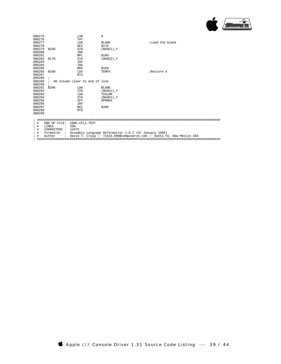![](_page_38_Picture_0.jpeg)

| 000275 |       | LSR                            | Α             |                 |
|--------|-------|--------------------------------|---------------|-----------------|
| 000276 |       | TAY                            |               |                 |
| 000277 |       | LDA                            | <b>BLANK</b>  | ;Load the blank |
| 000278 |       | <b>BCS</b>                     | \$170         |                 |
| 000279 | \$160 | <b>STA</b>                     | $(BASE1)$ , Y |                 |
| 000280 |       | <b>INX</b>                     |               |                 |
| 000281 |       | <b>BPL</b>                     | \$180         |                 |
| 000282 | \$170 | STA                            | $(BASE2)$ , Y |                 |
| 000283 |       | <b>INY</b>                     |               |                 |
| 000284 |       | <b>INX</b>                     |               |                 |
| 000285 |       | BMI                            | \$160         |                 |
| 000286 | \$180 | LDX                            | TEMPX         | ;Restore X      |
| 000287 |       | <b>RTS</b>                     |               |                 |
| 000288 |       |                                |               |                 |
| 000289 |       | 40 column clear to end of line |               |                 |
| 000290 |       |                                |               |                 |
| 000291 | \$200 | LDA                            | <b>BLANK</b>  |                 |
| 000292 |       | <b>STA</b>                     | $(BASE1)$ , Y |                 |
| 000293 |       | LDA                            | <b>TCOLOR</b> |                 |
| 000294 |       | STA                            | $(BASE2)$ , Y |                 |
| 000295 |       | CPY                            | VPHMAX        |                 |
| 000296 |       | <b>INY</b>                     |               |                 |
| 000297 |       | BCC                            | \$200         |                 |
| 000298 |       | <b>RTS</b>                     |               |                 |
| 000299 |       |                                |               |                 |
|        |       |                                |               |                 |
|        |       |                                |               |                 |

; #################################################################################################### ; # END OF FILE: CONS.UTL1.TEXT

; # LINES : 299<br>; # CHARACTERS : 13475<br>; # Formatter : Assembly Language Reformatter 1.0.2 (07 January 1998)<br>; # Author : David T. Craig -- 71533.606@compuserve.com -- Santa Fe, New Mexico USA<br>; ###########################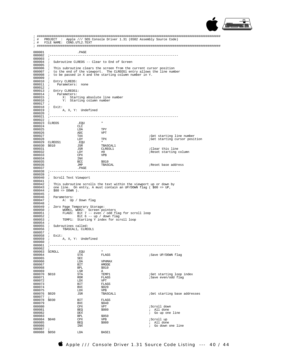![](_page_39_Picture_0.jpeg)

; #################################################################################################### ; # PROJECT : Apple /// SOS Console Driver 1.31 (6502 Assembly Source Code) ; # FILE NAME: CONS.UTL2.TEXT ; #################################################################################################### 000001 .PAGE 000002 ;---------------------------------------------------------------------- 000003<br>000004 Subroutine CLREOS -- Clear to End of Screen 000005 ;<br>000006 ; 000006 ; This subroutine clears the screen from the current cursor position 000007 ; to the end of the viewport. The CLREOS1 entry allows the line num 000007 ; to the end of the viewport. The CLREOS1 entry allows the line number<br>000007 ; to be passed in X and the starting column number in Y to be passed in X and the starting column number in Y. 000009<br>000010 000010 ; Entry CLREOS:<br>000011 ; Parameters: % ; Parameters: none  $000012$  ;<br>000013 ; 000013 ; Entry CLREOS1:<br>000014 ; Parameters: 000014 ; Parameters:<br>000015 ; X: Starting absolute line number<br>000016 ; Y: Starting column number  $000017$ <br> $000018$ 000018 ; Exit:<br>000019 ; A, X, Y: Undefined 000020<br>000021 000021 ;---------------------------------------------------------------------- 000022  $\begin{array}{ccccc} \texttt{CLREOS} & & & \texttt{.EQU} \\ & & & \texttt{CLC} \end{array}$ 000024 CLC<br>000024 CLC<br>000025 LDA 000025 LDA TPY <br>000026 ADC VPT  $000026$   $000027$   $\begin{array}{ccc}\n\text{ADC} \\
\text{TAX}\n\end{array}$ 000027 TAX THE TEXT TEXT CHE START GET START TEXT CHE START GET START GET START TEXT CHE START TEXT CHE START TEXT CHE START GET START TEXT CHE START GET START TEXT CHE START GET START GET START GET START TEXT CHE START GE 000028 LDY TPX ;Get starting cursor position 000029 CLREOS1 .EQU \*  $\begin{array}{cccc}\n 000030 & 010 & 000031 & 000031 & 000031 & 000031 & 000031 & 000031 & 0000031 & 0000000 & 000000 & 000000 & 00000 & 00000 & 00000 & 00000 & 00000 & 0000 & 0000 & 0000 & 0000 & 0000 & 0000 & 0000 & 0000 & 0000 & 0000 & 0000 & 0000 & 0000 & 000$ 000031 JSR CLREOL1 ;Clear this line 000032 LDY #0 ;Reset starting column 000033 CPX VPB 000034 CPX 000034 INX <br>000035 BCC 000035 BCC \$010 000036 JMP TBASCAL ;Reset base address 000037 .PAGE 000038 ;----------------------------------------------------------------------- 000039 ; Scroll Text Viewport  $000041$  ;<br>000042 : 000042 ; This subroutine scrolls the text within the viewport up or down by 000043 ; one line. On entry, A must contain an UP/DOWN flag ( $$00 =$ ) UP. 000043 ; one line. On entry, A must contain an UP/DOWN flag ( \$00 => UP, 000044 ; \$80 => DOWN ).  $000045$  ;<br>000046 ; 000046 ; Parameters:<br>000047 ; A: Up ; A: Up / Down flag  $000048$  ;<br>000049 ; 000049 ; Zero Page Temporary Storage:<br>000050 ; WORK1, WOR2: Screen pointers<br>000051 ; FLAGS: Bit 7 -- even / odd flag for scroll loop<br>000052 ; Bit 6 -- up / down flag<br>000053 ; TEMP1: Starting Y index for scroll loop 000054 ; 000055 ; Subroutines called:<br>000056 ; TBASCAL1, CLRE ; TBASCAL1, CLREOL1 000057<br>000058 000058 ; Exit:<br>000059 ; <sup>1</sup> ;  $A, X, Y: Undefined$ <br>; 000060<br>000061 000061 ;----------------------------------------------------------------------- 000063  $\begin{array}{cccc} 000063 & \text{SCROLL} & \text{EQU} & \star \\ 000064 & \text{STA} & \text{FIAGS} \end{array}$  $\widetilde{\texttt{STA}}$  FLAGS ; Save UP/DOWN flag SEC 000065 SEC<br>000066 T.DA  $\begin{array}{lll}\text{LDA} & \text{VPHMAX} \\ \text{BIT} & \text{HMDDE} \end{array}$ 000067 BIT HMODE BOOTS BELL SOLO 000068 BPL \$010 000069 LSR A 000070 \$010 STA TEMP1 ;Get starting loop index ROR FLAGS ;Save even/odd flag<br>
LDX VPT  $\begin{tabular}{lllllllllll} 000071 & & & & & & & & & & & & & & & & \\ 000072 & & & & & & & & & & & & & & & & \\ 000072 & & & & & & & & & & & & & & & & \\ 000073 & & & & & & & & & & & & & & & \\ 000073 & & & & & & & & & & & & & & & \\ \end{tabular}$  $\begin{array}{cccc}\n 000073 & & & & \text{BIT} & & \text{FIAGS} \\
 000074 & & & & \text{BVC} & & \text{$\diamond$020} \\
 000075 & & & & \text{LDX} & & \text{VPB}\n \end{array}$ 000074 BVC <br>000075 LDX  $\begin{array}{cccc}\n 000075 & & & & & \text{VPE} \\
 000075 & & & & \text{LDX} & & & \text{VPE} \\
 000076 & & & 020 & & & \text{JSR} & & \text{TBASCAL1}\n \end{array}$ ;Get starting base addresses  $000077$  ;<br>000078 \$030 000078 \$030 BIT FLAGS<br>000079 \$030 BVC \$040 000079 BVC \$040<br>000079 BVC \$040<br>000080 CPX VPT 000080 CPX VPT ;Scroll down 000081 BEQ \$080 ; All done 000082 DEX ; Go up one line 000083 BPL \$050  $\begin{array}{ccccccc} 000084 & \texttt{\$040} & & & & \texttt{CPX} & & & \texttt{VPB} & & & & \texttt{?Scroll up} \\ 000085 & & & & & \texttt{BEQ} & & & \texttt{\$080} & & & & & \texttt{?} & \texttt{All donr} \end{array}$ 000085 BEQ \$080 ; All done 000086 INX ; Go down one line 000087 000088 \$050 LDA BASE1

Apple /// Console Driver 1.31 Source Code Listing --- 40 / 44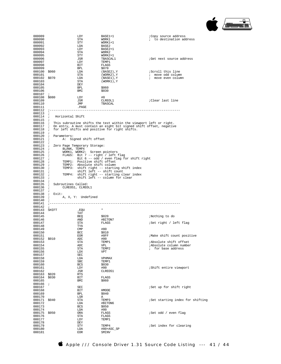![](_page_40_Picture_0.jpeg)

| 000089<br>000090<br>000091<br>000092<br>000093<br>000094 |                              | LDY<br>STA<br>STY<br>LDA<br>LDY<br>LDY<br>STA<br>CTV                   | BASE1+1<br>WORK1<br>WORK1+1<br>BASE2<br>BASE2+1<br>WORK2                                                                                                                                                                                                                           | :Copy source address<br>; to destination address                                                                                                              |
|----------------------------------------------------------|------------------------------|------------------------------------------------------------------------|------------------------------------------------------------------------------------------------------------------------------------------------------------------------------------------------------------------------------------------------------------------------------------|---------------------------------------------------------------------------------------------------------------------------------------------------------------|
| 000095<br>000096<br>000097<br>000098<br>000099           |                              | STY<br><b>JSR</b><br>LDY<br>BIT                                        | WORK2+1<br><br>TBASCAL1<br>TEMP1<br>FLAGS<br>\$070                                                                                                                                                                                                                                 | ;Get next source address                                                                                                                                      |
| 000101<br>000102 \$070<br>000103<br>000104               | 000100 \$060                 | BPL<br>LDA<br>STA<br>LDA<br>STA                                        | (BASE2), Y<br>(WORK2),Y<br>(BASE1),Y<br>Y , ( WORK1 )                                                                                                                                                                                                                              | Scroll this line;<br>; move odd column<br>; move even column                                                                                                  |
| 000105<br>000106<br>000107 ;                             |                              | DEY<br>BPL<br>BMI                                                      | \$060<br>\$030                                                                                                                                                                                                                                                                     |                                                                                                                                                               |
| 000110<br>000111                                         |                              | 000108 \$080<br>000109 \$080 LDY<br>000109 JSR<br><b>JMP</b><br>. PAGE | #0<br>CLREOL1<br>TBASCAL                                                                                                                                                                                                                                                           | :Clear last line                                                                                                                                              |
| $000113$ ;                                               | 000114 ; Horizontal Shift    |                                                                        |                                                                                                                                                                                                                                                                                    |                                                                                                                                                               |
| $000115$ ;<br>$000119$ ;                                 |                              |                                                                        | 000118 ; for left shifts and positive for right shifts.                                                                                                                                                                                                                            | $000116$ ; This subroutine shifts the text within the viewport left or right.<br>000117 ; On entry, A must contain an eight bit signed shift offset, negative |
| 000122 ;                                                 | 000120 ; Parameters:         | 000121 ; A: Signed shift offset                                        |                                                                                                                                                                                                                                                                                    |                                                                                                                                                               |
|                                                          | 000124 ; BLANK, TEMPX        | 000123 ; Zero Page Temporary Storage:                                  |                                                                                                                                                                                                                                                                                    |                                                                                                                                                               |
| 000125 ;<br>000126 ;                                     |                              |                                                                        | WORK1, WORK2:  Screen pointers<br>FLAGS:  Bit 7 -- right / left flag                                                                                                                                                                                                               |                                                                                                                                                               |
|                                                          |                              |                                                                        | Bit 6 -- odd / even flag for shift right                                                                                                                                                                                                                                           |                                                                                                                                                               |
|                                                          |                              |                                                                        |                                                                                                                                                                                                                                                                                    |                                                                                                                                                               |
| 000133;                                                  |                              |                                                                        | 000127 ;<br>Bit 6 -- odd / even flag for shift 1<br>000128 ;<br>TEMP1: Positive shift offset<br>000130 ;<br>TEMP3: shift right -- starting shift index<br>000131 ;<br>TEMP4: shift right -- starting clear index<br>000132 ;<br>TEMP4: shift rig<br>shift left -- column for clear |                                                                                                                                                               |
| 000134 ;                                                 | 000135 ; Subroutines Called: | 000136 ; CLREOS1, CLREOL1                                              |                                                                                                                                                                                                                                                                                    |                                                                                                                                                               |
| $000137$ ;                                               | 000138 ; Exit:               | 000139 ; A, X, Y: Undefined                                            |                                                                                                                                                                                                                                                                                    |                                                                                                                                                               |
| 000140 ;                                                 |                              |                                                                        |                                                                                                                                                                                                                                                                                    |                                                                                                                                                               |
| 000142 ;                                                 | 000143 SHIFT                 | .EQU<br>TAY                                                            | $\star$                                                                                                                                                                                                                                                                            |                                                                                                                                                               |
| 000144<br>000145                                         |                              | BEQ                                                                    | \$020                                                                                                                                                                                                                                                                              | ;Nothing to do                                                                                                                                                |
| 000146<br>000147                                         |                              | AND<br>STA<br>TYA<br>CMP<br>BCC<br>EOR                                 | #BITON7<br>FLAGS                                                                                                                                                                                                                                                                   | ;Set right / left flag                                                                                                                                        |
| 000148<br>000149                                         |                              |                                                                        | #80                                                                                                                                                                                                                                                                                |                                                                                                                                                               |
| 000150                                                   |                              |                                                                        | \$010                                                                                                                                                                                                                                                                              |                                                                                                                                                               |
| 000151                                                   | 000152 \$010                 | ADC                                                                    | #0FF<br>#00                                                                                                                                                                                                                                                                        | Make shift count positive                                                                                                                                     |
| 000153<br>000154                                         |                              | STA<br>ADC                                                             | TEMP1<br>VPL                                                                                                                                                                                                                                                                       | <i>i</i> Absolute shift offset<br><i>i</i> Absolute column number                                                                                             |
| 000155                                                   |                              | STA                                                                    | TEMP2                                                                                                                                                                                                                                                                              | ; for base address                                                                                                                                            |
| 000156<br>000157                                         |                              | LDX<br>SEC                                                             | VPT                                                                                                                                                                                                                                                                                |                                                                                                                                                               |
| 000158                                                   |                              | LDA                                                                    | VPHMAX                                                                                                                                                                                                                                                                             |                                                                                                                                                               |
| 000159<br>000160                                         |                              | SBC<br>BCS                                                             | TEMP1<br>\$030                                                                                                                                                                                                                                                                     |                                                                                                                                                               |
| 000161                                                   |                              | LDY                                                                    | #00                                                                                                                                                                                                                                                                                | :Shift entire viewport                                                                                                                                        |
| 000162                                                   |                              | JSR                                                                    | CLREOS1                                                                                                                                                                                                                                                                            |                                                                                                                                                               |
| 000163<br>000164                                         | \$020<br>\$030               | RTS<br>BIT                                                             | FLAGS                                                                                                                                                                                                                                                                              |                                                                                                                                                               |
| 000165                                                   |                              | BMI                                                                    | \$060                                                                                                                                                                                                                                                                              |                                                                                                                                                               |
| 000166<br>000167                                         | $\cdot$                      | SEC                                                                    |                                                                                                                                                                                                                                                                                    | ;Set up for shift right                                                                                                                                       |
| 000168                                                   |                              | BIT                                                                    | HMODE                                                                                                                                                                                                                                                                              |                                                                                                                                                               |
| 000169<br>000170                                         |                              | BPL<br>LSR                                                             | \$040<br>Α                                                                                                                                                                                                                                                                         |                                                                                                                                                               |
| 000171                                                   | \$040                        | STA                                                                    | TEMP3                                                                                                                                                                                                                                                                              | Set starting index for shifting                                                                                                                               |
| 000172<br>000173                                         |                              | LDA<br>BCS                                                             | #BITON6<br>\$050                                                                                                                                                                                                                                                                   |                                                                                                                                                               |
| 000174                                                   |                              | LDA                                                                    | #00                                                                                                                                                                                                                                                                                |                                                                                                                                                               |
| 000175                                                   | \$050                        | ORA                                                                    | FLAGS                                                                                                                                                                                                                                                                              | ;Set odd / even flag                                                                                                                                          |
| 000176<br>000177                                         |                              | STA<br>LDY                                                             | FLAGS<br>TEMP1                                                                                                                                                                                                                                                                     |                                                                                                                                                               |
| 000178                                                   |                              | DEY                                                                    |                                                                                                                                                                                                                                                                                    |                                                                                                                                                               |
| 000179<br>000180                                         |                              | STY<br>LDA                                                             | TEMP4                                                                                                                                                                                                                                                                              | ;Set index for clearing                                                                                                                                       |
| 000181                                                   |                              | EOR                                                                    | #80+ASC_SP<br>SMINV                                                                                                                                                                                                                                                                |                                                                                                                                                               |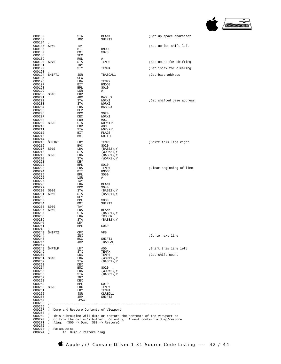![](_page_41_Picture_0.jpeg)

| 000182                 |                                                                     | STA               | <b>BLANK</b>                                                                                                                                                   | ;Set up space character       |  |  |
|------------------------|---------------------------------------------------------------------|-------------------|----------------------------------------------------------------------------------------------------------------------------------------------------------------|-------------------------------|--|--|
| 000183<br>000184       | $\ddot{i}$                                                          | JMP               | SHIFT1                                                                                                                                                         |                               |  |  |
| 000185                 | \$060                                                               | TAY               | HMODE                                                                                                                                                          | ;Set up for shift left        |  |  |
| 000186<br>000187       |                                                                     | BIT<br>BMI        | \$070                                                                                                                                                          |                               |  |  |
| 000188                 |                                                                     | SEC               |                                                                                                                                                                |                               |  |  |
| 000189<br>000190       | \$070                                                               | ROL<br>STA        | Α<br>TEMP3                                                                                                                                                     | ;Set count for shifting       |  |  |
| 000191                 |                                                                     | INY               |                                                                                                                                                                |                               |  |  |
| 000192<br>000193       | $\ddot{i}$                                                          | STY               | TEMP4                                                                                                                                                          | <i>Set index for clearing</i> |  |  |
| 000194                 | SHIFT1                                                              | JSR               | TBASCAL1                                                                                                                                                       | ;Get base address             |  |  |
| 000195<br>000196       |                                                                     | CLC<br>LDA        | TEMP2                                                                                                                                                          |                               |  |  |
| 000197                 |                                                                     | BIT               | HMODE                                                                                                                                                          |                               |  |  |
| 000198                 |                                                                     | BPL               | \$010                                                                                                                                                          |                               |  |  |
| 000199<br>000200       | \$010                                                               | LSR<br>PHP        | Α                                                                                                                                                              |                               |  |  |
| 000201                 |                                                                     | ADC               | BASL, X                                                                                                                                                        |                               |  |  |
| 000202<br>000203       |                                                                     | STA<br>STA        | WORK1<br>WORK2                                                                                                                                                 | Get shifted base address      |  |  |
| 000204                 |                                                                     | LDA               | BASH, X                                                                                                                                                        |                               |  |  |
| 000205<br>000206       |                                                                     | PLP<br>BCC        | \$020                                                                                                                                                          |                               |  |  |
| 000207                 |                                                                     | DEC               | WORK1                                                                                                                                                          |                               |  |  |
| 000208                 |                                                                     | EOR               | #0C                                                                                                                                                            |                               |  |  |
| 000209<br>000210       | \$020                                                               | STA<br>EOR        | WORK1+1<br>#0C                                                                                                                                                 |                               |  |  |
| 000211                 |                                                                     | STA               | $WORK2+1$                                                                                                                                                      |                               |  |  |
| 000212<br>000213       |                                                                     | BIT<br>BMI        | FLAGS<br>SHFTLF                                                                                                                                                |                               |  |  |
| 000214                 | $\ddot{i}$                                                          |                   |                                                                                                                                                                |                               |  |  |
| 000215<br>000216       | SHFTRT                                                              | LDY<br><b>BVC</b> | TEMP3<br>\$020                                                                                                                                                 | ;Shift this line right        |  |  |
| 000217                 | \$010                                                               | LDA               | $(BASE2)$ , Y                                                                                                                                                  |                               |  |  |
| 000218<br>000219       |                                                                     | STA               | $(WORK2)$ , Y                                                                                                                                                  |                               |  |  |
| 000220                 | \$020                                                               | LDA<br>STA        | $(BASE1)$ , Y<br>(WORK1), Y                                                                                                                                    |                               |  |  |
| 000221                 |                                                                     | DEY               |                                                                                                                                                                |                               |  |  |
| 000222<br>000223       |                                                                     | BPL<br>LDA        | \$010<br>TEMP4                                                                                                                                                 | :Clear beginning of line      |  |  |
| 000224                 |                                                                     | BIT               | HMODE                                                                                                                                                          |                               |  |  |
| 000225<br>000226       |                                                                     | BPL<br>LSR        | \$050<br>Α                                                                                                                                                     |                               |  |  |
| 000227                 |                                                                     | TAY               |                                                                                                                                                                |                               |  |  |
| 000228<br>000229       |                                                                     | LDA<br>BCC        | <b>BLANK</b><br>\$040                                                                                                                                          |                               |  |  |
| 000230                 | \$030                                                               | STA               | $(BASE2)$ , Y                                                                                                                                                  |                               |  |  |
| 000231<br>000232       | \$040                                                               | STA<br>DEY        | (BASE1), Y                                                                                                                                                     |                               |  |  |
| 000233                 |                                                                     | BPL               | \$030                                                                                                                                                          |                               |  |  |
| 000234                 |                                                                     | BMI               | SHIFT2                                                                                                                                                         |                               |  |  |
| 000235<br>000236       | \$050<br>\$060                                                      | TAY<br>LDA        | BLANK                                                                                                                                                          |                               |  |  |
| 000237                 |                                                                     | STA               | $(BASE1)$ , Y                                                                                                                                                  |                               |  |  |
| 000238<br>000239       |                                                                     | LDA<br>STA        | TCOLOR<br>$(BASE2)$ , Y                                                                                                                                        |                               |  |  |
| 000240                 |                                                                     | DEY               |                                                                                                                                                                |                               |  |  |
| 000241<br>000242       | $\ddot{ }$                                                          | BPL               | \$060                                                                                                                                                          |                               |  |  |
| 000243                 | SHIFT2                                                              | <b>CPX</b>        | <b>VPB</b>                                                                                                                                                     |                               |  |  |
| 000244<br>000245       |                                                                     | INX<br>BCC        | SHIFT1                                                                                                                                                         | <i>i</i> Go to next line      |  |  |
| 000246                 |                                                                     | JMP               | TBASCAL                                                                                                                                                        |                               |  |  |
| 000247                 | $\cdot$<br>000248 SHFTLF                                            | LDY               | #00                                                                                                                                                            | ;Shift this line left         |  |  |
| 000249                 |                                                                     | STX               | <b>TEMPX</b>                                                                                                                                                   |                               |  |  |
| 000250<br>000251 \$010 |                                                                     | LDX<br>LDA        | TEMP3<br>(WORK1),Y                                                                                                                                             | ;Get shift count              |  |  |
| 000252                 |                                                                     | STA               | (BASE1), Y                                                                                                                                                     |                               |  |  |
| 000253<br>000254       |                                                                     | DEX<br>BMI        | \$020                                                                                                                                                          |                               |  |  |
| 000255                 |                                                                     | LDA               | (WORK2), Y                                                                                                                                                     |                               |  |  |
| 000256                 |                                                                     | STA               | (BASE2), Y                                                                                                                                                     |                               |  |  |
| 000257<br>000258       |                                                                     | INY<br>DEX        |                                                                                                                                                                |                               |  |  |
| 000259                 |                                                                     | BPL               | \$010                                                                                                                                                          |                               |  |  |
| 000260 \$020<br>000261 |                                                                     | LDX<br>LDY        | TEMPX<br>TEMP4                                                                                                                                                 |                               |  |  |
| 000262                 |                                                                     | JSR               | CLREOL1                                                                                                                                                        |                               |  |  |
| 000263<br>000264       |                                                                     | JMP<br>. PAGE     | SHIFT2                                                                                                                                                         |                               |  |  |
|                        |                                                                     |                   |                                                                                                                                                                |                               |  |  |
| $000266$ ;             | 000267 ; Dump and Restore Contents of Viewport                      |                   |                                                                                                                                                                |                               |  |  |
| $000268$ ;             |                                                                     |                   |                                                                                                                                                                |                               |  |  |
|                        |                                                                     |                   | 000269 : This subroutine will dump or restore the contents of the viewport to<br>000270 : or from the caller's buffer. On entry, A must contain a dump/restore |                               |  |  |
|                        | $000271$ ; flag. $(500 \Rightarrow$ Dump $580 \Rightarrow$ Restore) |                   |                                                                                                                                                                |                               |  |  |
| 000272                 | $\mathcal{I}$<br>000273 ; Parameters:                               |                   |                                                                                                                                                                |                               |  |  |
|                        | 000274 ; A: Dump / Restore flag                                     |                   |                                                                                                                                                                |                               |  |  |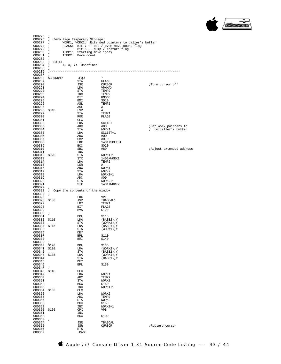![](_page_42_Picture_0.jpeg)

| $000275$ ;               |                             |                                 |                                                    |                                               |
|--------------------------|-----------------------------|---------------------------------|----------------------------------------------------|-----------------------------------------------|
| $000276$ ;<br>$000277$ ; |                             | Zero Page Temporary Storage:    | WORK1, WORK2: Extended pointers to caller's buffer |                                               |
| $000278$ ;               |                             |                                 | FLAGS: Bit 7 -- odd / even move count flag         |                                               |
| $000279$ ;<br>$000280$ ; |                             | TEMP1: Starting move index      | Bit 6 -- dump / restore flag                       |                                               |
| 000281                   | $\mathbf{r}$                | TEMP2: Move count               |                                                    |                                               |
| 000282                   | $\cdot$<br>$000283$ ; Exit: |                                 |                                                    |                                               |
| 000284                   | $\ddot{i}$                  | A, X, Y: Undefined              |                                                    |                                               |
| 000285                   | $\mathbf{r}$                |                                 |                                                    |                                               |
| 000286<br>000287         | $\ddot{i}$                  |                                 |                                                    |                                               |
|                          | 000288 SCRNDUMP             | . EQU                           | $\star$                                            |                                               |
| 000289<br>000290         |                             | STA                             | FLAGS<br>CURSOR                                    | ;Turn cursor off                              |
| 000291                   |                             | JSR<br>LDA                      | VPHMAX                                             |                                               |
| 000292                   |                             | STA                             | TEMP2                                              |                                               |
| 000293<br>000294         |                             | <b>INC</b><br>BIT               | TEMP2<br>HMODE                                     |                                               |
| 000295                   |                             | BMI                             | \$010                                              |                                               |
| 000296<br>000297         |                             | ASL<br>ASL                      | TEMP2<br>A                                         |                                               |
| 000298                   | \$010                       | LSR                             | A                                                  |                                               |
| 000299                   |                             | STA                             | TEMP1                                              |                                               |
| 000300<br>000301         |                             | ROR<br>CLC                      | FLAGS                                              |                                               |
| 000302                   |                             | LDA                             | SCLIST                                             |                                               |
| 000303<br>000304         |                             | ADC<br>STA                      | #03<br>WORK1                                       | ;Set work pointers to<br>; to caller's buffer |
| 000305                   |                             | LDA                             | SCLIST+1                                           |                                               |
| 000306                   |                             | ADC                             | #00                                                |                                               |
| 000307<br>000308         |                             | $\text{CMP}$<br>LDX             | #0F0<br>1401+SCLIST                                |                                               |
| 000309                   |                             | BCC                             | \$020                                              |                                               |
| 000310<br>000311         |                             | SBC<br>INX                      | #80                                                | <i>A</i> djust extended address               |
| 000312 \$020             |                             | STA                             | WORK1+1                                            |                                               |
| 000313                   |                             | STX                             | 1401+WORK1                                         |                                               |
| 000314<br>000315         |                             | LDA<br>LSR                      | TEMP2<br>A                                         |                                               |
| 000316                   |                             | ADC                             | WORK1                                              |                                               |
| 000317<br>000318         |                             | STA<br>LDA                      | WORK2<br>WORK1+1                                   |                                               |
| 000319                   |                             | ADC                             | #00                                                |                                               |
| 000320                   |                             | STA                             | WORK2+1                                            |                                               |
| 000321<br>000322 i       |                             | STX                             | 1401+WORK2                                         |                                               |
| 000323                   | $\mathbf{r}$                | Copy the contents of the window |                                                    |                                               |
| 000324<br>000325         | $\cdot$ ;                   | LDX                             | VPT                                                |                                               |
| 000326 \$100             |                             | JSR                             | TBASCAL1                                           |                                               |
| 000327<br>000328         |                             | LDY<br>BIT                      | TEMPl<br>FLAGS                                     |                                               |
| 000329                   |                             | BVS                             | \$120                                              |                                               |
| 000330<br>000331         | $\mathcal{L}$               | <b>BPL</b>                      | \$115                                              |                                               |
| 000332 \$110             |                             | LDA                             | (BASE2), Y                                         |                                               |
| 000333                   |                             | STA                             | (WORK2), Y                                         |                                               |
| 000334<br>000335         | \$115                       | LDA<br>STA                      | (BASE1),Y<br>(WORK1),Y                             |                                               |
| 000336                   |                             | DEY                             |                                                    |                                               |
| 000337<br>000338         |                             | BPL<br>BMI                      | \$110<br>\$140                                     |                                               |
| 000339                   | $\ddot{i}$                  |                                 |                                                    |                                               |
| 000340<br>000341         | \$120<br>\$130              | BPL<br>LDA                      | \$135                                              |                                               |
| 000342                   |                             | STA                             | $(WORK2)$ , Y<br>$(BASE2)$ , $Y$                   |                                               |
| 000343                   | \$135                       | LDA                             | $(WORK1)$ , Y                                      |                                               |
| 000344<br>000345         |                             | STA<br><b>DEY</b>               | $(BASE1)$ , Y                                      |                                               |
| 000346                   |                             | BPL                             | \$130                                              |                                               |
| 000347<br>000348         | $\ddot{ }$<br>\$140         | <b>CLC</b>                      |                                                    |                                               |
| 000349                   |                             | LDA                             | WORK1                                              |                                               |
| 000350                   |                             | ADC                             | TEMP2                                              |                                               |
| 000351<br>000352         |                             | <b>STA</b><br>BCC               | WORK1<br>\$150                                     |                                               |
| 000353                   |                             | INC                             | WORK1+1                                            |                                               |
| 000354<br>000355         | \$150                       | <b>CLC</b><br>LDA               | WORK2                                              |                                               |
| 000356                   |                             | ADC                             | TEMP2                                              |                                               |
| 000357                   |                             | <b>STA</b>                      | WORK2                                              |                                               |
| 000358<br>000359         |                             | BCC<br>INC                      | \$160<br>$WORK2+1$                                 |                                               |
| 000360                   | \$160                       | CPX                             | VPB                                                |                                               |
| 000361<br>000362         |                             | INX<br>BCC                      | \$100                                              |                                               |
| 000363                   | $\ddot{ }$                  |                                 |                                                    |                                               |
| 000364<br>000365         |                             | JSR<br>JSR                      | TBASCAL<br>CURSOR                                  | Restore cursor                                |
| 000366                   |                             | <b>RTS</b>                      |                                                    |                                               |
| 000367                   |                             | . PAGE                          |                                                    |                                               |